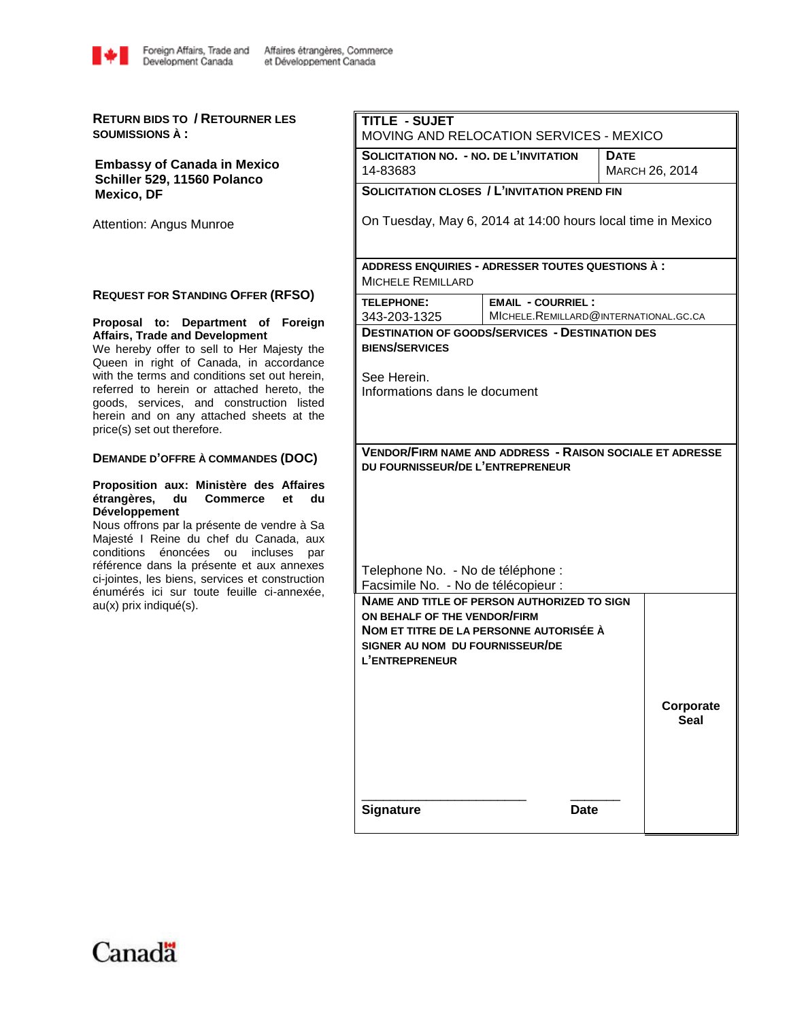

**RETURN BIDS TO / RETOURNER LES SOUMISSIONS À :**

**Embassy of Canada in Mexico Schiller 529, 11560 Polanco Mexico, DF**

Attention: Angus Munroe

### **REQUEST FOR STANDING OFFER (RFSO)**

### **Proposal to: Department of Foreign Affairs, Trade and Development**

We hereby offer to sell to Her Majesty the Queen in right of Canada, in accordance with the terms and conditions set out herein, referred to herein or attached hereto, the goods, services, and construction listed herein and on any attached sheets at the price(s) set out therefore.

#### **DEMANDE D'OFFRE À COMMANDES (DOC)**

#### **Proposition aux: Ministère des Affaires étrangères, du Commerce et du Développement**

Nous offrons par la présente de vendre à Sa Majesté I Reine du chef du Canada, aux conditions énoncées ou incluses par référence dans la présente et aux annexes ci-jointes, les biens, services et construction énumérés ici sur toute feuille ci-annexée, au(x) prix indiqué(s).

| TITLE - SUJET<br>MOVING AND RELOCATION SERVICES - MEXICO                                                                                                                           |                                                                   |  |                          |  |  |  |  |  |  |  |
|------------------------------------------------------------------------------------------------------------------------------------------------------------------------------------|-------------------------------------------------------------------|--|--------------------------|--|--|--|--|--|--|--|
| <b>SOLICITATION NO. - NO. DE L'INVITATION</b><br><b>DATE</b><br>MARCH 26, 2014<br>14-83683                                                                                         |                                                                   |  |                          |  |  |  |  |  |  |  |
|                                                                                                                                                                                    | <b>SOLICITATION CLOSES / L'INVITATION PREND FIN</b>               |  |                          |  |  |  |  |  |  |  |
| On Tuesday, May 6, 2014 at 14:00 hours local time in Mexico                                                                                                                        |                                                                   |  |                          |  |  |  |  |  |  |  |
| <b>MICHELE REMILLARD</b>                                                                                                                                                           | ADDRESS ENQUIRIES - ADRESSER TOUTES QUESTIONS A :                 |  |                          |  |  |  |  |  |  |  |
| <b>TELEPHONE:</b><br>343-203-1325                                                                                                                                                  | <b>EMAIL - COURRIEL:</b><br>MICHELE.REMILLARD@INTERNATIONAL.GC.CA |  |                          |  |  |  |  |  |  |  |
| <b>DESTINATION OF GOODS/SERVICES - DESTINATION DES</b><br><b>BIENS/SERVICES</b><br>See Herein.<br>Informations dans le document                                                    |                                                                   |  |                          |  |  |  |  |  |  |  |
| <b>VENDOR/FIRM NAME AND ADDRESS - RAISON SOCIALE ET ADRESSE</b><br>DU FOURNISSEUR/DE L'ENTREPRENEUR                                                                                |                                                                   |  |                          |  |  |  |  |  |  |  |
| Telephone No. - No de téléphone :<br>Facsimile No. - No de télécopieur :                                                                                                           |                                                                   |  |                          |  |  |  |  |  |  |  |
| <b>NAME AND TITLE OF PERSON AUTHORIZED TO SIGN</b><br>ON BEHALF OF THE VENDOR/FIRM<br>NOM ET TITRE DE LA PERSONNE AUTORISÉE À<br>SIGNER AU NOM DU FOURNISSEUR/DE<br>L'ENTREPRENEUR |                                                                   |  |                          |  |  |  |  |  |  |  |
|                                                                                                                                                                                    |                                                                   |  | Corporate<br><b>Seal</b> |  |  |  |  |  |  |  |
| <b>Signature</b>                                                                                                                                                                   | <b>Date</b>                                                       |  |                          |  |  |  |  |  |  |  |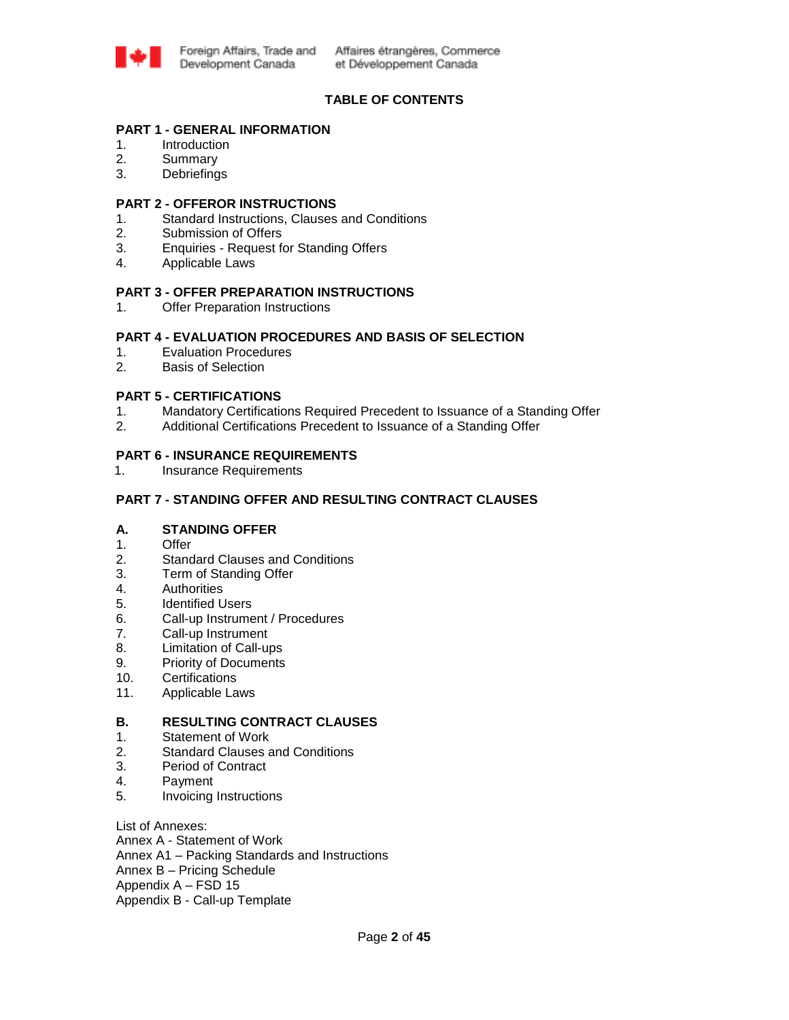

# **TABLE OF CONTENTS**

### **PART 1 - GENERAL INFORMATION**

- 1. Introduction
- 2. Summary
- 3. Debriefings

### **PART 2 - OFFEROR INSTRUCTIONS**

- 1. Standard Instructions, Clauses and Conditions
- 2. Submission of Offers
- 3. Enquiries Request for Standing Offers
- 4. Applicable Laws

### **PART 3 - OFFER PREPARATION INSTRUCTIONS**

1. Offer Preparation Instructions

### **PART 4 - EVALUATION PROCEDURES AND BASIS OF SELECTION**

- 1. Evaluation Procedures
- 2. Basis of Selection

# **PART 5 - CERTIFICATIONS**

- 1. Mandatory Certifications Required Precedent to Issuance of a Standing Offer
- 2. Additional Certifications Precedent to Issuance of a Standing Offer

### **PART 6 - INSURANCE REQUIREMENTS**

1. Insurance Requirements

### **PART 7 - STANDING OFFER AND RESULTING CONTRACT CLAUSES**

# **A. STANDING OFFER**

- 1. Offer
- 2. Standard Clauses and Conditions
- 3. Term of Standing Offer
- 4. Authorities
- 5. Identified Users
- 6. Call-up Instrument / Procedures
- 7. Call-up Instrument
- 8. Limitation of Call-ups
- 9. Priority of Documents
- 10. Certifications
- 11. Applicable Laws

# **B. RESULTING CONTRACT CLAUSES**

- 1. Statement of Work
- 2. Standard Clauses and Conditions
- 3. Period of Contract
- 4. Payment
- 5. Invoicing Instructions

List of Annexes: Annex A - Statement of Work Annex A1 – Packing Standards and Instructions Annex B – Pricing Schedule Appendix A – FSD 15 Appendix B - Call-up Template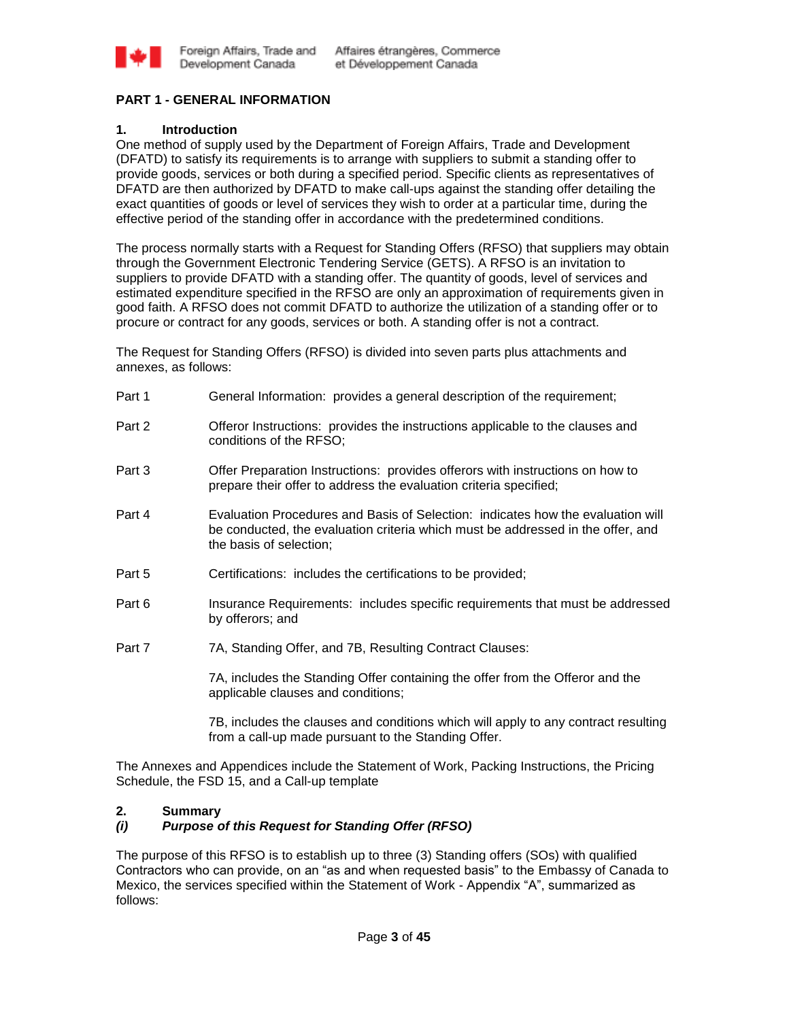

# **PART 1 - GENERAL INFORMATION**

# **1. Introduction**

One method of supply used by the Department of Foreign Affairs, Trade and Development (DFATD) to satisfy its requirements is to arrange with suppliers to submit a standing offer to provide goods, services or both during a specified period. Specific clients as representatives of DFATD are then authorized by DFATD to make call-ups against the standing offer detailing the exact quantities of goods or level of services they wish to order at a particular time, during the effective period of the standing offer in accordance with the predetermined conditions.

The process normally starts with a Request for Standing Offers (RFSO) that suppliers may obtain through the Government Electronic Tendering Service (GETS). A RFSO is an invitation to suppliers to provide DFATD with a standing offer. The quantity of goods, level of services and estimated expenditure specified in the RFSO are only an approximation of requirements given in good faith. A RFSO does not commit DFATD to authorize the utilization of a standing offer or to procure or contract for any goods, services or both. A standing offer is not a contract.

The Request for Standing Offers (RFSO) is divided into seven parts plus attachments and annexes, as follows:

| Part 1 | General Information: provides a general description of the requirement;                                                                                                                       |
|--------|-----------------------------------------------------------------------------------------------------------------------------------------------------------------------------------------------|
| Part 2 | Offeror Instructions: provides the instructions applicable to the clauses and<br>conditions of the RFSO;                                                                                      |
| Part 3 | Offer Preparation Instructions: provides offerors with instructions on how to<br>prepare their offer to address the evaluation criteria specified;                                            |
| Part 4 | Evaluation Procedures and Basis of Selection: indicates how the evaluation will<br>be conducted, the evaluation criteria which must be addressed in the offer, and<br>the basis of selection; |
| Part 5 | Certifications: includes the certifications to be provided;                                                                                                                                   |
| Part 6 | Insurance Requirements: includes specific requirements that must be addressed<br>by offerors; and                                                                                             |
| Part 7 | 7A, Standing Offer, and 7B, Resulting Contract Clauses:                                                                                                                                       |
|        | 7A, includes the Standing Offer containing the offer from the Offeror and the<br>applicable clauses and conditions;                                                                           |
|        | 7B, includes the clauses and conditions which will apply to any contract resulting<br>from a call-up made pursuant to the Standing Offer.                                                     |

The Annexes and Appendices include the Statement of Work, Packing Instructions, the Pricing Schedule, the FSD 15, and a Call-up template

# **2. Summary**

# *(i) Purpose of this Request for Standing Offer (RFSO)*

The purpose of this RFSO is to establish up to three (3) Standing offers (SOs) with qualified Contractors who can provide, on an "as and when requested basis" to the Embassy of Canada to Mexico, the services specified within the Statement of Work - Appendix "A", summarized as follows: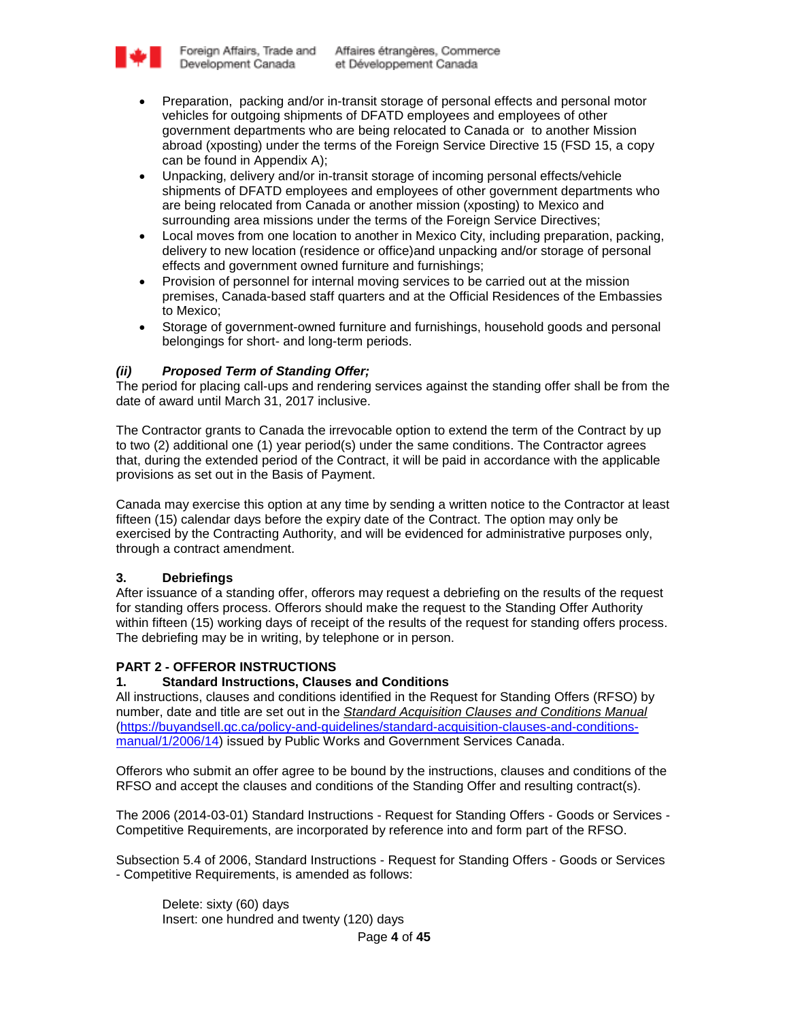

- Preparation, packing and/or in-transit storage of personal effects and personal motor vehicles for outgoing shipments of DFATD employees and employees of other government departments who are being relocated to Canada or to another Mission abroad (xposting) under the terms of the Foreign Service Directive 15 (FSD 15, a copy can be found in Appendix A);
- Unpacking, delivery and/or in-transit storage of incoming personal effects/vehicle shipments of DFATD employees and employees of other government departments who are being relocated from Canada or another mission (xposting) to Mexico and surrounding area missions under the terms of the Foreign Service Directives;
- Local moves from one location to another in Mexico City, including preparation, packing, delivery to new location (residence or office)and unpacking and/or storage of personal effects and government owned furniture and furnishings;
- Provision of personnel for internal moving services to be carried out at the mission premises, Canada-based staff quarters and at the Official Residences of the Embassies to Mexico;
- Storage of government-owned furniture and furnishings, household goods and personal belongings for short- and long-term periods.

# *(ii) Proposed Term of Standing Offer;*

The period for placing call-ups and rendering services against the standing offer shall be from the date of award until March 31, 2017 inclusive.

The Contractor grants to Canada the irrevocable option to extend the term of the Contract by up to two (2) additional one (1) year period(s) under the same conditions. The Contractor agrees that, during the extended period of the Contract, it will be paid in accordance with the applicable provisions as set out in the Basis of Payment.

Canada may exercise this option at any time by sending a written notice to the Contractor at least fifteen (15) calendar days before the expiry date of the Contract. The option may only be exercised by the Contracting Authority, and will be evidenced for administrative purposes only, through a contract amendment.

# **3. Debriefings**

After issuance of a standing offer, offerors may request a debriefing on the results of the request for standing offers process. Offerors should make the request to the Standing Offer Authority within fifteen (15) working days of receipt of the results of the request for standing offers process. The debriefing may be in writing, by telephone or in person.

# **PART 2 - OFFEROR INSTRUCTIONS**

### **1. Standard Instructions, Clauses and Conditions**

All instructions, clauses and conditions identified in the Request for Standing Offers (RFSO) by number, date and title are set out in the *[Standard Acquisition Clauses and Conditions Manual](https://buyandsell.gc.ca/policy-and-guidelines/standard-acquisition-clauses-and-conditions-manual)* [\(https://buyandsell.gc.ca/policy-and-guidelines/standard-acquisition-clauses-and-conditions](https://buyandsell.gc.ca/policy-and-guidelines/standard-acquisition-clauses-and-conditions-manual/1/2006/14)[manual/1/2006/14\)](https://buyandsell.gc.ca/policy-and-guidelines/standard-acquisition-clauses-and-conditions-manual/1/2006/14) issued by Public Works and Government Services Canada.

Offerors who submit an offer agree to be bound by the instructions, clauses and conditions of the RFSO and accept the clauses and conditions of the Standing Offer and resulting contract(s).

The 2006 (2014-03-01) Standard Instructions - Request for Standing Offers - Goods or Services - Competitive Requirements, are incorporated by reference into and form part of the RFSO.

Subsection 5.4 of 2006, Standard Instructions - Request for Standing Offers - Goods or Services - Competitive Requirements, is amended as follows:

Delete: sixty (60) days Insert: one hundred and twenty (120) days

Page **4** of **45**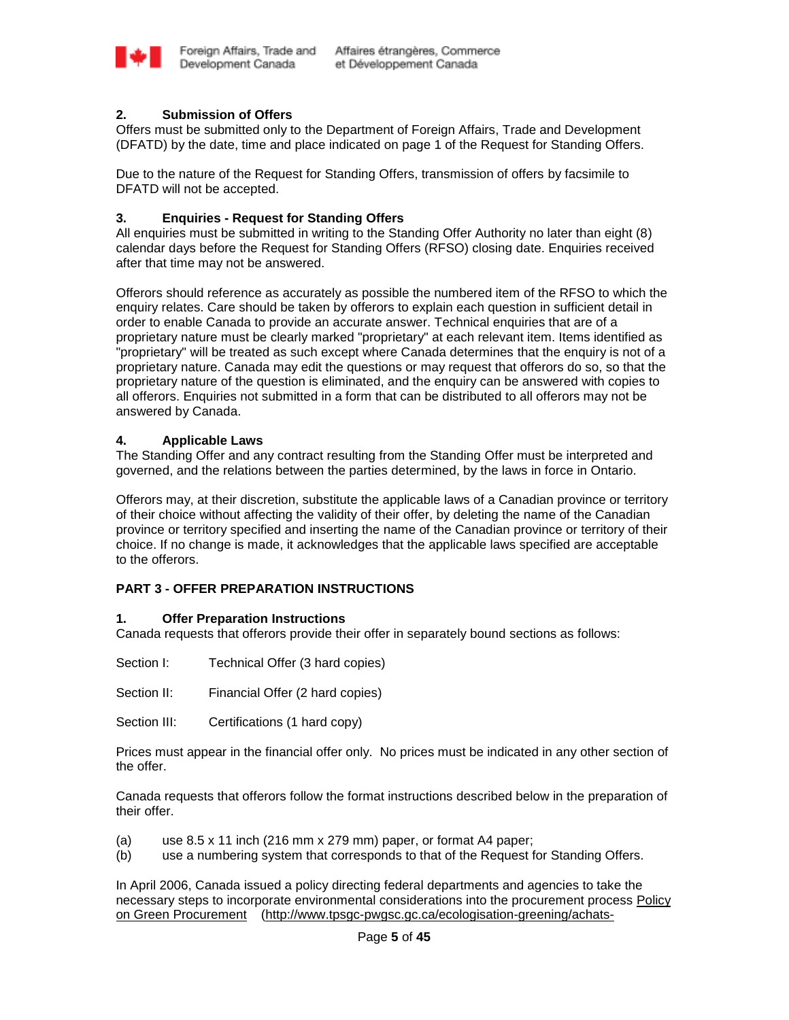

# **2. Submission of Offers**

Offers must be submitted only to the Department of Foreign Affairs, Trade and Development (DFATD) by the date, time and place indicated on page 1 of the Request for Standing Offers.

Due to the nature of the Request for Standing Offers, transmission of offers by facsimile to DFATD will not be accepted.

# **3. Enquiries - Request for Standing Offers**

All enquiries must be submitted in writing to the Standing Offer Authority no later than eight (8) calendar days before the Request for Standing Offers (RFSO) closing date. Enquiries received after that time may not be answered.

Offerors should reference as accurately as possible the numbered item of the RFSO to which the enquiry relates. Care should be taken by offerors to explain each question in sufficient detail in order to enable Canada to provide an accurate answer. Technical enquiries that are of a proprietary nature must be clearly marked "proprietary" at each relevant item. Items identified as "proprietary" will be treated as such except where Canada determines that the enquiry is not of a proprietary nature. Canada may edit the questions or may request that offerors do so, so that the proprietary nature of the question is eliminated, and the enquiry can be answered with copies to all offerors. Enquiries not submitted in a form that can be distributed to all offerors may not be answered by Canada.

### **4. Applicable Laws**

The Standing Offer and any contract resulting from the Standing Offer must be interpreted and governed, and the relations between the parties determined, by the laws in force in Ontario.

Offerors may, at their discretion, substitute the applicable laws of a Canadian province or territory of their choice without affecting the validity of their offer, by deleting the name of the Canadian province or territory specified and inserting the name of the Canadian province or territory of their choice. If no change is made, it acknowledges that the applicable laws specified are acceptable to the offerors.

# **PART 3 - OFFER PREPARATION INSTRUCTIONS**

### **1. Offer Preparation Instructions**

Canada requests that offerors provide their offer in separately bound sections as follows:

Section I: Technical Offer (3 hard copies)

Section II: Financial Offer (2 hard copies)

Section III: Certifications (1 hard copy)

Prices must appear in the financial offer only. No prices must be indicated in any other section of the offer.

Canada requests that offerors follow the format instructions described below in the preparation of their offer.

- (a) use 8.5 x 11 inch (216 mm x 279 mm) paper, or format A4 paper;
- (b) use a numbering system that corresponds to that of the Request for Standing Offers.

In April 2006, Canada issued a policy directing federal departments and agencies to take the necessary steps to incorporate environmental considerations into the procurement process [Policy](http://www.tpsgc-pwgsc.gc.ca/ecologisation-greening/achats-procurement/politique-policy-eng.html)  [on Green Procurement \(http://www.tpsgc-pwgsc.gc.ca/ecologisation-greening/achats-](http://www.tpsgc-pwgsc.gc.ca/ecologisation-greening/achats-procurement/politique-policy-eng.html)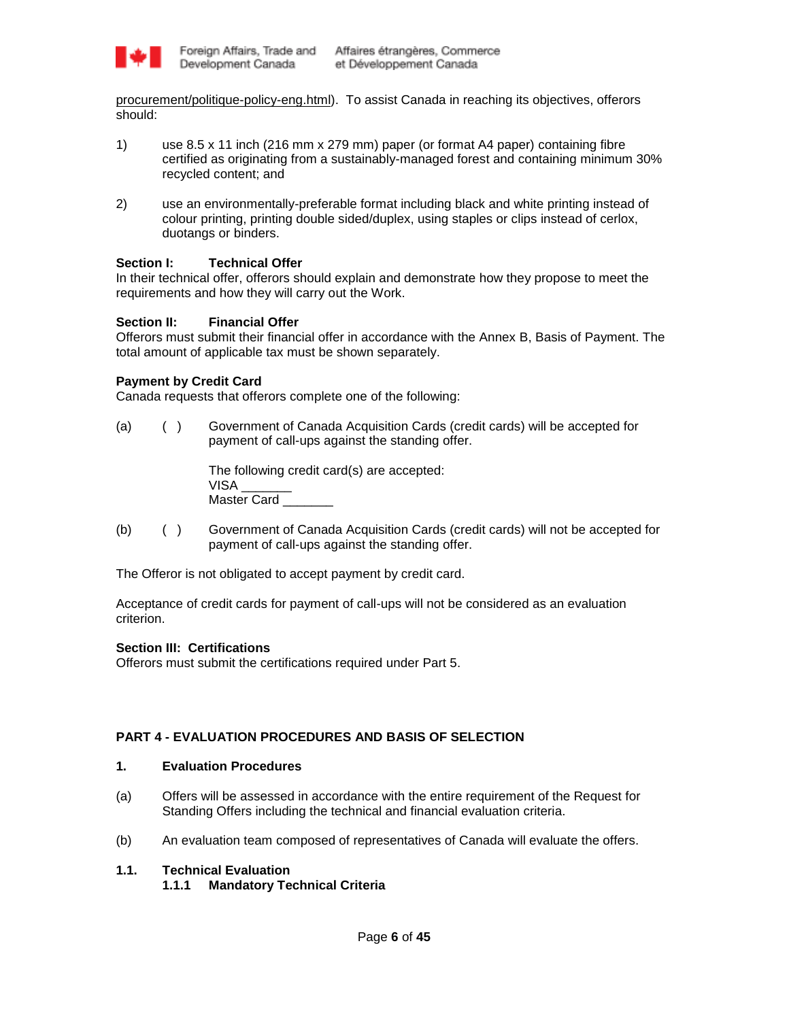

[procurement/politique-policy-eng.html\)](http://www.tpsgc-pwgsc.gc.ca/ecologisation-greening/achats-procurement/politique-policy-eng.html). To assist Canada in reaching its objectives, offerors should:

- 1) use 8.5 x 11 inch (216 mm x 279 mm) paper (or format A4 paper) containing fibre certified as originating from a sustainably-managed forest and containing minimum 30% recycled content; and
- 2) use an environmentally-preferable format including black and white printing instead of colour printing, printing double sided/duplex, using staples or clips instead of cerlox, duotangs or binders.

# **Section I: Technical Offer**

In their technical offer, offerors should explain and demonstrate how they propose to meet the requirements and how they will carry out the Work.

# **Section II: Financial Offer**

Offerors must submit their financial offer in accordance with the Annex B, Basis of Payment. The total amount of applicable tax must be shown separately.

# **Payment by Credit Card**

Canada requests that offerors complete one of the following:

(a) ( ) Government of Canada Acquisition Cards (credit cards) will be accepted for payment of call-ups against the standing offer.

> The following credit card(s) are accepted: VISA \_\_\_\_\_\_\_ Master Card

(b) ( ) Government of Canada Acquisition Cards (credit cards) will not be accepted for payment of call-ups against the standing offer.

The Offeror is not obligated to accept payment by credit card.

Acceptance of credit cards for payment of call-ups will not be considered as an evaluation criterion.

# **Section III: Certifications**

Offerors must submit the certifications required under Part 5.

# **PART 4 - EVALUATION PROCEDURES AND BASIS OF SELECTION**

### **1. Evaluation Procedures**

- (a) Offers will be assessed in accordance with the entire requirement of the Request for Standing Offers including the technical and financial evaluation criteria.
- (b) An evaluation team composed of representatives of Canada will evaluate the offers.

# **1.1. Technical Evaluation**

**1.1.1 Mandatory Technical Criteria**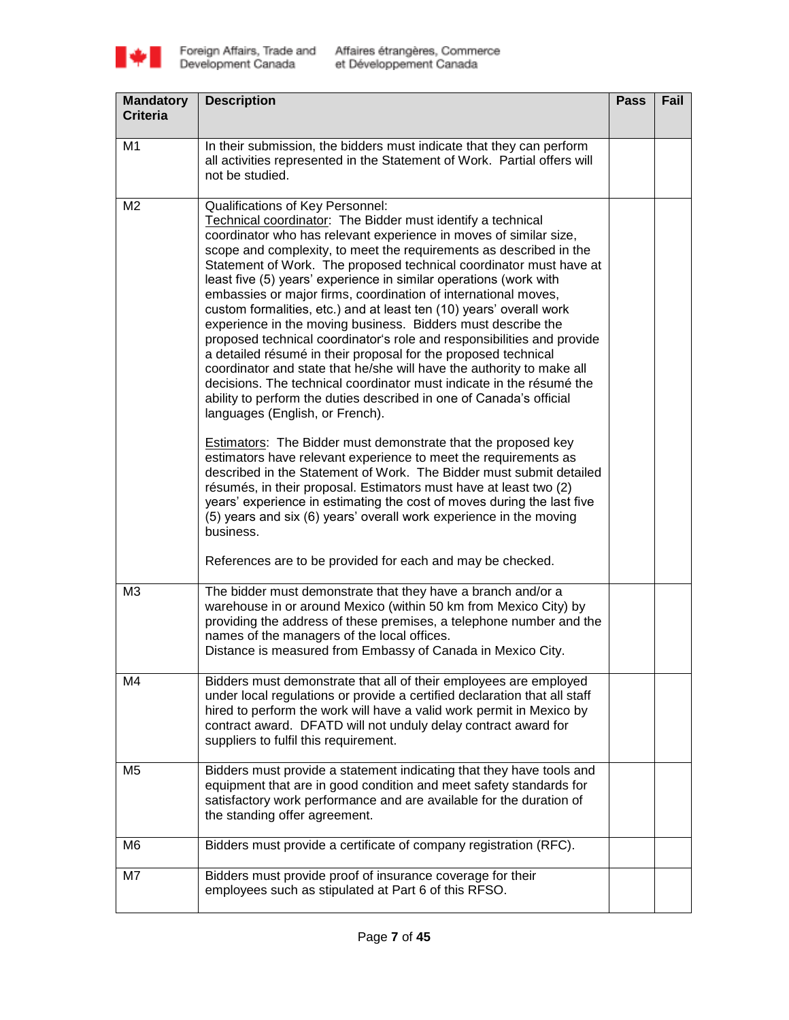

| <b>Mandatory</b><br><b>Criteria</b> | <b>Description</b>                                                                                                                                                                                                                                                                                                                                                                                                                                                                                                                                                                                                                                                                                                                                                                                                                                                                                                                                                                                                                                                                                                                                                                                                                                                                                                                                                                                                                                                                                                      | <b>Pass</b> | Fail |
|-------------------------------------|-------------------------------------------------------------------------------------------------------------------------------------------------------------------------------------------------------------------------------------------------------------------------------------------------------------------------------------------------------------------------------------------------------------------------------------------------------------------------------------------------------------------------------------------------------------------------------------------------------------------------------------------------------------------------------------------------------------------------------------------------------------------------------------------------------------------------------------------------------------------------------------------------------------------------------------------------------------------------------------------------------------------------------------------------------------------------------------------------------------------------------------------------------------------------------------------------------------------------------------------------------------------------------------------------------------------------------------------------------------------------------------------------------------------------------------------------------------------------------------------------------------------------|-------------|------|
| M1                                  | In their submission, the bidders must indicate that they can perform<br>all activities represented in the Statement of Work. Partial offers will<br>not be studied.                                                                                                                                                                                                                                                                                                                                                                                                                                                                                                                                                                                                                                                                                                                                                                                                                                                                                                                                                                                                                                                                                                                                                                                                                                                                                                                                                     |             |      |
| M <sub>2</sub>                      | Qualifications of Key Personnel:<br>Technical coordinator: The Bidder must identify a technical<br>coordinator who has relevant experience in moves of similar size,<br>scope and complexity, to meet the requirements as described in the<br>Statement of Work. The proposed technical coordinator must have at<br>least five (5) years' experience in similar operations (work with<br>embassies or major firms, coordination of international moves,<br>custom formalities, etc.) and at least ten (10) years' overall work<br>experience in the moving business. Bidders must describe the<br>proposed technical coordinator's role and responsibilities and provide<br>a detailed résumé in their proposal for the proposed technical<br>coordinator and state that he/she will have the authority to make all<br>decisions. The technical coordinator must indicate in the résumé the<br>ability to perform the duties described in one of Canada's official<br>languages (English, or French).<br><b>Estimators:</b> The Bidder must demonstrate that the proposed key<br>estimators have relevant experience to meet the requirements as<br>described in the Statement of Work. The Bidder must submit detailed<br>résumés, in their proposal. Estimators must have at least two (2)<br>years' experience in estimating the cost of moves during the last five<br>(5) years and six (6) years' overall work experience in the moving<br>business.<br>References are to be provided for each and may be checked. |             |      |
| M <sub>3</sub>                      | The bidder must demonstrate that they have a branch and/or a<br>warehouse in or around Mexico (within 50 km from Mexico City) by<br>providing the address of these premises, a telephone number and the<br>names of the managers of the local offices.<br>Distance is measured from Embassy of Canada in Mexico City.                                                                                                                                                                                                                                                                                                                                                                                                                                                                                                                                                                                                                                                                                                                                                                                                                                                                                                                                                                                                                                                                                                                                                                                                   |             |      |
| M4                                  | Bidders must demonstrate that all of their employees are employed<br>under local regulations or provide a certified declaration that all staff<br>hired to perform the work will have a valid work permit in Mexico by<br>contract award. DFATD will not unduly delay contract award for<br>suppliers to fulfil this requirement.                                                                                                                                                                                                                                                                                                                                                                                                                                                                                                                                                                                                                                                                                                                                                                                                                                                                                                                                                                                                                                                                                                                                                                                       |             |      |
| M <sub>5</sub>                      | Bidders must provide a statement indicating that they have tools and<br>equipment that are in good condition and meet safety standards for<br>satisfactory work performance and are available for the duration of<br>the standing offer agreement.                                                                                                                                                                                                                                                                                                                                                                                                                                                                                                                                                                                                                                                                                                                                                                                                                                                                                                                                                                                                                                                                                                                                                                                                                                                                      |             |      |
| M6                                  | Bidders must provide a certificate of company registration (RFC).                                                                                                                                                                                                                                                                                                                                                                                                                                                                                                                                                                                                                                                                                                                                                                                                                                                                                                                                                                                                                                                                                                                                                                                                                                                                                                                                                                                                                                                       |             |      |
| M7                                  | Bidders must provide proof of insurance coverage for their<br>employees such as stipulated at Part 6 of this RFSO.                                                                                                                                                                                                                                                                                                                                                                                                                                                                                                                                                                                                                                                                                                                                                                                                                                                                                                                                                                                                                                                                                                                                                                                                                                                                                                                                                                                                      |             |      |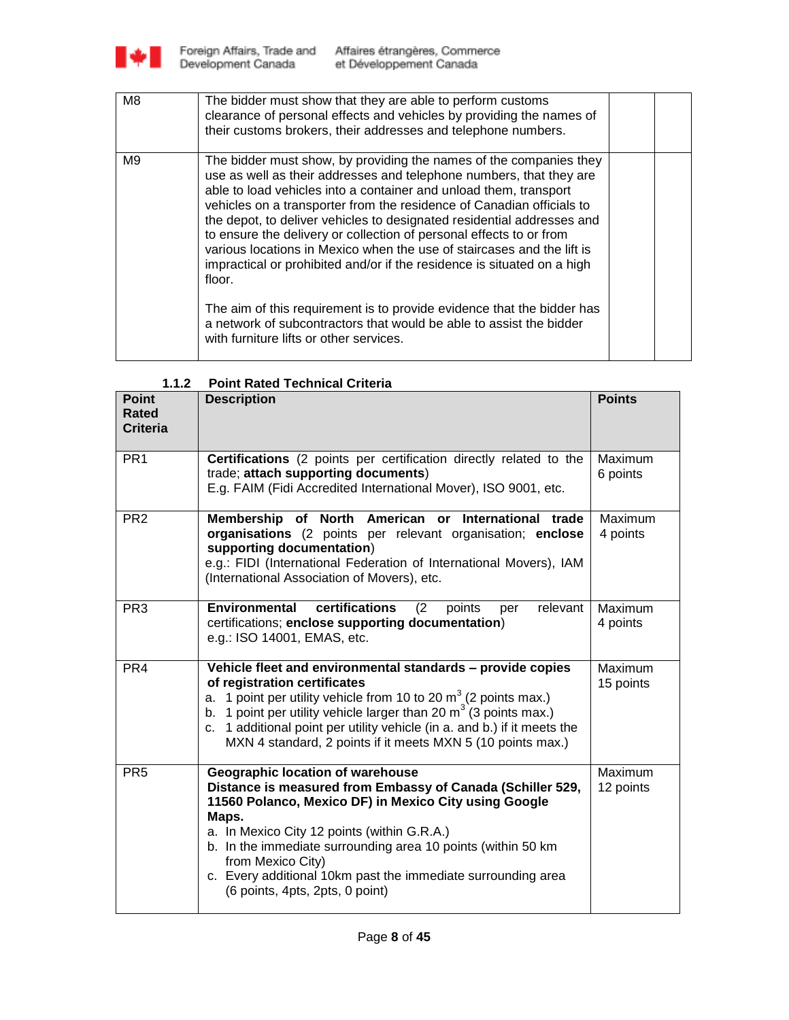

| M <sub>8</sub> | The bidder must show that they are able to perform customs<br>clearance of personal effects and vehicles by providing the names of<br>their customs brokers, their addresses and telephone numbers.                                                                                                                                                                                                                                                                                                                                                                                                                                                                                                                                                                                                 |  |
|----------------|-----------------------------------------------------------------------------------------------------------------------------------------------------------------------------------------------------------------------------------------------------------------------------------------------------------------------------------------------------------------------------------------------------------------------------------------------------------------------------------------------------------------------------------------------------------------------------------------------------------------------------------------------------------------------------------------------------------------------------------------------------------------------------------------------------|--|
| M9             | The bidder must show, by providing the names of the companies they<br>use as well as their addresses and telephone numbers, that they are<br>able to load vehicles into a container and unload them, transport<br>vehicles on a transporter from the residence of Canadian officials to<br>the depot, to deliver vehicles to designated residential addresses and<br>to ensure the delivery or collection of personal effects to or from<br>various locations in Mexico when the use of staircases and the lift is<br>impractical or prohibited and/or if the residence is situated on a high<br>floor.<br>The aim of this requirement is to provide evidence that the bidder has<br>a network of subcontractors that would be able to assist the bidder<br>with furniture lifts or other services. |  |
|                |                                                                                                                                                                                                                                                                                                                                                                                                                                                                                                                                                                                                                                                                                                                                                                                                     |  |

| 1.1.2                                    | <b>Point Rated Technical Criteria</b>                                                                                                                                                                                                                                                                                                                                                                    |                      |
|------------------------------------------|----------------------------------------------------------------------------------------------------------------------------------------------------------------------------------------------------------------------------------------------------------------------------------------------------------------------------------------------------------------------------------------------------------|----------------------|
| <b>Point</b><br>Rated<br><b>Criteria</b> | <b>Description</b>                                                                                                                                                                                                                                                                                                                                                                                       | <b>Points</b>        |
| PR <sub>1</sub>                          | Certifications (2 points per certification directly related to the<br>trade; attach supporting documents)<br>E.g. FAIM (Fidi Accredited International Mover), ISO 9001, etc.                                                                                                                                                                                                                             | Maximum<br>6 points  |
| PR <sub>2</sub>                          | Membership of North American or International trade<br>organisations (2 points per relevant organisation; enclose<br>supporting documentation)<br>e.g.: FIDI (International Federation of International Movers), IAM<br>(International Association of Movers), etc.                                                                                                                                      | Maximum<br>4 points  |
| PR <sub>3</sub>                          | certifications<br><b>Environmental</b><br>(2)<br>relevant<br>points<br>per<br>certifications; enclose supporting documentation)<br>e.g.: ISO 14001, EMAS, etc.                                                                                                                                                                                                                                           | Maximum<br>4 points  |
| PR <sub>4</sub>                          | Vehicle fleet and environmental standards - provide copies<br>of registration certificates<br>a. 1 point per utility vehicle from 10 to 20 $m^3$ (2 points max.)<br>b. 1 point per utility vehicle larger than 20 m <sup>3</sup> (3 points max.)<br>c. 1 additional point per utility vehicle (in a. and b.) if it meets the<br>MXN 4 standard, 2 points if it meets MXN 5 (10 points max.)              | Maximum<br>15 points |
| PR <sub>5</sub>                          | Geographic location of warehouse<br>Distance is measured from Embassy of Canada (Schiller 529,<br>11560 Polanco, Mexico DF) in Mexico City using Google<br>Maps.<br>a. In Mexico City 12 points (within G.R.A.)<br>b. In the immediate surrounding area 10 points (within 50 km)<br>from Mexico City)<br>c. Every additional 10km past the immediate surrounding area<br>(6 points, 4pts, 2pts, 0 point) | Maximum<br>12 points |

**1.1.2 Point Rated Technical Criteria**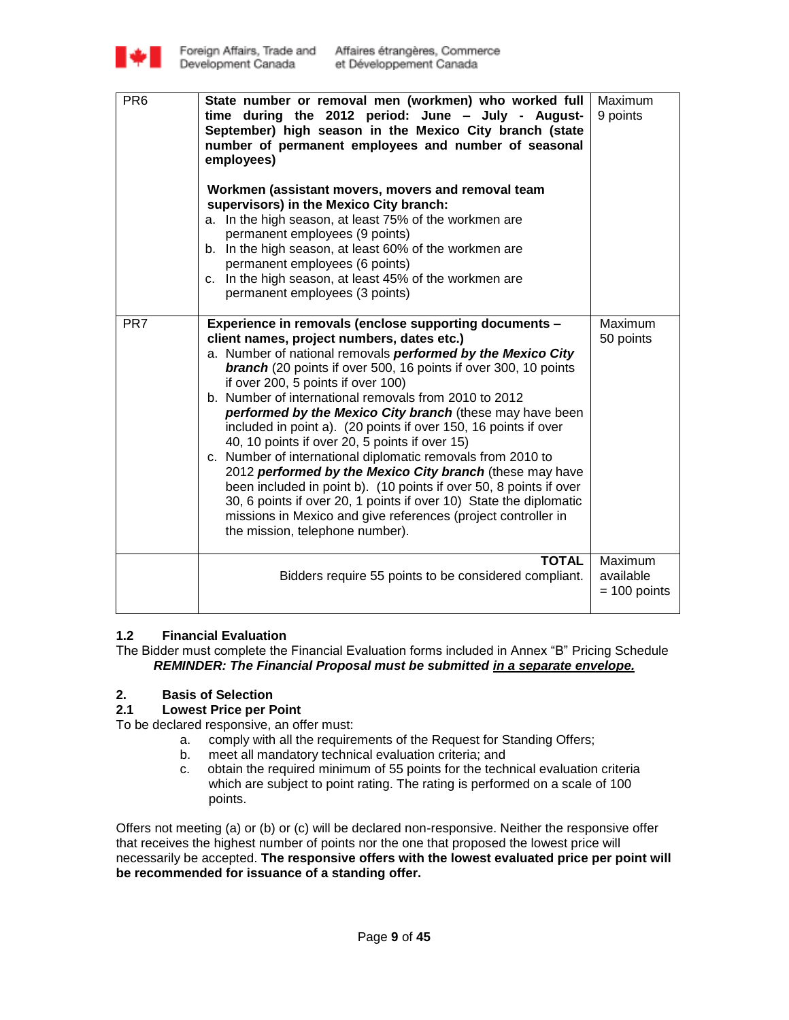

| PR <sub>6</sub> | State number or removal men (workmen) who worked full<br>time during the 2012 period: June - July - August-<br>September) high season in the Mexico City branch (state<br>number of permanent employees and number of seasonal<br>employees)<br>Workmen (assistant movers, movers and removal team<br>supervisors) in the Mexico City branch:<br>a. In the high season, at least 75% of the workmen are<br>permanent employees (9 points)<br>b. In the high season, at least 60% of the workmen are<br>permanent employees (6 points)<br>c. In the high season, at least 45% of the workmen are<br>permanent employees (3 points)                                                                                                                                                                                                                                                                        | Maximum<br>9 points                    |
|-----------------|----------------------------------------------------------------------------------------------------------------------------------------------------------------------------------------------------------------------------------------------------------------------------------------------------------------------------------------------------------------------------------------------------------------------------------------------------------------------------------------------------------------------------------------------------------------------------------------------------------------------------------------------------------------------------------------------------------------------------------------------------------------------------------------------------------------------------------------------------------------------------------------------------------|----------------------------------------|
| PR <sub>7</sub> | Experience in removals (enclose supporting documents -<br>client names, project numbers, dates etc.)<br>a. Number of national removals performed by the Mexico City<br><b>branch</b> (20 points if over 500, 16 points if over 300, 10 points<br>if over 200, 5 points if over 100)<br>b. Number of international removals from 2010 to 2012<br>performed by the Mexico City branch (these may have been<br>included in point a). (20 points if over 150, 16 points if over<br>40, 10 points if over 20, 5 points if over 15)<br>c. Number of international diplomatic removals from 2010 to<br>2012 performed by the Mexico City branch (these may have<br>been included in point b). (10 points if over 50, 8 points if over<br>30, 6 points if over 20, 1 points if over 10) State the diplomatic<br>missions in Mexico and give references (project controller in<br>the mission, telephone number). | Maximum<br>50 points                   |
|                 | <b>TOTAL</b><br>Bidders require 55 points to be considered compliant.                                                                                                                                                                                                                                                                                                                                                                                                                                                                                                                                                                                                                                                                                                                                                                                                                                    | Maximum<br>available<br>$= 100$ points |

# **1.2 Financial Evaluation**

The Bidder must complete the Financial Evaluation forms included in Annex "B" Pricing Schedule *REMINDER: The Financial Proposal must be submitted in a separate envelope.*

# **2. Basis of Selection**

### **2.1 Lowest Price per Point**

To be declared responsive, an offer must:

- a. comply with all the requirements of the Request for Standing Offers;
- b. meet all mandatory technical evaluation criteria; and
- c. obtain the required minimum of 55 points for the technical evaluation criteria which are subject to point rating. The rating is performed on a scale of 100 points.

Offers not meeting (a) or (b) or (c) will be declared non-responsive. Neither the responsive offer that receives the highest number of points nor the one that proposed the lowest price will necessarily be accepted. **The responsive offers with the lowest evaluated price per point will be recommended for issuance of a standing offer.**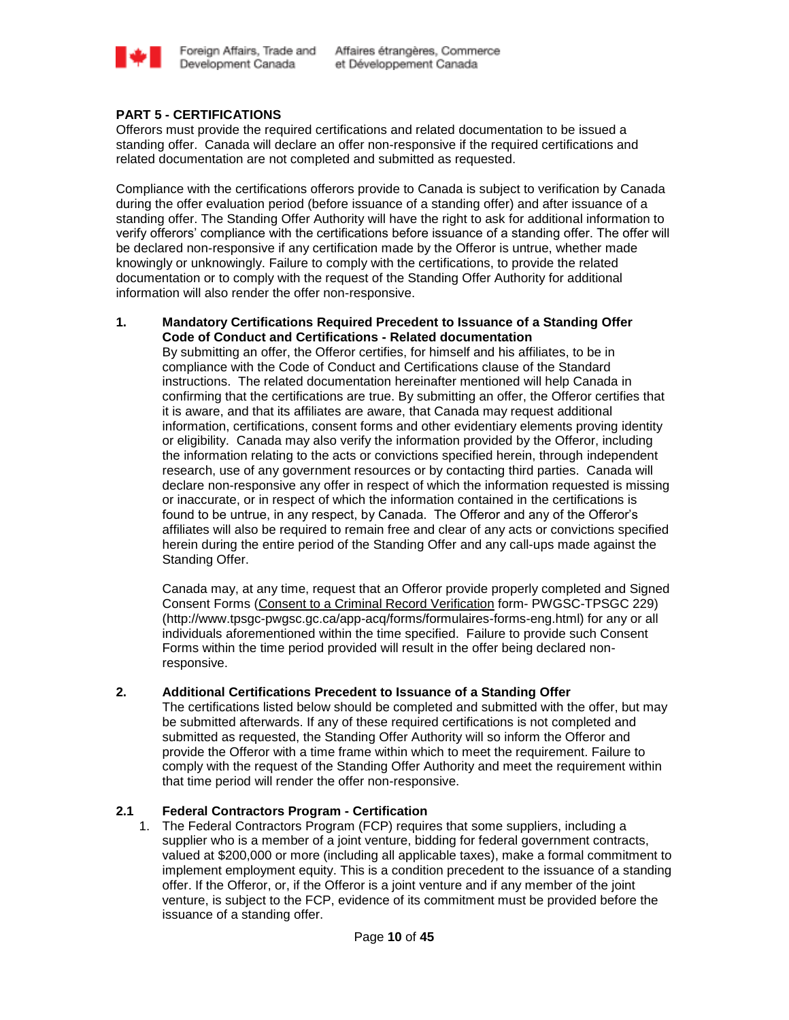

# **PART 5 - CERTIFICATIONS**

Offerors must provide the required certifications and related documentation to be issued a standing offer. Canada will declare an offer non-responsive if the required certifications and related documentation are not completed and submitted as requested.

Compliance with the certifications offerors provide to Canada is subject to verification by Canada during the offer evaluation period (before issuance of a standing offer) and after issuance of a standing offer. The Standing Offer Authority will have the right to ask for additional information to verify offerors' compliance with the certifications before issuance of a standing offer. The offer will be declared non-responsive if any certification made by the Offeror is untrue, whether made knowingly or unknowingly. Failure to comply with the certifications, to provide the related documentation or to comply with the request of the Standing Offer Authority for additional information will also render the offer non-responsive.

### **1. Mandatory Certifications Required Precedent to Issuance of a Standing Offer Code of Conduct and Certifications - Related documentation**

By submitting an offer, the Offeror certifies, for himself and his affiliates, to be in compliance with the Code of Conduct and Certifications clause of the Standard instructions. The related documentation hereinafter mentioned will help Canada in confirming that the certifications are true. By submitting an offer, the Offeror certifies that it is aware, and that its affiliates are aware, that Canada may request additional information, certifications, consent forms and other evidentiary elements proving identity or eligibility. Canada may also verify the information provided by the Offeror, including the information relating to the acts or convictions specified herein, through independent research, use of any government resources or by contacting third parties. Canada will declare non-responsive any offer in respect of which the information requested is missing or inaccurate, or in respect of which the information contained in the certifications is found to be untrue, in any respect, by Canada. The Offeror and any of the Offeror"s affiliates will also be required to remain free and clear of any acts or convictions specified herein during the entire period of the Standing Offer and any call-ups made against the Standing Offer.

Canada may, at any time, request that an Offeror provide properly completed and Signed Consent Forms [\(Consent to a Criminal Record Verification](http://www.tpsgc-pwgsc.gc.ca/app-acq/forms/formulaires-forms-eng.html) form- PWGSC-TPSGC 229) (http://www.tpsgc-pwgsc.gc.ca/app-acq/forms/formulaires-forms-eng.html) for any or all individuals aforementioned within the time specified. Failure to provide such Consent Forms within the time period provided will result in the offer being declared nonresponsive.

### **2. Additional Certifications Precedent to Issuance of a Standing Offer**

The certifications listed below should be completed and submitted with the offer, but may be submitted afterwards. If any of these required certifications is not completed and submitted as requested, the Standing Offer Authority will so inform the Offeror and provide the Offeror with a time frame within which to meet the requirement. Failure to comply with the request of the Standing Offer Authority and meet the requirement within that time period will render the offer non-responsive.

# **2.1 Federal Contractors Program - Certification**

1. The Federal Contractors Program (FCP) requires that some suppliers, including a supplier who is a member of a joint venture, bidding for federal government contracts, valued at \$200,000 or more (including all applicable taxes), make a formal commitment to implement employment equity. This is a condition precedent to the issuance of a standing offer. If the Offeror, or, if the Offeror is a joint venture and if any member of the joint venture, is subject to the FCP, evidence of its commitment must be provided before the issuance of a standing offer.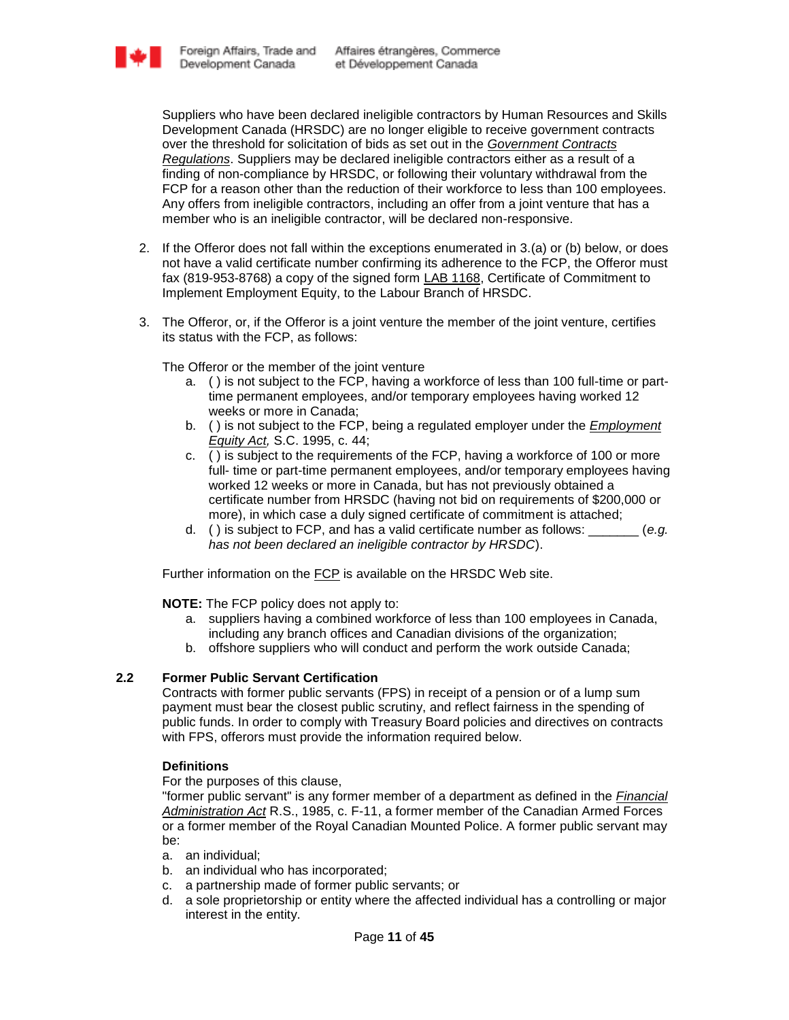Suppliers who have been declared ineligible contractors by Human Resources and Skills Development Canada (HRSDC) are no longer eligible to receive government contracts over the threshold for solicitation of bids as set out in the *[Government Contracts](http://laws-lois.justice.gc.ca/eng/regulations/SOR-87-402/)  [Regulations](http://laws-lois.justice.gc.ca/eng/regulations/SOR-87-402/)*. Suppliers may be declared ineligible contractors either as a result of a finding of non-compliance by HRSDC, or following their voluntary withdrawal from the FCP for a reason other than the reduction of their workforce to less than 100 employees. Any offers from ineligible contractors, including an offer from a joint venture that has a member who is an ineligible contractor, will be declared non-responsive.

- 2. If the Offeror does not fall within the exceptions enumerated in 3.(a) or (b) below, or does not have a valid certificate number confirming its adherence to the FCP, the Offeror must fax (819-953-8768) a copy of the signed form [LAB 1168,](http://www1.servicecanada.gc.ca/cgi-bin/search/eforms/index.cgi?app=profile&form=lab1168&dept=sc&lang=e) Certificate of Commitment to Implement Employment Equity, to the Labour Branch of HRSDC.
- 3. The Offeror, or, if the Offeror is a joint venture the member of the joint venture, certifies its status with the FCP, as follows:

The Offeror or the member of the joint venture

- a. ( ) is not subject to the FCP, having a workforce of less than 100 full-time or parttime permanent employees, and/or temporary employees having worked 12 weeks or more in Canada;
- b. ( ) is not subject to the FCP, being a regulated employer under the *[Employment](http://laws.justice.gc.ca/en/E-5.401/index.html)  [Equity Act,](http://laws.justice.gc.ca/en/E-5.401/index.html)* S.C. 1995, c. 44;
- c. ( ) is subject to the requirements of the FCP, having a workforce of 100 or more full- time or part-time permanent employees, and/or temporary employees having worked 12 weeks or more in Canada, but has not previously obtained a certificate number from HRSDC (having not bid on requirements of \$200,000 or more), in which case a duly signed certificate of commitment is attached;
- d. ( ) is subject to FCP, and has a valid certificate number as follows: \_\_\_\_\_\_\_ (*e.g. has not been declared an ineligible contractor by HRSDC*).

Further information on the [FCP](http://www.hrsdc.gc.ca/eng/labour/equality/fcp/index.shtml) is available on the HRSDC Web site.

**NOTE:** The FCP policy does not apply to:

- a. suppliers having a combined workforce of less than 100 employees in Canada, including any branch offices and Canadian divisions of the organization;
- b. offshore suppliers who will conduct and perform the work outside Canada;

# **2.2 Former Public Servant Certification**

Contracts with former public servants (FPS) in receipt of a pension or of a lump sum payment must bear the closest public scrutiny, and reflect fairness in the spending of public funds. In order to comply with Treasury Board policies and directives on contracts with FPS, offerors must provide the information required below.

# **Definitions**

For the purposes of this clause,

"former public servant" is any former member of a department as defined in the *[Financial](http://laws-lois.justice.gc.ca/eng/acts/f-11/)  [Administration Act](http://laws-lois.justice.gc.ca/eng/acts/f-11/)* R.S., 1985, c. F-11, a former member of the Canadian Armed Forces or a former member of the Royal Canadian Mounted Police. A former public servant may be:

- a. an individual;
- b. an individual who has incorporated;
- c. a partnership made of former public servants; or
- d. a sole proprietorship or entity where the affected individual has a controlling or major interest in the entity.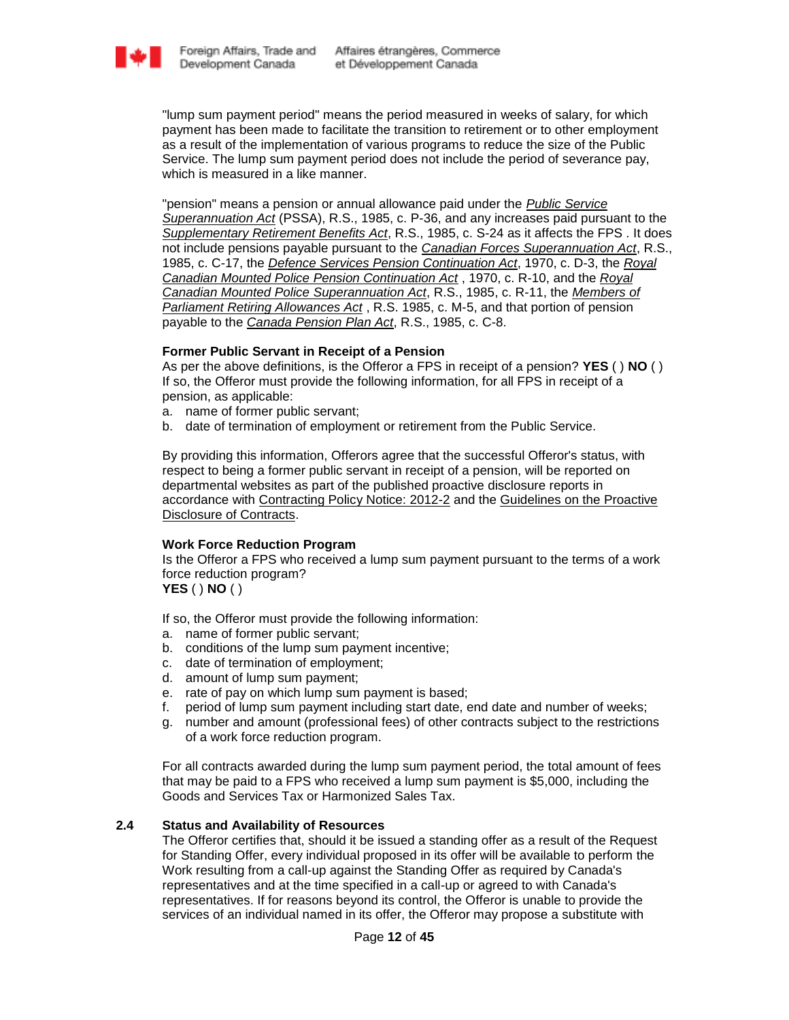

"lump sum payment period" means the period measured in weeks of salary, for which payment has been made to facilitate the transition to retirement or to other employment as a result of the implementation of various programs to reduce the size of the Public Service. The lump sum payment period does not include the period of severance pay, which is measured in a like manner.

"pension" means a pension or annual allowance paid under the *[Public Service](http://laws-lois.justice.gc.ca/eng/acts/P-36/FullText.html)  [Superannuation Act](http://laws-lois.justice.gc.ca/eng/acts/P-36/FullText.html)* (PSSA), R.S., 1985, c. P-36, and any increases paid pursuant to the *[Supplementary Retirement Benefits Act](http://laws-lois.justice.gc.ca/eng/acts/S-24/page-2.html)*, R.S., 1985, c. S-24 as it affects the FPS . It does not include pensions payable pursuant to the *[Canadian Forces Superannuation Act](http://laws-lois.justice.gc.ca/eng/acts/C-17/page-1.html)*, R.S., 1985, c. C-17, the *[Defence Services Pension Continuation Act](http://laws.justice.gc.ca/eng/acts/D-1.3/)*, 1970, c. D-3, the *[Royal](http://laws.justice.gc.ca/eng/acts/R-10.6/)  [Canadian Mounted Police Pension Continuation Act](http://laws.justice.gc.ca/eng/acts/R-10.6/)* , 1970, c. R-10, and the *[Royal](http://laws-lois.justice.gc.ca/eng/acts/R-11/page-19.html)  [Canadian Mounted Police Superannuation Act](http://laws-lois.justice.gc.ca/eng/acts/R-11/page-19.html)*, R.S., 1985, c. R-11, the *[Members of](http://laws-lois.justice.gc.ca/eng/acts/M-5.01/index.html)  [Parliament Retiring Allowances Act](http://laws-lois.justice.gc.ca/eng/acts/M-5.01/index.html)* , R.S. 1985, c. M-5, and that portion of pension payable to the *[Canada Pension Plan Act](http://laws-lois.justice.gc.ca/eng/acts/C-8/index.html)*, R.S., 1985, c. C-8.

### **Former Public Servant in Receipt of a Pension**

As per the above definitions, is the Offeror a FPS in receipt of a pension? **YES** ( ) **NO** ( ) If so, the Offeror must provide the following information, for all FPS in receipt of a pension, as applicable:

- a. name of former public servant;
- b. date of termination of employment or retirement from the Public Service.

By providing this information, Offerors agree that the successful Offeror's status, with respect to being a former public servant in receipt of a pension, will be reported on departmental websites as part of the published proactive disclosure reports in accordance with [Contracting Policy Notice: 2012-2](http://www.tbs-sct.gc.ca/pubs_pol/dcgpubs/ContPolNotices/2012/10-31-eng.asp) and the [Guidelines on the Proactive](http://www.tbs-sct.gc.ca/pol/doc-eng.aspx?id=14676§ion=text)  [Disclosure of Contracts.](http://www.tbs-sct.gc.ca/pol/doc-eng.aspx?id=14676§ion=text)

### **Work Force Reduction Program**

Is the Offeror a FPS who received a lump sum payment pursuant to the terms of a work force reduction program? **YES** ( ) **NO** ( )

- If so, the Offeror must provide the following information:
- a. name of former public servant;
- b. conditions of the lump sum payment incentive;
- c. date of termination of employment;
- d. amount of lump sum payment;
- e. rate of pay on which lump sum payment is based;
- f. period of lump sum payment including start date, end date and number of weeks;
- g. number and amount (professional fees) of other contracts subject to the restrictions of a work force reduction program.

For all contracts awarded during the lump sum payment period, the total amount of fees that may be paid to a FPS who received a lump sum payment is \$5,000, including the Goods and Services Tax or Harmonized Sales Tax.

# **2.4 Status and Availability of Resources**

The Offeror certifies that, should it be issued a standing offer as a result of the Request for Standing Offer, every individual proposed in its offer will be available to perform the Work resulting from a call-up against the Standing Offer as required by Canada's representatives and at the time specified in a call-up or agreed to with Canada's representatives. If for reasons beyond its control, the Offeror is unable to provide the services of an individual named in its offer, the Offeror may propose a substitute with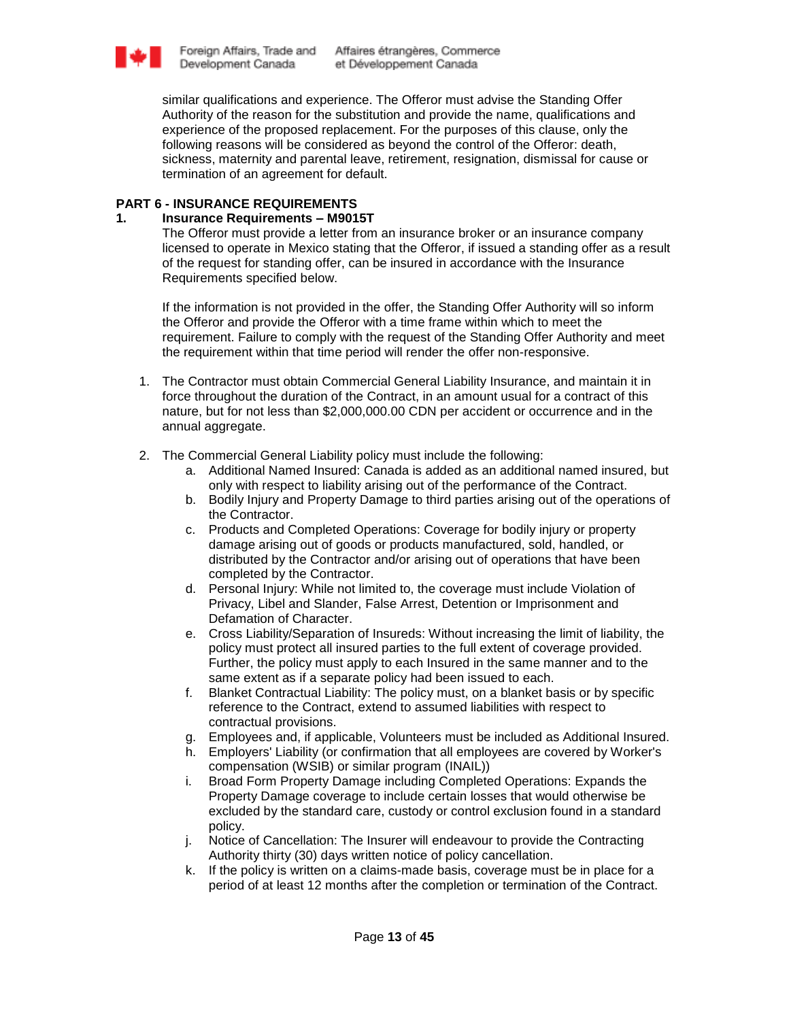

similar qualifications and experience. The Offeror must advise the Standing Offer Authority of the reason for the substitution and provide the name, qualifications and experience of the proposed replacement. For the purposes of this clause, only the following reasons will be considered as beyond the control of the Offeror: death, sickness, maternity and parental leave, retirement, resignation, dismissal for cause or termination of an agreement for default.

### **PART 6 - INSURANCE REQUIREMENTS**

### **1. Insurance Requirements – M9015T**

The Offeror must provide a letter from an insurance broker or an insurance company licensed to operate in Mexico stating that the Offeror, if issued a standing offer as a result of the request for standing offer, can be insured in accordance with the Insurance Requirements specified below.

If the information is not provided in the offer, the Standing Offer Authority will so inform the Offeror and provide the Offeror with a time frame within which to meet the requirement. Failure to comply with the request of the Standing Offer Authority and meet the requirement within that time period will render the offer non-responsive.

- 1. The Contractor must obtain Commercial General Liability Insurance, and maintain it in force throughout the duration of the Contract, in an amount usual for a contract of this nature, but for not less than \$2,000,000.00 CDN per accident or occurrence and in the annual aggregate.
- 2. The Commercial General Liability policy must include the following:
	- a. Additional Named Insured: Canada is added as an additional named insured, but only with respect to liability arising out of the performance of the Contract.
	- b. Bodily Injury and Property Damage to third parties arising out of the operations of the Contractor.
	- c. Products and Completed Operations: Coverage for bodily injury or property damage arising out of goods or products manufactured, sold, handled, or distributed by the Contractor and/or arising out of operations that have been completed by the Contractor.
	- d. Personal Injury: While not limited to, the coverage must include Violation of Privacy, Libel and Slander, False Arrest, Detention or Imprisonment and Defamation of Character.
	- e. Cross Liability/Separation of Insureds: Without increasing the limit of liability, the policy must protect all insured parties to the full extent of coverage provided. Further, the policy must apply to each Insured in the same manner and to the same extent as if a separate policy had been issued to each.
	- f. Blanket Contractual Liability: The policy must, on a blanket basis or by specific reference to the Contract, extend to assumed liabilities with respect to contractual provisions.
	- g. Employees and, if applicable, Volunteers must be included as Additional Insured.
	- h. Employers' Liability (or confirmation that all employees are covered by Worker's compensation (WSIB) or similar program (INAIL))
	- i. Broad Form Property Damage including Completed Operations: Expands the Property Damage coverage to include certain losses that would otherwise be excluded by the standard care, custody or control exclusion found in a standard policy.
	- j. Notice of Cancellation: The Insurer will endeavour to provide the Contracting Authority thirty (30) days written notice of policy cancellation.
	- k. If the policy is written on a claims-made basis, coverage must be in place for a period of at least 12 months after the completion or termination of the Contract.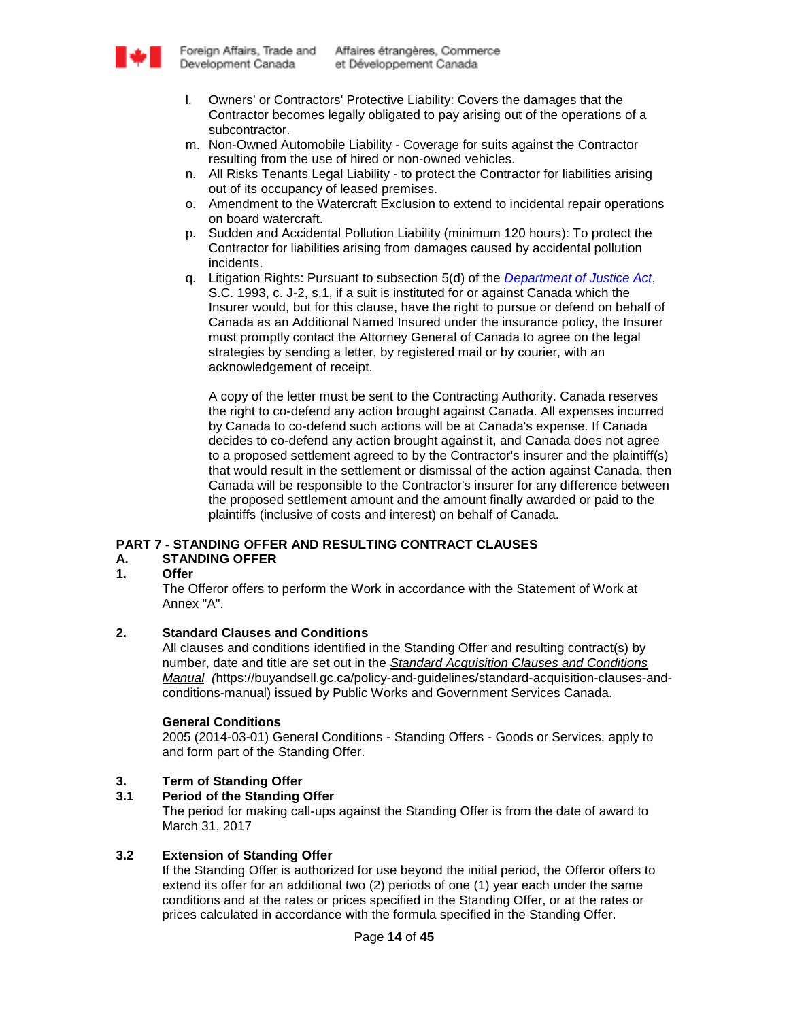

- l. Owners' or Contractors' Protective Liability: Covers the damages that the Contractor becomes legally obligated to pay arising out of the operations of a subcontractor.
- m. Non-Owned Automobile Liability Coverage for suits against the Contractor resulting from the use of hired or non-owned vehicles.
- n. All Risks Tenants Legal Liability to protect the Contractor for liabilities arising out of its occupancy of leased premises.
- o. Amendment to the Watercraft Exclusion to extend to incidental repair operations on board watercraft.
- p. Sudden and Accidental Pollution Liability (minimum 120 hours): To protect the Contractor for liabilities arising from damages caused by accidental pollution incidents.
- q. Litigation Rights: Pursuant to subsection 5(d) of the *[Department of Justice Act](http://laws-lois.justice.gc.ca/eng/acts/J-2/)*, S.C. 1993, c. J-2, s.1, if a suit is instituted for or against Canada which the Insurer would, but for this clause, have the right to pursue or defend on behalf of Canada as an Additional Named Insured under the insurance policy, the Insurer must promptly contact the Attorney General of Canada to agree on the legal strategies by sending a letter, by registered mail or by courier, with an acknowledgement of receipt.

A copy of the letter must be sent to the Contracting Authority. Canada reserves the right to co-defend any action brought against Canada. All expenses incurred by Canada to co-defend such actions will be at Canada's expense. If Canada decides to co-defend any action brought against it, and Canada does not agree to a proposed settlement agreed to by the Contractor's insurer and the plaintiff(s) that would result in the settlement or dismissal of the action against Canada, then Canada will be responsible to the Contractor's insurer for any difference between the proposed settlement amount and the amount finally awarded or paid to the plaintiffs (inclusive of costs and interest) on behalf of Canada.

# **PART 7 - STANDING OFFER AND RESULTING CONTRACT CLAUSES**

# **A. STANDING OFFER**

### **1. Offer**

The Offeror offers to perform the Work in accordance with the Statement of Work at Annex "A".

### **2. Standard Clauses and Conditions**

All clauses and conditions identified in the Standing Offer and resulting contract(s) by number, date and title are set out in the *[Standard Acquisition Clauses and Conditions](https://buyandsell.gc.ca/policy-and-guidelines/standard-acquisition-clauses-and-conditions-manual)  [Manual](https://buyandsell.gc.ca/policy-and-guidelines/standard-acquisition-clauses-and-conditions-manual) (*https://buyandsell.gc.ca/policy-and-guidelines/standard-acquisition-clauses-andconditions-manual) issued by Public Works and Government Services Canada.

### **General Conditions**

2005 (2014-03-01) General Conditions - Standing Offers - Goods or Services, apply to and form part of the Standing Offer.

### **3. Term of Standing Offer**

### **3.1 Period of the Standing Offer**

The period for making call-ups against the Standing Offer is from the date of award to March 31, 2017

### **3.2 Extension of Standing Offer**

If the Standing Offer is authorized for use beyond the initial period, the Offeror offers to extend its offer for an additional two (2) periods of one (1) year each under the same conditions and at the rates or prices specified in the Standing Offer, or at the rates or prices calculated in accordance with the formula specified in the Standing Offer.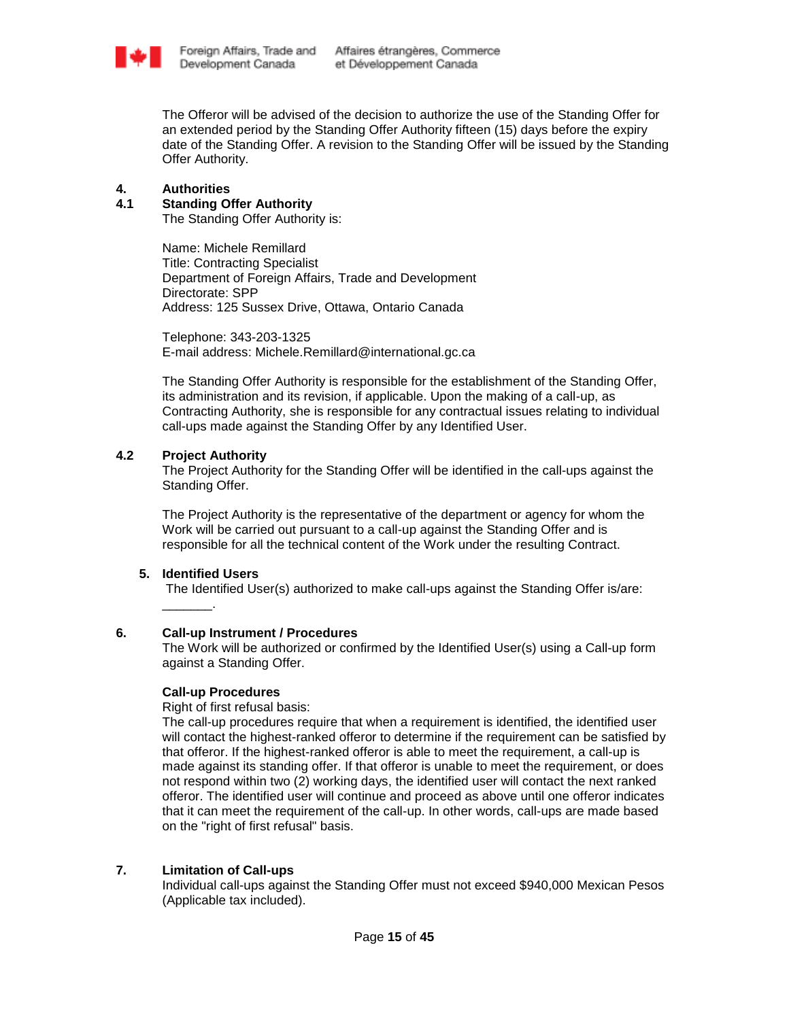

The Offeror will be advised of the decision to authorize the use of the Standing Offer for an extended period by the Standing Offer Authority fifteen (15) days before the expiry date of the Standing Offer. A revision to the Standing Offer will be issued by the Standing Offer Authority.

### **4. Authorities**

### **4.1 Standing Offer Authority**

The Standing Offer Authority is:

Name: Michele Remillard Title: Contracting Specialist Department of Foreign Affairs, Trade and Development Directorate: SPP Address: 125 Sussex Drive, Ottawa, Ontario Canada

Telephone: 343-203-1325 E-mail address: Michele.Remillard@international.gc.ca

The Standing Offer Authority is responsible for the establishment of the Standing Offer, its administration and its revision, if applicable. Upon the making of a call-up, as Contracting Authority, she is responsible for any contractual issues relating to individual call-ups made against the Standing Offer by any Identified User.

### **4.2 Project Authority**

The Project Authority for the Standing Offer will be identified in the call-ups against the Standing Offer.

The Project Authority is the representative of the department or agency for whom the Work will be carried out pursuant to a call-up against the Standing Offer and is responsible for all the technical content of the Work under the resulting Contract.

### **5. Identified Users**

\_\_\_\_\_\_\_.

The Identified User(s) authorized to make call-ups against the Standing Offer is/are:

### **6. Call-up Instrument / Procedures**

The Work will be authorized or confirmed by the Identified User(s) using a Call-up form against a Standing Offer.

### **Call-up Procedures**

Right of first refusal basis:

The call-up procedures require that when a requirement is identified, the identified user will contact the highest-ranked offeror to determine if the requirement can be satisfied by that offeror. If the highest-ranked offeror is able to meet the requirement, a call-up is made against its standing offer. If that offeror is unable to meet the requirement, or does not respond within two (2) working days, the identified user will contact the next ranked offeror. The identified user will continue and proceed as above until one offeror indicates that it can meet the requirement of the call-up. In other words, call-ups are made based on the "right of first refusal" basis.

# **7. Limitation of Call-ups**

Individual call-ups against the Standing Offer must not exceed \$940,000 Mexican Pesos (Applicable tax included).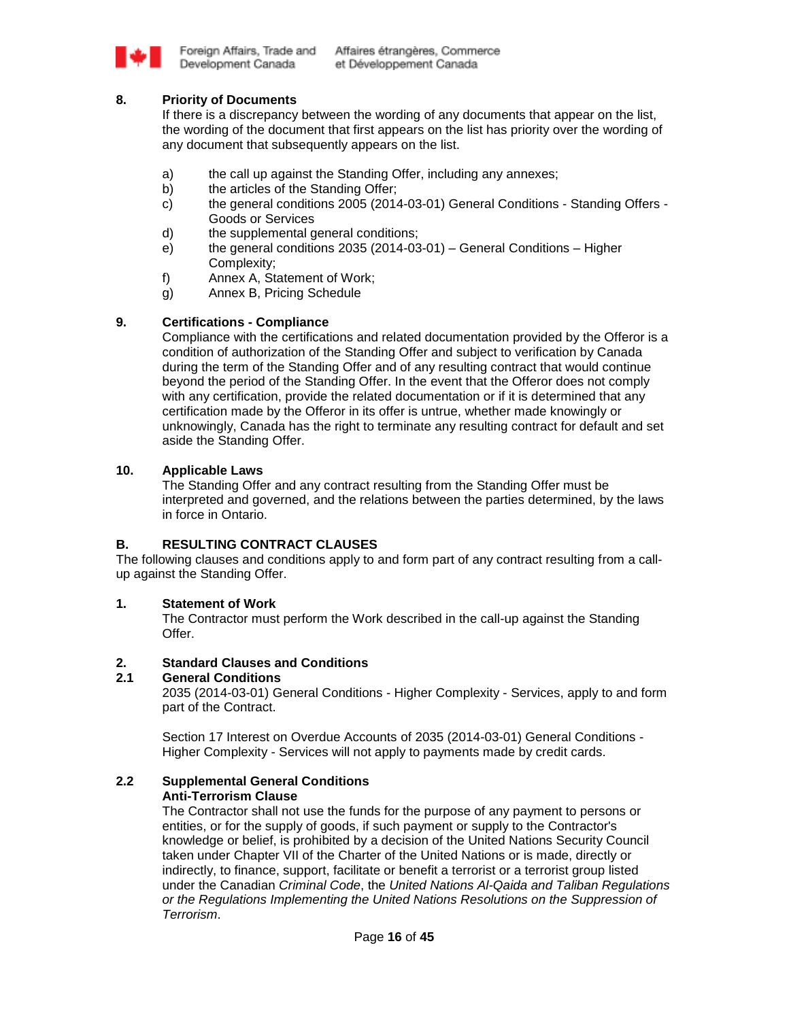

# **8. Priority of Documents**

If there is a discrepancy between the wording of any documents that appear on the list, the wording of the document that first appears on the list has priority over the wording of any document that subsequently appears on the list.

- a) the call up against the Standing Offer, including any annexes;
- b) the articles of the Standing Offer;
- c) the general conditions 2005 (2014-03-01) General Conditions Standing Offers Goods or Services
- d) the supplemental general conditions;
- e) the general conditions 2035 (2014-03-01) General Conditions Higher Complexity;
- f) Annex A, Statement of Work;
- g) Annex B, Pricing Schedule

# **9. Certifications - Compliance**

Compliance with the certifications and related documentation provided by the Offeror is a condition of authorization of the Standing Offer and subject to verification by Canada during the term of the Standing Offer and of any resulting contract that would continue beyond the period of the Standing Offer. In the event that the Offeror does not comply with any certification, provide the related documentation or if it is determined that any certification made by the Offeror in its offer is untrue, whether made knowingly or unknowingly, Canada has the right to terminate any resulting contract for default and set aside the Standing Offer.

# **10. Applicable Laws**

The Standing Offer and any contract resulting from the Standing Offer must be interpreted and governed, and the relations between the parties determined, by the laws in force in Ontario.

# **B. RESULTING CONTRACT CLAUSES**

The following clauses and conditions apply to and form part of any contract resulting from a callup against the Standing Offer.

# **1. Statement of Work**

The Contractor must perform the Work described in the call-up against the Standing Offer.

# **2. Standard Clauses and Conditions**

### **2.1 General Conditions**

2035 (2014-03-01) General Conditions - Higher Complexity - Services, apply to and form part of the Contract.

Section 17 Interest on Overdue Accounts of 2035 (2014-03-01) General Conditions - Higher Complexity - Services will not apply to payments made by credit cards.

### **2.2 Supplemental General Conditions Anti-Terrorism Clause**

The Contractor shall not use the funds for the purpose of any payment to persons or entities, or for the supply of goods, if such payment or supply to the Contractor's knowledge or belief, is prohibited by a decision of the United Nations Security Council taken under Chapter VII of the Charter of the United Nations or is made, directly or indirectly, to finance, support, facilitate or benefit a terrorist or a terrorist group listed under the Canadian *Criminal Code*, the *United Nations Al-Qaida and Taliban Regulations or the Regulations Implementing the United Nations Resolutions on the Suppression of Terrorism*.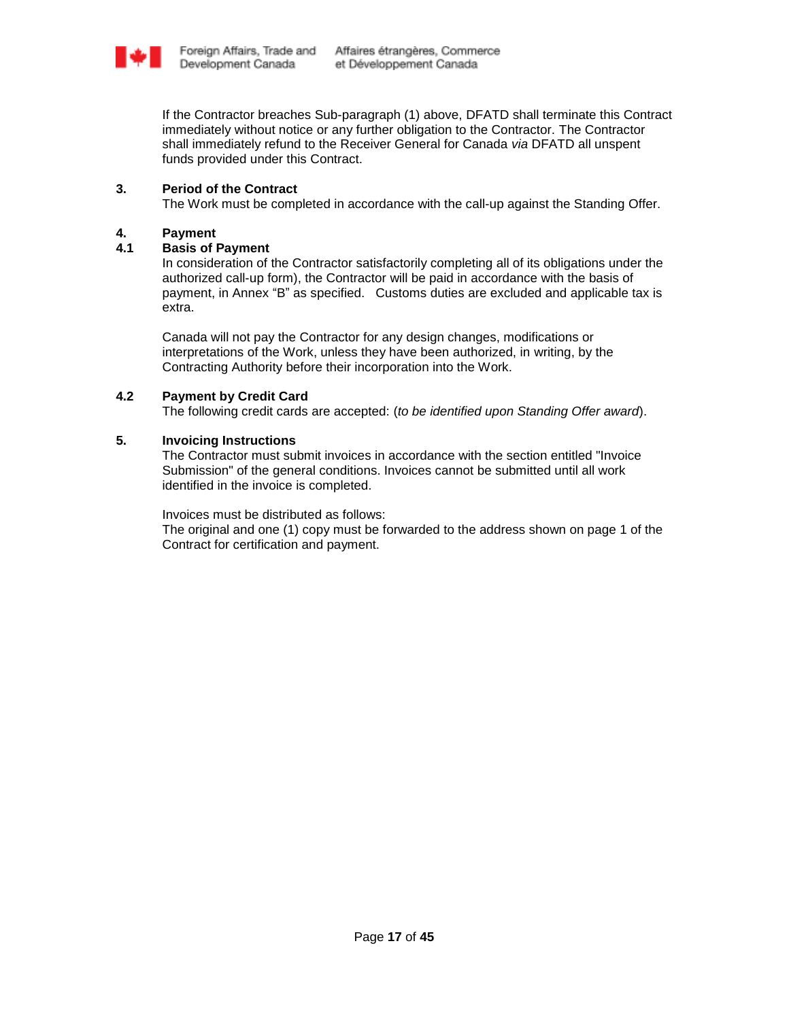

If the Contractor breaches Sub-paragraph (1) above, DFATD shall terminate this Contract immediately without notice or any further obligation to the Contractor. The Contractor shall immediately refund to the Receiver General for Canada *via* DFATD all unspent funds provided under this Contract.

# **3. Period of the Contract**

The Work must be completed in accordance with the call-up against the Standing Offer.

# **4. Payment**

### **4.1 Basis of Payment**

In consideration of the Contractor satisfactorily completing all of its obligations under the authorized call-up form), the Contractor will be paid in accordance with the basis of payment, in Annex "B" as specified. Customs duties are excluded and applicable tax is extra.

Canada will not pay the Contractor for any design changes, modifications or interpretations of the Work, unless they have been authorized, in writing, by the Contracting Authority before their incorporation into the Work.

# **4.2 Payment by Credit Card**

The following credit cards are accepted: (*to be identified upon Standing Offer award*).

# **5. Invoicing Instructions**

The Contractor must submit invoices in accordance with the section entitled "Invoice Submission" of the general conditions. Invoices cannot be submitted until all work identified in the invoice is completed.

Invoices must be distributed as follows:

The original and one (1) copy must be forwarded to the address shown on page 1 of the Contract for certification and payment.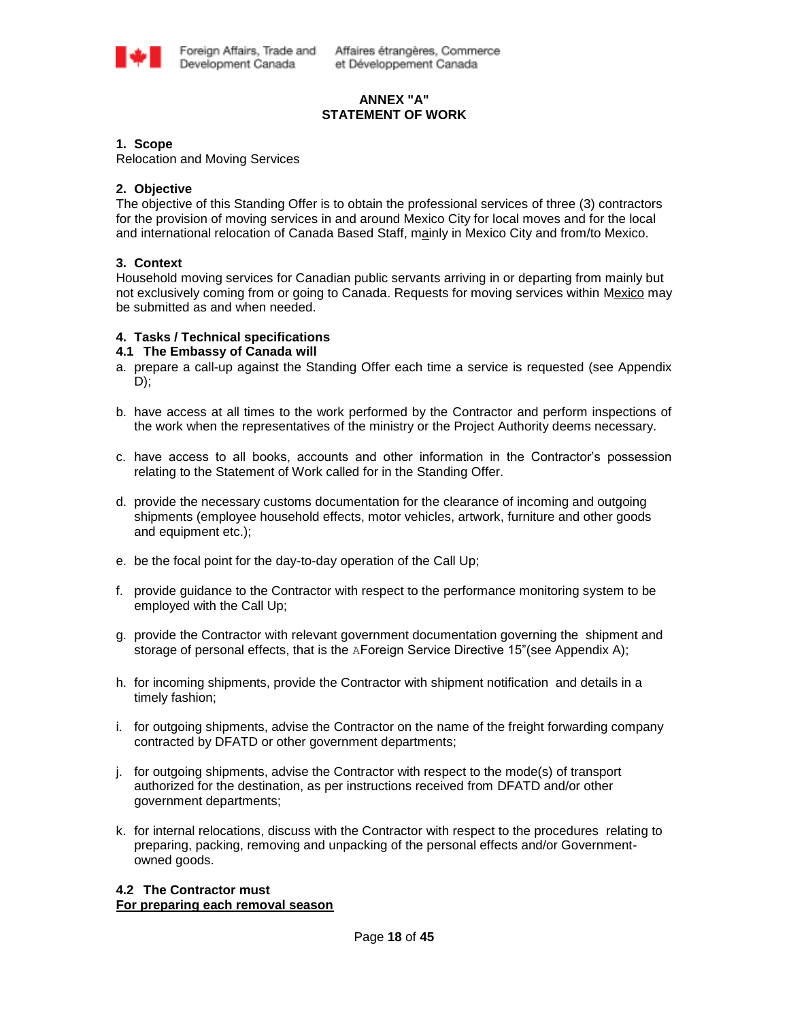

# **ANNEX "A" STATEMENT OF WORK**

### **1. Scope**

Relocation and Moving Services

### **2. Objective**

The objective of this Standing Offer is to obtain the professional services of three (3) contractors for the provision of moving services in and around Mexico City for local moves and for the local and international relocation of Canada Based Staff, mainly in Mexico City and from/to Mexico.

### **3. Context**

Household moving services for Canadian public servants arriving in or departing from mainly but not exclusively coming from or going to Canada. Requests for moving services within Mexico may be submitted as and when needed.

### **4. Tasks / Technical specifications**

### **4.1 The Embassy of Canada will**

- a. prepare a call-up against the Standing Offer each time a service is requested (see Appendix D);
- b. have access at all times to the work performed by the Contractor and perform inspections of the work when the representatives of the ministry or the Project Authority deems necessary.
- c. have access to all books, accounts and other information in the Contractor"s possession relating to the Statement of Work called for in the Standing Offer.
- d. provide the necessary customs documentation for the clearance of incoming and outgoing shipments (employee household effects, motor vehicles, artwork, furniture and other goods and equipment etc.);
- e. be the focal point for the day-to-day operation of the Call Up;
- f. provide guidance to the Contractor with respect to the performance monitoring system to be employed with the Call Up;
- g. provide the Contractor with relevant government documentation governing the shipment and storage of personal effects, that is the AForeign Service Directive 15" (see Appendix A);
- h. for incoming shipments, provide the Contractor with shipment notification and details in a timely fashion;
- i. for outgoing shipments, advise the Contractor on the name of the freight forwarding company contracted by DFATD or other government departments;
- j. for outgoing shipments, advise the Contractor with respect to the mode(s) of transport authorized for the destination, as per instructions received from DFATD and/or other government departments;
- k. for internal relocations, discuss with the Contractor with respect to the procedures relating to preparing, packing, removing and unpacking of the personal effects and/or Governmentowned goods.

### **4.2 The Contractor must For preparing each removal season**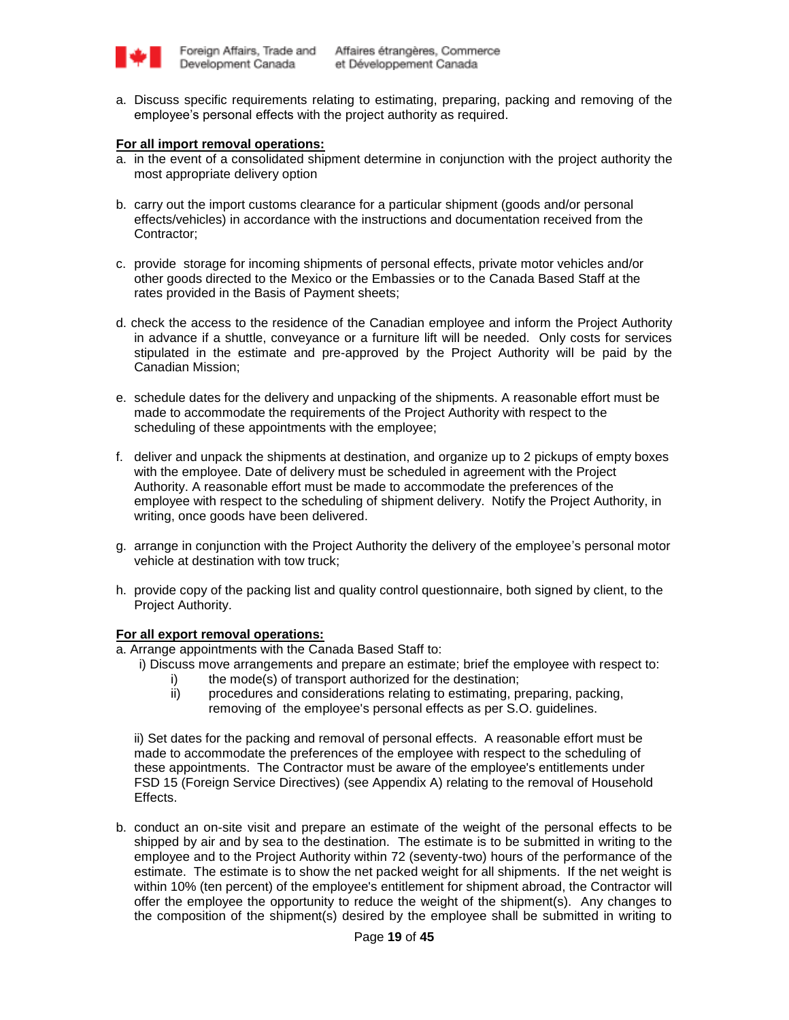

a. Discuss specific requirements relating to estimating, preparing, packing and removing of the employee's personal effects with the project authority as required.

### **For all import removal operations:**

- a. in the event of a consolidated shipment determine in conjunction with the project authority the most appropriate delivery option
- b. carry out the import customs clearance for a particular shipment (goods and/or personal effects/vehicles) in accordance with the instructions and documentation received from the Contractor;
- c. provide storage for incoming shipments of personal effects, private motor vehicles and/or other goods directed to the Mexico or the Embassies or to the Canada Based Staff at the rates provided in the Basis of Payment sheets;
- d. check the access to the residence of the Canadian employee and inform the Project Authority in advance if a shuttle, conveyance or a furniture lift will be needed. Only costs for services stipulated in the estimate and pre-approved by the Project Authority will be paid by the Canadian Mission;
- e. schedule dates for the delivery and unpacking of the shipments. A reasonable effort must be made to accommodate the requirements of the Project Authority with respect to the scheduling of these appointments with the employee;
- f. deliver and unpack the shipments at destination, and organize up to 2 pickups of empty boxes with the employee. Date of delivery must be scheduled in agreement with the Project Authority. A reasonable effort must be made to accommodate the preferences of the employee with respect to the scheduling of shipment delivery. Notify the Project Authority, in writing, once goods have been delivered.
- g. arrange in conjunction with the Project Authority the delivery of the employee"s personal motor vehicle at destination with tow truck;
- h. provide copy of the packing list and quality control questionnaire, both signed by client, to the Project Authority.

### **For all export removal operations:**

a. Arrange appointments with the Canada Based Staff to:

- i) Discuss move arrangements and prepare an estimate; brief the employee with respect to:
	- i) the mode(s) of transport authorized for the destination;
	- ii) procedures and considerations relating to estimating, preparing, packing, removing of the employee's personal effects as per S.O. guidelines.

ii) Set dates for the packing and removal of personal effects. A reasonable effort must be made to accommodate the preferences of the employee with respect to the scheduling of these appointments. The Contractor must be aware of the employee's entitlements under FSD 15 (Foreign Service Directives) (see Appendix A) relating to the removal of Household Effects.

b. conduct an on-site visit and prepare an estimate of the weight of the personal effects to be shipped by air and by sea to the destination. The estimate is to be submitted in writing to the employee and to the Project Authority within 72 (seventy-two) hours of the performance of the estimate. The estimate is to show the net packed weight for all shipments. If the net weight is within 10% (ten percent) of the employee's entitlement for shipment abroad, the Contractor will offer the employee the opportunity to reduce the weight of the shipment(s). Any changes to the composition of the shipment(s) desired by the employee shall be submitted in writing to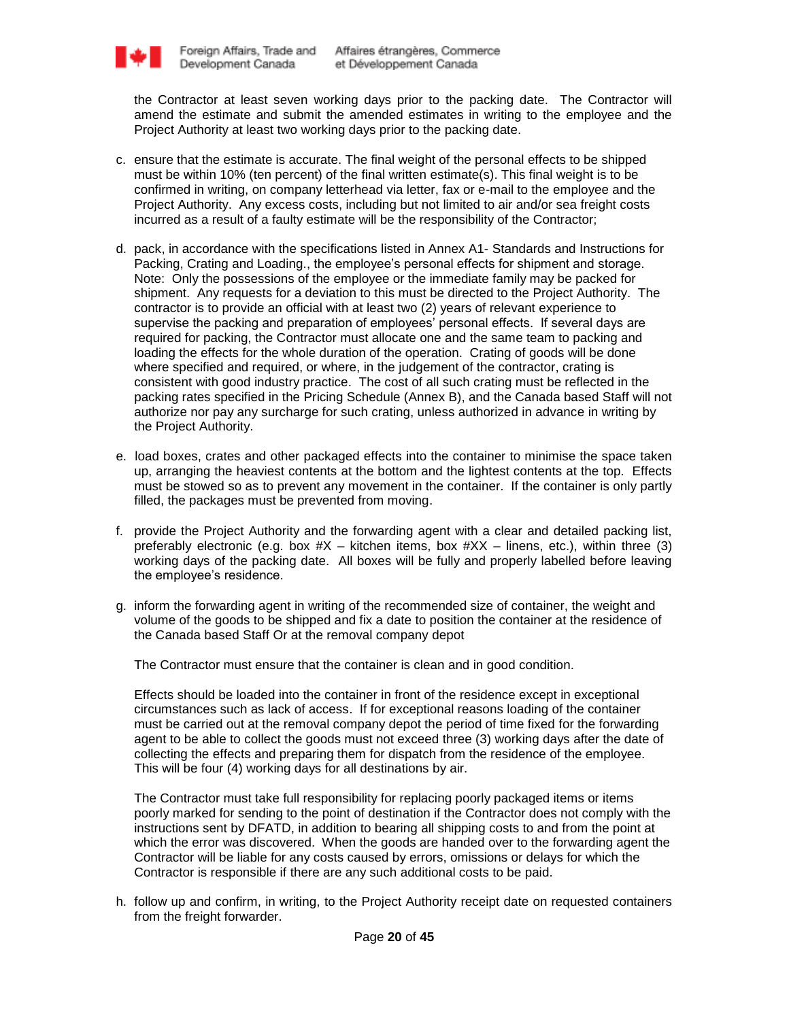

the Contractor at least seven working days prior to the packing date. The Contractor will amend the estimate and submit the amended estimates in writing to the employee and the Project Authority at least two working days prior to the packing date.

- c. ensure that the estimate is accurate. The final weight of the personal effects to be shipped must be within 10% (ten percent) of the final written estimate(s). This final weight is to be confirmed in writing, on company letterhead via letter, fax or e-mail to the employee and the Project Authority. Any excess costs, including but not limited to air and/or sea freight costs incurred as a result of a faulty estimate will be the responsibility of the Contractor;
- d. pack, in accordance with the specifications listed in Annex A1- Standards and Instructions for Packing, Crating and Loading., the employee"s personal effects for shipment and storage. Note: Only the possessions of the employee or the immediate family may be packed for shipment. Any requests for a deviation to this must be directed to the Project Authority. The contractor is to provide an official with at least two (2) years of relevant experience to supervise the packing and preparation of employees" personal effects. If several days are required for packing, the Contractor must allocate one and the same team to packing and loading the effects for the whole duration of the operation. Crating of goods will be done where specified and required, or where, in the judgement of the contractor, crating is consistent with good industry practice. The cost of all such crating must be reflected in the packing rates specified in the Pricing Schedule (Annex B), and the Canada based Staff will not authorize nor pay any surcharge for such crating, unless authorized in advance in writing by the Project Authority.
- e. load boxes, crates and other packaged effects into the container to minimise the space taken up, arranging the heaviest contents at the bottom and the lightest contents at the top. Effects must be stowed so as to prevent any movement in the container. If the container is only partly filled, the packages must be prevented from moving.
- f. provide the Project Authority and the forwarding agent with a clear and detailed packing list, preferably electronic (e.g. box  $#X$  – kitchen items, box  $#XX$  – linens, etc.), within three (3) working days of the packing date. All boxes will be fully and properly labelled before leaving the employee's residence.
- g. inform the forwarding agent in writing of the recommended size of container, the weight and volume of the goods to be shipped and fix a date to position the container at the residence of the Canada based Staff Or at the removal company depot

The Contractor must ensure that the container is clean and in good condition.

Effects should be loaded into the container in front of the residence except in exceptional circumstances such as lack of access. If for exceptional reasons loading of the container must be carried out at the removal company depot the period of time fixed for the forwarding agent to be able to collect the goods must not exceed three (3) working days after the date of collecting the effects and preparing them for dispatch from the residence of the employee. This will be four (4) working days for all destinations by air.

The Contractor must take full responsibility for replacing poorly packaged items or items poorly marked for sending to the point of destination if the Contractor does not comply with the instructions sent by DFATD, in addition to bearing all shipping costs to and from the point at which the error was discovered. When the goods are handed over to the forwarding agent the Contractor will be liable for any costs caused by errors, omissions or delays for which the Contractor is responsible if there are any such additional costs to be paid.

h. follow up and confirm, in writing, to the Project Authority receipt date on requested containers from the freight forwarder.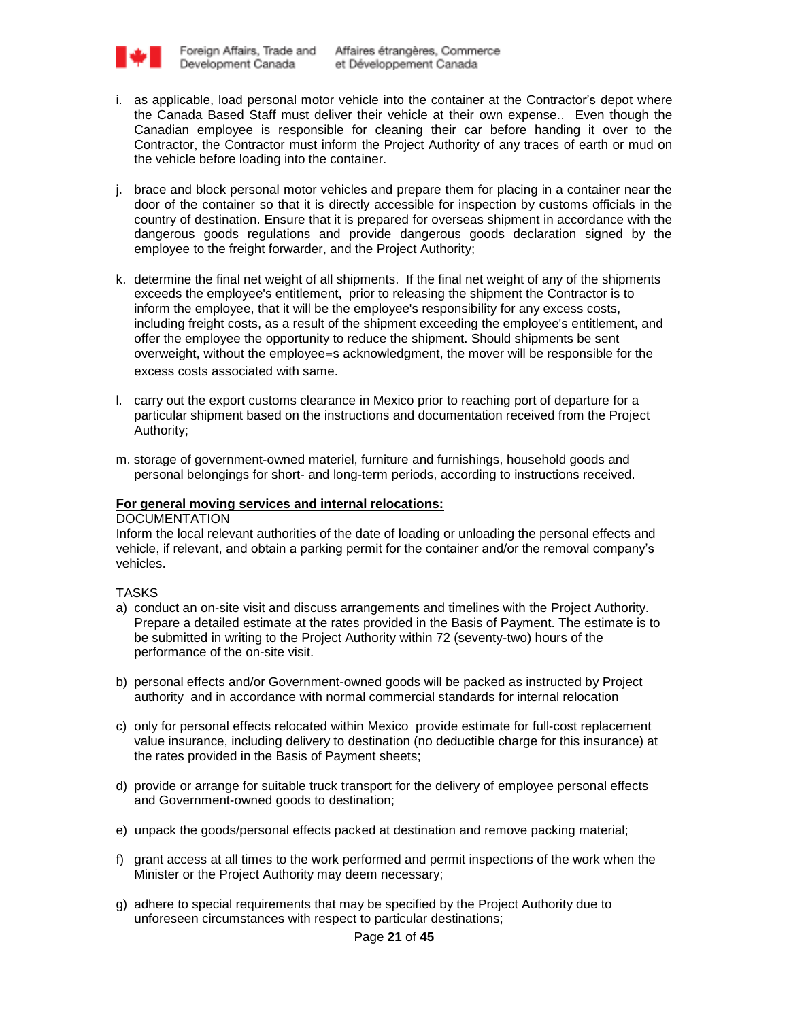

- i. as applicable, load personal motor vehicle into the container at the Contractor's depot where the Canada Based Staff must deliver their vehicle at their own expense.. Even though the Canadian employee is responsible for cleaning their car before handing it over to the Contractor, the Contractor must inform the Project Authority of any traces of earth or mud on the vehicle before loading into the container.
- j. brace and block personal motor vehicles and prepare them for placing in a container near the door of the container so that it is directly accessible for inspection by customs officials in the country of destination. Ensure that it is prepared for overseas shipment in accordance with the dangerous goods regulations and provide dangerous goods declaration signed by the employee to the freight forwarder, and the Project Authority;
- k. determine the final net weight of all shipments. If the final net weight of any of the shipments exceeds the employee's entitlement, prior to releasing the shipment the Contractor is to inform the employee, that it will be the employee's responsibility for any excess costs, including freight costs, as a result of the shipment exceeding the employee's entitlement, and offer the employee the opportunity to reduce the shipment. Should shipments be sent overweight, without the employee=s acknowledgment, the mover will be responsible for the excess costs associated with same.
- l. carry out the export customs clearance in Mexico prior to reaching port of departure for a particular shipment based on the instructions and documentation received from the Project Authority;
- m. storage of government-owned materiel, furniture and furnishings, household goods and personal belongings for short- and long-term periods, according to instructions received.

### **For general moving services and internal relocations:**

#### **DOCUMENTATION**

Inform the local relevant authorities of the date of loading or unloading the personal effects and vehicle, if relevant, and obtain a parking permit for the container and/or the removal company"s vehicles.

TASKS

- a) conduct an on-site visit and discuss arrangements and timelines with the Project Authority. Prepare a detailed estimate at the rates provided in the Basis of Payment. The estimate is to be submitted in writing to the Project Authority within 72 (seventy-two) hours of the performance of the on-site visit.
- b) personal effects and/or Government-owned goods will be packed as instructed by Project authority and in accordance with normal commercial standards for internal relocation
- c) only for personal effects relocated within Mexico provide estimate for full-cost replacement value insurance, including delivery to destination (no deductible charge for this insurance) at the rates provided in the Basis of Payment sheets;
- d) provide or arrange for suitable truck transport for the delivery of employee personal effects and Government-owned goods to destination;
- e) unpack the goods/personal effects packed at destination and remove packing material;
- f) grant access at all times to the work performed and permit inspections of the work when the Minister or the Project Authority may deem necessary;
- g) adhere to special requirements that may be specified by the Project Authority due to unforeseen circumstances with respect to particular destinations;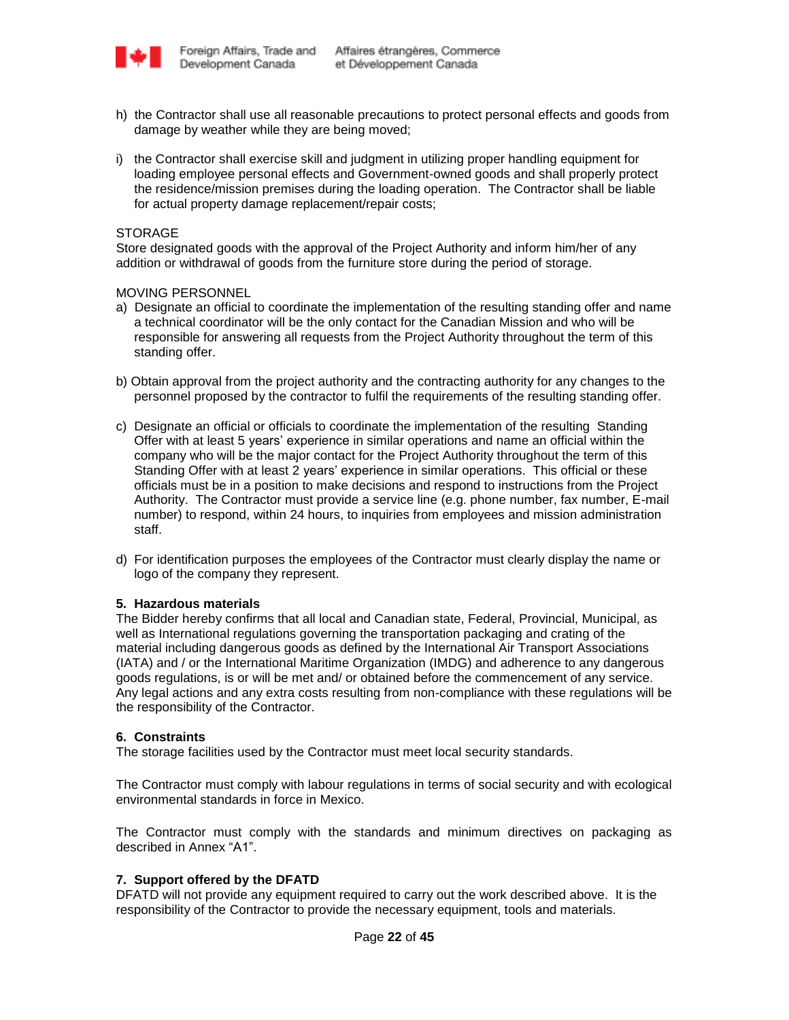

- h) the Contractor shall use all reasonable precautions to protect personal effects and goods from damage by weather while they are being moved;
- i) the Contractor shall exercise skill and judgment in utilizing proper handling equipment for loading employee personal effects and Government-owned goods and shall properly protect the residence/mission premises during the loading operation. The Contractor shall be liable for actual property damage replacement/repair costs;

# **STORAGE**

Store designated goods with the approval of the Project Authority and inform him/her of any addition or withdrawal of goods from the furniture store during the period of storage.

### MOVING PERSONNEL

- a) Designate an official to coordinate the implementation of the resulting standing offer and name a technical coordinator will be the only contact for the Canadian Mission and who will be responsible for answering all requests from the Project Authority throughout the term of this standing offer.
- b) Obtain approval from the project authority and the contracting authority for any changes to the personnel proposed by the contractor to fulfil the requirements of the resulting standing offer.
- c) Designate an official or officials to coordinate the implementation of the resulting Standing Offer with at least 5 years" experience in similar operations and name an official within the company who will be the major contact for the Project Authority throughout the term of this Standing Offer with at least 2 years" experience in similar operations. This official or these officials must be in a position to make decisions and respond to instructions from the Project Authority. The Contractor must provide a service line (e.g. phone number, fax number, E-mail number) to respond, within 24 hours, to inquiries from employees and mission administration staff.
- d) For identification purposes the employees of the Contractor must clearly display the name or logo of the company they represent.

#### **5. Hazardous materials**

The Bidder hereby confirms that all local and Canadian state, Federal, Provincial, Municipal, as well as International regulations governing the transportation packaging and crating of the material including dangerous goods as defined by the International Air Transport Associations (IATA) and / or the International Maritime Organization (IMDG) and adherence to any dangerous goods regulations, is or will be met and/ or obtained before the commencement of any service. Any legal actions and any extra costs resulting from non-compliance with these regulations will be the responsibility of the Contractor.

### **6. Constraints**

The storage facilities used by the Contractor must meet local security standards.

The Contractor must comply with labour regulations in terms of social security and with ecological environmental standards in force in Mexico.

The Contractor must comply with the standards and minimum directives on packaging as described in Annex "A1".

### **7. Support offered by the DFATD**

DFATD will not provide any equipment required to carry out the work described above. It is the responsibility of the Contractor to provide the necessary equipment, tools and materials.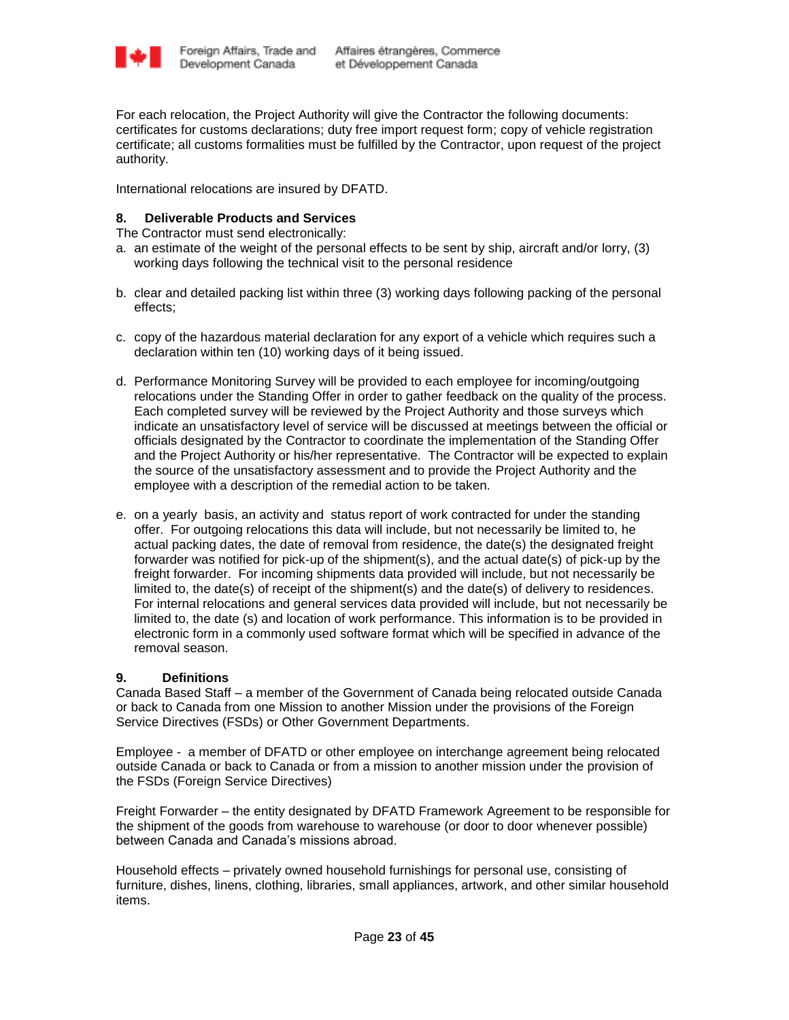

For each relocation, the Project Authority will give the Contractor the following documents: certificates for customs declarations; duty free import request form; copy of vehicle registration certificate; all customs formalities must be fulfilled by the Contractor, upon request of the project authority.

International relocations are insured by DFATD.

# **8. Deliverable Products and Services**

The Contractor must send electronically:

- a. an estimate of the weight of the personal effects to be sent by ship, aircraft and/or lorry, (3) working days following the technical visit to the personal residence
- b. clear and detailed packing list within three (3) working days following packing of the personal effects;
- c. copy of the hazardous material declaration for any export of a vehicle which requires such a declaration within ten (10) working days of it being issued.
- d. Performance Monitoring Survey will be provided to each employee for incoming/outgoing relocations under the Standing Offer in order to gather feedback on the quality of the process. Each completed survey will be reviewed by the Project Authority and those surveys which indicate an unsatisfactory level of service will be discussed at meetings between the official or officials designated by the Contractor to coordinate the implementation of the Standing Offer and the Project Authority or his/her representative. The Contractor will be expected to explain the source of the unsatisfactory assessment and to provide the Project Authority and the employee with a description of the remedial action to be taken.
- e. on a yearly basis, an activity and status report of work contracted for under the standing offer. For outgoing relocations this data will include, but not necessarily be limited to, he actual packing dates, the date of removal from residence, the date(s) the designated freight forwarder was notified for pick-up of the shipment(s), and the actual date(s) of pick-up by the freight forwarder. For incoming shipments data provided will include, but not necessarily be limited to, the date(s) of receipt of the shipment(s) and the date(s) of delivery to residences. For internal relocations and general services data provided will include, but not necessarily be limited to, the date (s) and location of work performance. This information is to be provided in electronic form in a commonly used software format which will be specified in advance of the removal season.

### **9. Definitions**

Canada Based Staff – a member of the Government of Canada being relocated outside Canada or back to Canada from one Mission to another Mission under the provisions of the Foreign Service Directives (FSDs) or Other Government Departments.

Employee - a member of DFATD or other employee on interchange agreement being relocated outside Canada or back to Canada or from a mission to another mission under the provision of the FSDs (Foreign Service Directives)

Freight Forwarder – the entity designated by DFATD Framework Agreement to be responsible for the shipment of the goods from warehouse to warehouse (or door to door whenever possible) between Canada and Canada"s missions abroad.

Household effects – privately owned household furnishings for personal use, consisting of furniture, dishes, linens, clothing, libraries, small appliances, artwork, and other similar household items.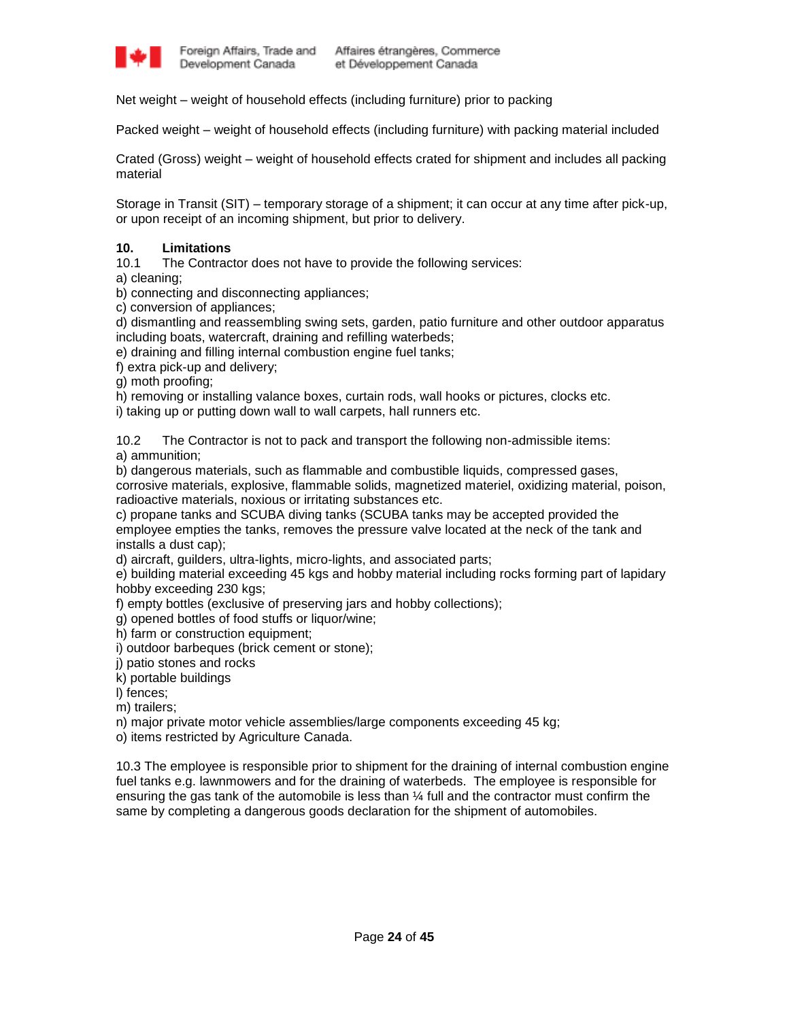

Net weight – weight of household effects (including furniture) prior to packing

Packed weight – weight of household effects (including furniture) with packing material included

Crated (Gross) weight – weight of household effects crated for shipment and includes all packing material

Storage in Transit (SIT) – temporary storage of a shipment; it can occur at any time after pick-up, or upon receipt of an incoming shipment, but prior to delivery.

### **10. Limitations**

10.1 The Contractor does not have to provide the following services:

a) cleaning;

b) connecting and disconnecting appliances;

c) conversion of appliances;

d) dismantling and reassembling swing sets, garden, patio furniture and other outdoor apparatus including boats, watercraft, draining and refilling waterbeds;

e) draining and filling internal combustion engine fuel tanks;

f) extra pick-up and delivery;

g) moth proofing;

h) removing or installing valance boxes, curtain rods, wall hooks or pictures, clocks etc.

i) taking up or putting down wall to wall carpets, hall runners etc.

10.2 The Contractor is not to pack and transport the following non-admissible items:

a) ammunition;

b) dangerous materials, such as flammable and combustible liquids, compressed gases, corrosive materials, explosive, flammable solids, magnetized materiel, oxidizing material, poison, radioactive materials, noxious or irritating substances etc.

c) propane tanks and SCUBA diving tanks (SCUBA tanks may be accepted provided the employee empties the tanks, removes the pressure valve located at the neck of the tank and installs a dust cap);

d) aircraft, guilders, ultra-lights, micro-lights, and associated parts;

e) building material exceeding 45 kgs and hobby material including rocks forming part of lapidary hobby exceeding 230 kgs;

f) empty bottles (exclusive of preserving jars and hobby collections);

g) opened bottles of food stuffs or liquor/wine;

h) farm or construction equipment;

i) outdoor barbeques (brick cement or stone);

j) patio stones and rocks

k) portable buildings

l) fences;

m) trailers;

n) major private motor vehicle assemblies/large components exceeding 45 kg;

o) items restricted by Agriculture Canada.

10.3 The employee is responsible prior to shipment for the draining of internal combustion engine fuel tanks e.g. lawnmowers and for the draining of waterbeds. The employee is responsible for ensuring the gas tank of the automobile is less than ¼ full and the contractor must confirm the same by completing a dangerous goods declaration for the shipment of automobiles.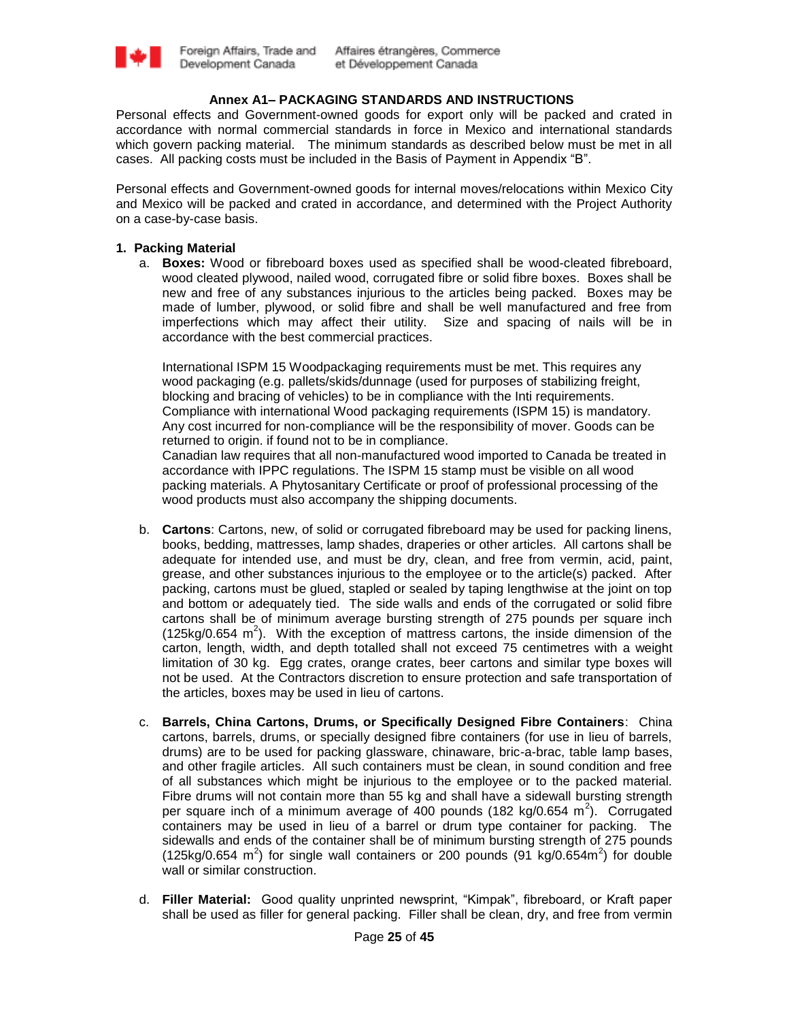

# **Annex A1– PACKAGING STANDARDS AND INSTRUCTIONS**

Personal effects and Government-owned goods for export only will be packed and crated in accordance with normal commercial standards in force in Mexico and international standards which govern packing material. The minimum standards as described below must be met in all cases. All packing costs must be included in the Basis of Payment in Appendix "B".

Personal effects and Government-owned goods for internal moves/relocations within Mexico City and Mexico will be packed and crated in accordance, and determined with the Project Authority on a case-by-case basis.

### **1. Packing Material**

a. **Boxes:** Wood or fibreboard boxes used as specified shall be wood-cleated fibreboard, wood cleated plywood, nailed wood, corrugated fibre or solid fibre boxes. Boxes shall be new and free of any substances injurious to the articles being packed. Boxes may be made of lumber, plywood, or solid fibre and shall be well manufactured and free from imperfections which may affect their utility. Size and spacing of nails will be in accordance with the best commercial practices.

International ISPM 15 Woodpackaging requirements must be met. This requires any wood packaging (e.g. pallets/skids/dunnage (used for purposes of stabilizing freight, blocking and bracing of vehicles) to be in compliance with the Inti requirements. Compliance with international Wood packaging requirements (ISPM 15) is mandatory. Any cost incurred for non-compliance will be the responsibility of mover. Goods can be returned to origin. if found not to be in compliance.

Canadian law requires that all non-manufactured wood imported to Canada be treated in accordance with IPPC regulations. The ISPM 15 stamp must be visible on all wood packing materials. A Phytosanitary Certificate or proof of professional processing of the wood products must also accompany the shipping documents.

- b. **Cartons**: Cartons, new, of solid or corrugated fibreboard may be used for packing linens, books, bedding, mattresses, lamp shades, draperies or other articles. All cartons shall be adequate for intended use, and must be dry, clean, and free from vermin, acid, paint, grease, and other substances injurious to the employee or to the article(s) packed. After packing, cartons must be glued, stapled or sealed by taping lengthwise at the joint on top and bottom or adequately tied. The side walls and ends of the corrugated or solid fibre cartons shall be of minimum average bursting strength of 275 pounds per square inch  $(125\text{kg}/0.654 \text{ m}^2)$ . With the exception of mattress cartons, the inside dimension of the carton, length, width, and depth totalled shall not exceed 75 centimetres with a weight limitation of 30 kg. Egg crates, orange crates, beer cartons and similar type boxes will not be used. At the Contractors discretion to ensure protection and safe transportation of the articles, boxes may be used in lieu of cartons.
- c. **Barrels, China Cartons, Drums, or Specifically Designed Fibre Containers**: China cartons, barrels, drums, or specially designed fibre containers (for use in lieu of barrels, drums) are to be used for packing glassware, chinaware, bric-a-brac, table lamp bases, and other fragile articles. All such containers must be clean, in sound condition and free of all substances which might be injurious to the employee or to the packed material. Fibre drums will not contain more than 55 kg and shall have a sidewall bursting strength per square inch of a minimum average of 400 pounds (182 kg/0.654 m<sup>2</sup>). Corrugated containers may be used in lieu of a barrel or drum type container for packing. The sidewalls and ends of the container shall be of minimum bursting strength of 275 pounds (125kg/0.654 m<sup>2</sup>) for single wall containers or 200 pounds (91 kg/0.654m<sup>2</sup>) for double wall or similar construction.
- d. **Filler Material:** Good quality unprinted newsprint, "Kimpak", fibreboard, or Kraft paper shall be used as filler for general packing. Filler shall be clean, dry, and free from vermin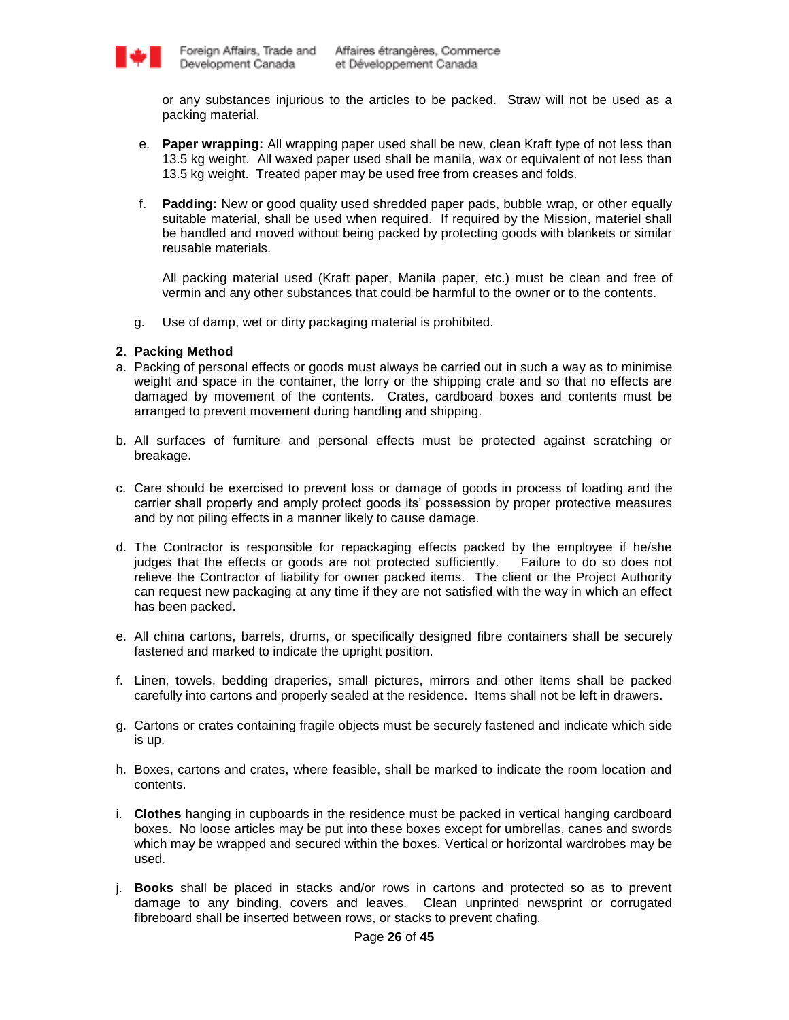

or any substances injurious to the articles to be packed. Straw will not be used as a packing material.

- e. **Paper wrapping:** All wrapping paper used shall be new, clean Kraft type of not less than 13.5 kg weight. All waxed paper used shall be manila, wax or equivalent of not less than 13.5 kg weight. Treated paper may be used free from creases and folds.
- f. **Padding:** New or good quality used shredded paper pads, bubble wrap, or other equally suitable material, shall be used when required. If required by the Mission, materiel shall be handled and moved without being packed by protecting goods with blankets or similar reusable materials.

All packing material used (Kraft paper, Manila paper, etc.) must be clean and free of vermin and any other substances that could be harmful to the owner or to the contents.

g. Use of damp, wet or dirty packaging material is prohibited.

### **2. Packing Method**

- a. Packing of personal effects or goods must always be carried out in such a way as to minimise weight and space in the container, the lorry or the shipping crate and so that no effects are damaged by movement of the contents. Crates, cardboard boxes and contents must be arranged to prevent movement during handling and shipping.
- b. All surfaces of furniture and personal effects must be protected against scratching or breakage.
- c. Care should be exercised to prevent loss or damage of goods in process of loading and the carrier shall properly and amply protect goods its" possession by proper protective measures and by not piling effects in a manner likely to cause damage.
- d. The Contractor is responsible for repackaging effects packed by the employee if he/she judges that the effects or goods are not protected sufficiently. Failure to do so does not relieve the Contractor of liability for owner packed items. The client or the Project Authority can request new packaging at any time if they are not satisfied with the way in which an effect has been packed.
- e. All china cartons, barrels, drums, or specifically designed fibre containers shall be securely fastened and marked to indicate the upright position.
- f. Linen, towels, bedding draperies, small pictures, mirrors and other items shall be packed carefully into cartons and properly sealed at the residence. Items shall not be left in drawers.
- g. Cartons or crates containing fragile objects must be securely fastened and indicate which side is up.
- h. Boxes, cartons and crates, where feasible, shall be marked to indicate the room location and contents.
- i. **Clothes** hanging in cupboards in the residence must be packed in vertical hanging cardboard boxes. No loose articles may be put into these boxes except for umbrellas, canes and swords which may be wrapped and secured within the boxes. Vertical or horizontal wardrobes may be used.
- j. **Books** shall be placed in stacks and/or rows in cartons and protected so as to prevent damage to any binding, covers and leaves. Clean unprinted newsprint or corrugated fibreboard shall be inserted between rows, or stacks to prevent chafing.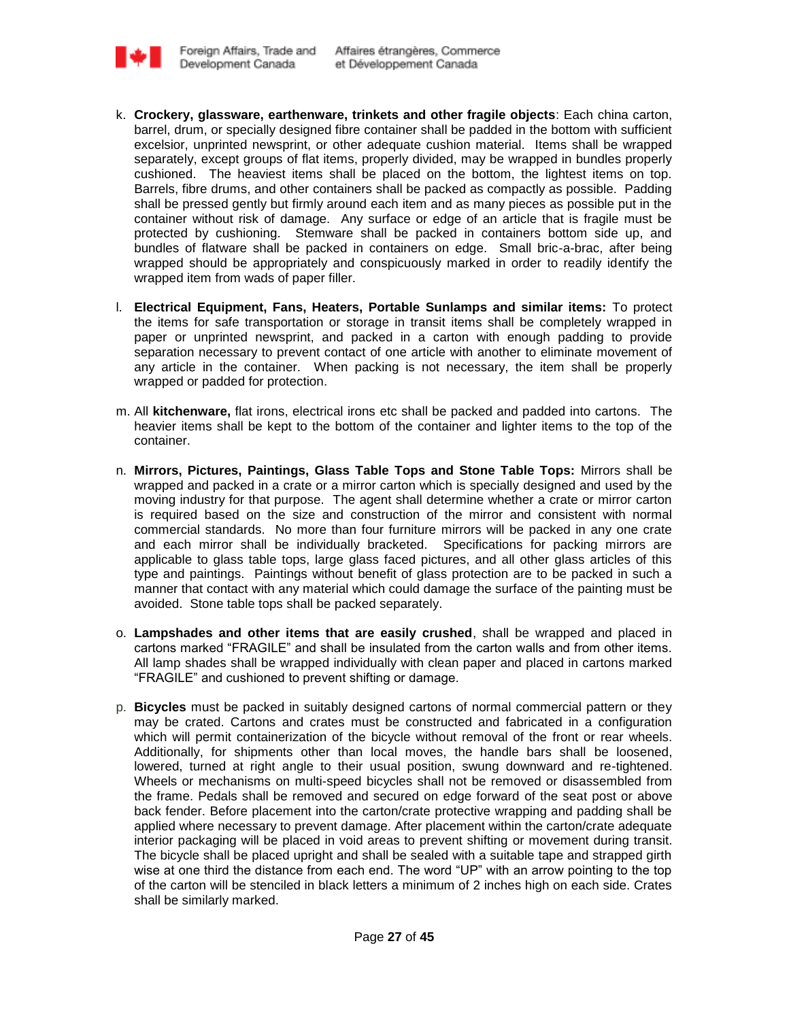

- k. **Crockery, glassware, earthenware, trinkets and other fragile objects**: Each china carton, barrel, drum, or specially designed fibre container shall be padded in the bottom with sufficient excelsior, unprinted newsprint, or other adequate cushion material. Items shall be wrapped separately, except groups of flat items, properly divided, may be wrapped in bundles properly cushioned. The heaviest items shall be placed on the bottom, the lightest items on top. Barrels, fibre drums, and other containers shall be packed as compactly as possible. Padding shall be pressed gently but firmly around each item and as many pieces as possible put in the container without risk of damage. Any surface or edge of an article that is fragile must be protected by cushioning. Stemware shall be packed in containers bottom side up, and bundles of flatware shall be packed in containers on edge. Small bric-a-brac, after being wrapped should be appropriately and conspicuously marked in order to readily identify the wrapped item from wads of paper filler.
- l. **Electrical Equipment, Fans, Heaters, Portable Sunlamps and similar items:** To protect the items for safe transportation or storage in transit items shall be completely wrapped in paper or unprinted newsprint, and packed in a carton with enough padding to provide separation necessary to prevent contact of one article with another to eliminate movement of any article in the container. When packing is not necessary, the item shall be properly wrapped or padded for protection.
- m. All **kitchenware,** flat irons, electrical irons etc shall be packed and padded into cartons. The heavier items shall be kept to the bottom of the container and lighter items to the top of the container.
- n. **Mirrors, Pictures, Paintings, Glass Table Tops and Stone Table Tops:** Mirrors shall be wrapped and packed in a crate or a mirror carton which is specially designed and used by the moving industry for that purpose. The agent shall determine whether a crate or mirror carton is required based on the size and construction of the mirror and consistent with normal commercial standards. No more than four furniture mirrors will be packed in any one crate and each mirror shall be individually bracketed. Specifications for packing mirrors are applicable to glass table tops, large glass faced pictures, and all other glass articles of this type and paintings. Paintings without benefit of glass protection are to be packed in such a manner that contact with any material which could damage the surface of the painting must be avoided. Stone table tops shall be packed separately.
- o. **Lampshades and other items that are easily crushed**, shall be wrapped and placed in cartons marked "FRAGILE" and shall be insulated from the carton walls and from other items. All lamp shades shall be wrapped individually with clean paper and placed in cartons marked "FRAGILE" and cushioned to prevent shifting or damage.
- p. **Bicycles** must be packed in suitably designed cartons of normal commercial pattern or they may be crated. Cartons and crates must be constructed and fabricated in a configuration which will permit containerization of the bicycle without removal of the front or rear wheels. Additionally, for shipments other than local moves, the handle bars shall be loosened, lowered, turned at right angle to their usual position, swung downward and re-tightened. Wheels or mechanisms on multi-speed bicycles shall not be removed or disassembled from the frame. Pedals shall be removed and secured on edge forward of the seat post or above back fender. Before placement into the carton/crate protective wrapping and padding shall be applied where necessary to prevent damage. After placement within the carton/crate adequate interior packaging will be placed in void areas to prevent shifting or movement during transit. The bicycle shall be placed upright and shall be sealed with a suitable tape and strapped girth wise at one third the distance from each end. The word "UP" with an arrow pointing to the top of the carton will be stenciled in black letters a minimum of 2 inches high on each side. Crates shall be similarly marked.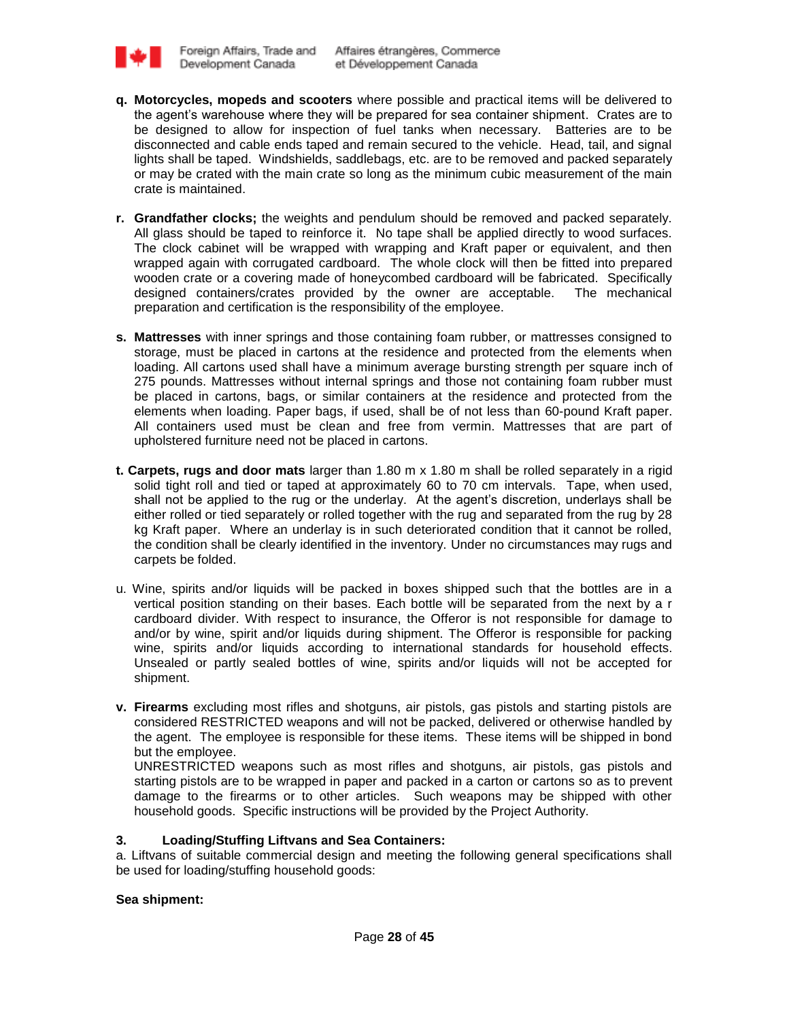

- **q. Motorcycles, mopeds and scooters** where possible and practical items will be delivered to the agent"s warehouse where they will be prepared for sea container shipment. Crates are to be designed to allow for inspection of fuel tanks when necessary. Batteries are to be disconnected and cable ends taped and remain secured to the vehicle. Head, tail, and signal lights shall be taped. Windshields, saddlebags, etc. are to be removed and packed separately or may be crated with the main crate so long as the minimum cubic measurement of the main crate is maintained.
- **r. Grandfather clocks;** the weights and pendulum should be removed and packed separately. All glass should be taped to reinforce it. No tape shall be applied directly to wood surfaces. The clock cabinet will be wrapped with wrapping and Kraft paper or equivalent, and then wrapped again with corrugated cardboard. The whole clock will then be fitted into prepared wooden crate or a covering made of honeycombed cardboard will be fabricated. Specifically designed containers/crates provided by the owner are acceptable. The mechanical preparation and certification is the responsibility of the employee.
- **s. Mattresses** with inner springs and those containing foam rubber, or mattresses consigned to storage, must be placed in cartons at the residence and protected from the elements when loading. All cartons used shall have a minimum average bursting strength per square inch of 275 pounds. Mattresses without internal springs and those not containing foam rubber must be placed in cartons, bags, or similar containers at the residence and protected from the elements when loading. Paper bags, if used, shall be of not less than 60-pound Kraft paper. All containers used must be clean and free from vermin. Mattresses that are part of upholstered furniture need not be placed in cartons.
- **t. Carpets, rugs and door mats** larger than 1.80 m x 1.80 m shall be rolled separately in a rigid solid tight roll and tied or taped at approximately 60 to 70 cm intervals. Tape, when used, shall not be applied to the rug or the underlay. At the agent"s discretion, underlays shall be either rolled or tied separately or rolled together with the rug and separated from the rug by 28 kg Kraft paper. Where an underlay is in such deteriorated condition that it cannot be rolled, the condition shall be clearly identified in the inventory. Under no circumstances may rugs and carpets be folded.
- u. Wine, spirits and/or liquids will be packed in boxes shipped such that the bottles are in a vertical position standing on their bases. Each bottle will be separated from the next by a r cardboard divider. With respect to insurance, the Offeror is not responsible for damage to and/or by wine, spirit and/or liquids during shipment. The Offeror is responsible for packing wine, spirits and/or liquids according to international standards for household effects. Unsealed or partly sealed bottles of wine, spirits and/or liquids will not be accepted for shipment.
- **v. Firearms** excluding most rifles and shotguns, air pistols, gas pistols and starting pistols are considered RESTRICTED weapons and will not be packed, delivered or otherwise handled by the agent. The employee is responsible for these items. These items will be shipped in bond but the employee.

UNRESTRICTED weapons such as most rifles and shotguns, air pistols, gas pistols and starting pistols are to be wrapped in paper and packed in a carton or cartons so as to prevent damage to the firearms or to other articles. Such weapons may be shipped with other household goods. Specific instructions will be provided by the Project Authority.

# **3. Loading/Stuffing Liftvans and Sea Containers:**

a. Liftvans of suitable commercial design and meeting the following general specifications shall be used for loading/stuffing household goods:

# **Sea shipment:**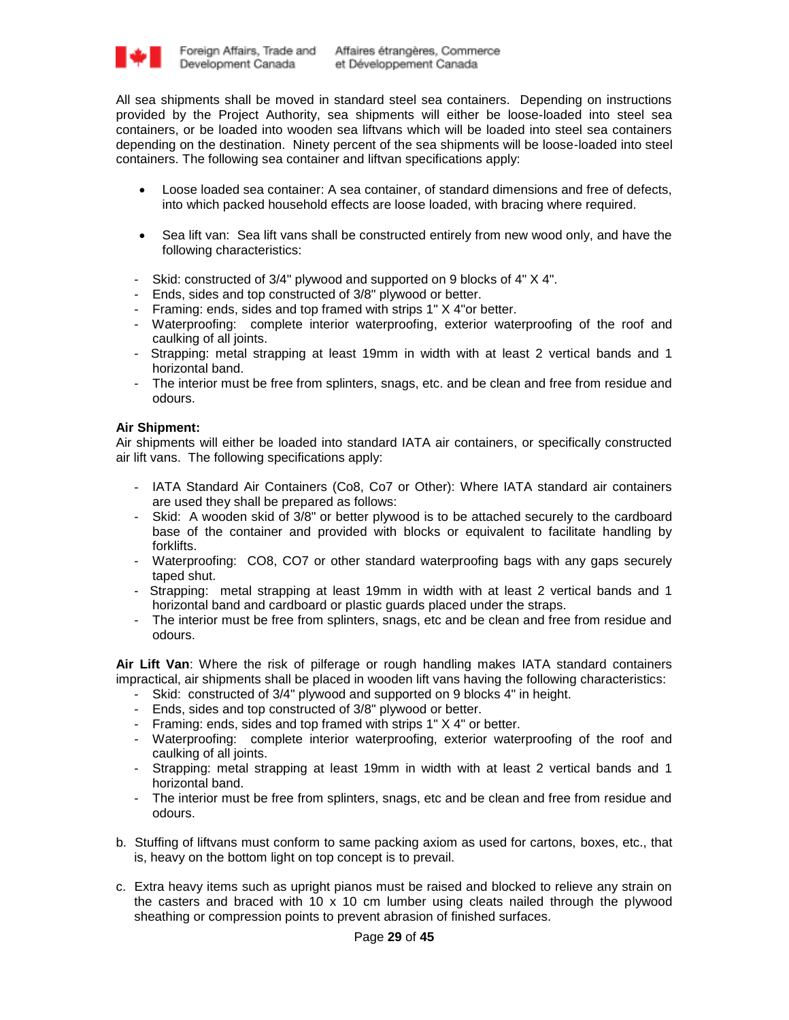

All sea shipments shall be moved in standard steel sea containers. Depending on instructions provided by the Project Authority, sea shipments will either be loose-loaded into steel sea containers, or be loaded into wooden sea liftvans which will be loaded into steel sea containers depending on the destination. Ninety percent of the sea shipments will be loose-loaded into steel containers. The following sea container and liftvan specifications apply:

- Loose loaded sea container: A sea container, of standard dimensions and free of defects, into which packed household effects are loose loaded, with bracing where required.
- Sea lift van: Sea lift vans shall be constructed entirely from new wood only, and have the following characteristics:
- Skid: constructed of 3/4" plywood and supported on 9 blocks of 4" X 4".
- Ends, sides and top constructed of 3/8" plywood or better.
- Framing: ends, sides and top framed with strips 1" X 4"or better.
- Waterproofing: complete interior waterproofing, exterior waterproofing of the roof and caulking of all joints.
- Strapping: metal strapping at least 19mm in width with at least 2 vertical bands and 1 horizontal band.
- The interior must be free from splinters, snags, etc. and be clean and free from residue and odours.

### **Air Shipment:**

Air shipments will either be loaded into standard IATA air containers, or specifically constructed air lift vans. The following specifications apply:

- IATA Standard Air Containers (Co8, Co7 or Other): Where IATA standard air containers are used they shall be prepared as follows:
- Skid: A wooden skid of 3/8" or better plywood is to be attached securely to the cardboard base of the container and provided with blocks or equivalent to facilitate handling by forklifts.
- Waterproofing: CO8, CO7 or other standard waterproofing bags with any gaps securely taped shut.
- Strapping: metal strapping at least 19mm in width with at least 2 vertical bands and 1 horizontal band and cardboard or plastic guards placed under the straps.
- The interior must be free from splinters, snags, etc and be clean and free from residue and odours.

**Air Lift Van**: Where the risk of pilferage or rough handling makes IATA standard containers impractical, air shipments shall be placed in wooden lift vans having the following characteristics:

- Skid: constructed of 3/4" plywood and supported on 9 blocks 4" in height.
- Ends, sides and top constructed of 3/8" plywood or better.
- Framing: ends, sides and top framed with strips 1" X 4" or better.
- Waterproofing: complete interior waterproofing, exterior waterproofing of the roof and caulking of all joints.
- Strapping: metal strapping at least 19mm in width with at least 2 vertical bands and 1 horizontal band.
- The interior must be free from splinters, snags, etc and be clean and free from residue and odours.
- b. Stuffing of liftvans must conform to same packing axiom as used for cartons, boxes, etc., that is, heavy on the bottom light on top concept is to prevail.
- c. Extra heavy items such as upright pianos must be raised and blocked to relieve any strain on the casters and braced with 10 x 10 cm lumber using cleats nailed through the plywood sheathing or compression points to prevent abrasion of finished surfaces.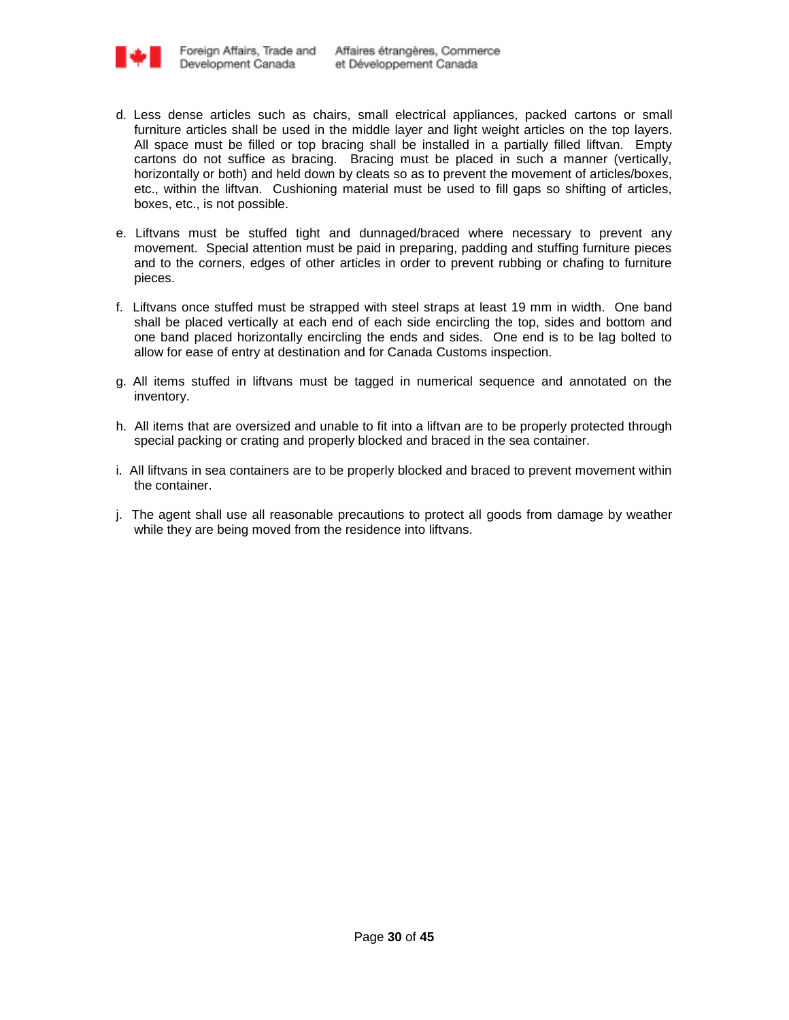

- d. Less dense articles such as chairs, small electrical appliances, packed cartons or small furniture articles shall be used in the middle layer and light weight articles on the top layers. All space must be filled or top bracing shall be installed in a partially filled liftvan. Empty cartons do not suffice as bracing. Bracing must be placed in such a manner (vertically, horizontally or both) and held down by cleats so as to prevent the movement of articles/boxes, etc., within the liftvan. Cushioning material must be used to fill gaps so shifting of articles, boxes, etc., is not possible.
- e. Liftvans must be stuffed tight and dunnaged/braced where necessary to prevent any movement. Special attention must be paid in preparing, padding and stuffing furniture pieces and to the corners, edges of other articles in order to prevent rubbing or chafing to furniture pieces.
- f. Liftvans once stuffed must be strapped with steel straps at least 19 mm in width. One band shall be placed vertically at each end of each side encircling the top, sides and bottom and one band placed horizontally encircling the ends and sides. One end is to be lag bolted to allow for ease of entry at destination and for Canada Customs inspection.
- g. All items stuffed in liftvans must be tagged in numerical sequence and annotated on the inventory.
- h. All items that are oversized and unable to fit into a liftvan are to be properly protected through special packing or crating and properly blocked and braced in the sea container.
- i. All liftvans in sea containers are to be properly blocked and braced to prevent movement within the container.
- j. The agent shall use all reasonable precautions to protect all goods from damage by weather while they are being moved from the residence into liftvans.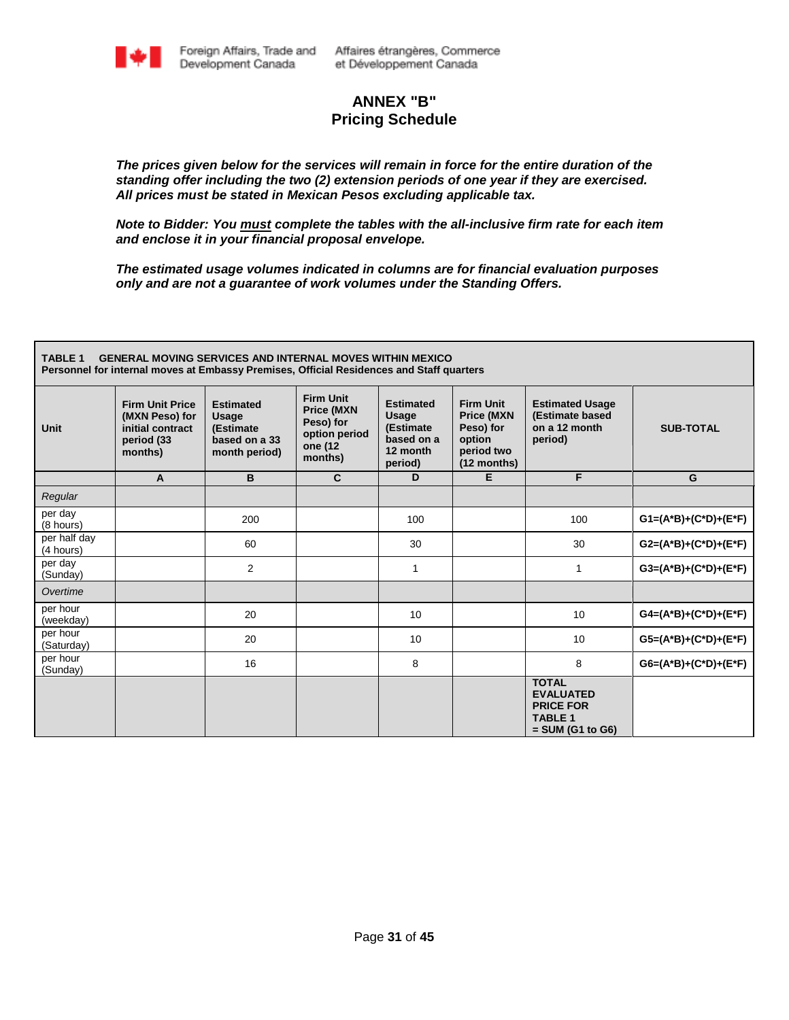

# **ANNEX "B" Pricing Schedule**

*The prices given below for the services will remain in force for the entire duration of the standing offer including the two (2) extension periods of one year if they are exercised. All prices must be stated in Mexican Pesos excluding applicable tax.*

*Note to Bidder: You must complete the tables with the all-inclusive firm rate for each item and enclose it in your financial proposal envelope.* 

*The estimated usage volumes indicated in columns are for financial evaluation purposes only and are not a guarantee of work volumes under the Standing Offers.* 

| <b>TABLE 1</b><br><b>GENERAL MOVING SERVICES AND INTERNAL MOVES WITHIN MEXICO</b><br>Personnel for internal moves at Embassy Premises, Official Residences and Staff quarters |                                                                                       |                                                                          |                                                                                           |                                                                                    |                                                                                           |                                                                                              |                           |  |  |  |  |  |
|-------------------------------------------------------------------------------------------------------------------------------------------------------------------------------|---------------------------------------------------------------------------------------|--------------------------------------------------------------------------|-------------------------------------------------------------------------------------------|------------------------------------------------------------------------------------|-------------------------------------------------------------------------------------------|----------------------------------------------------------------------------------------------|---------------------------|--|--|--|--|--|
| <b>Unit</b>                                                                                                                                                                   | <b>Firm Unit Price</b><br>(MXN Peso) for<br>initial contract<br>period (33<br>months) | <b>Estimated</b><br>Usage<br>(Estimate<br>based on a 33<br>month period) | <b>Firm Unit</b><br><b>Price (MXN</b><br>Peso) for<br>option period<br>one (12<br>months) | <b>Estimated</b><br><b>Usage</b><br>(Estimate<br>based on a<br>12 month<br>period) | <b>Firm Unit</b><br><b>Price (MXN</b><br>Peso) for<br>option<br>period two<br>(12 months) | <b>Estimated Usage</b><br>(Estimate based<br>on a 12 month<br>period)                        | <b>SUB-TOTAL</b>          |  |  |  |  |  |
|                                                                                                                                                                               | A                                                                                     | B                                                                        | $\mathbf{C}$                                                                              | D                                                                                  | Е                                                                                         | F                                                                                            | G                         |  |  |  |  |  |
| Regular                                                                                                                                                                       |                                                                                       |                                                                          |                                                                                           |                                                                                    |                                                                                           |                                                                                              |                           |  |  |  |  |  |
| per day<br>(8 hours)                                                                                                                                                          |                                                                                       | 200                                                                      |                                                                                           | 100                                                                                |                                                                                           | 100                                                                                          | $G1=(A^*B)+(C^*D)+(E^*F)$ |  |  |  |  |  |
| per half day<br>(4 hours)                                                                                                                                                     |                                                                                       | 60                                                                       |                                                                                           | 30                                                                                 |                                                                                           | 30                                                                                           | $G2=(A^*B)+(C^*D)+(E^*F)$ |  |  |  |  |  |
| per day<br>(Sunday)                                                                                                                                                           |                                                                                       | $\overline{2}$                                                           |                                                                                           | $\mathbf{1}$                                                                       |                                                                                           | 1                                                                                            | $G3=(A^*B)+(C^*D)+(E^*F)$ |  |  |  |  |  |
| Overtime                                                                                                                                                                      |                                                                                       |                                                                          |                                                                                           |                                                                                    |                                                                                           |                                                                                              |                           |  |  |  |  |  |
| per hour<br>(weekday)                                                                                                                                                         |                                                                                       | 20                                                                       |                                                                                           | 10                                                                                 |                                                                                           | 10                                                                                           | $G4=(A*B)+(C*D)+(E*F)$    |  |  |  |  |  |
| per hour<br>(Saturday)                                                                                                                                                        |                                                                                       | 20                                                                       |                                                                                           | 10                                                                                 |                                                                                           | 10                                                                                           | G5=(A*B)+(C*D)+(E*F)      |  |  |  |  |  |
| per hour<br>(Sunday)                                                                                                                                                          |                                                                                       | 16                                                                       |                                                                                           | 8                                                                                  |                                                                                           | 8                                                                                            | $G6=(A^*B)+(C^*D)+(E^*F)$ |  |  |  |  |  |
|                                                                                                                                                                               |                                                                                       |                                                                          |                                                                                           |                                                                                    |                                                                                           | <b>TOTAL</b><br><b>EVALUATED</b><br><b>PRICE FOR</b><br><b>TABLE 1</b><br>$=$ SUM (G1 to G6) |                           |  |  |  |  |  |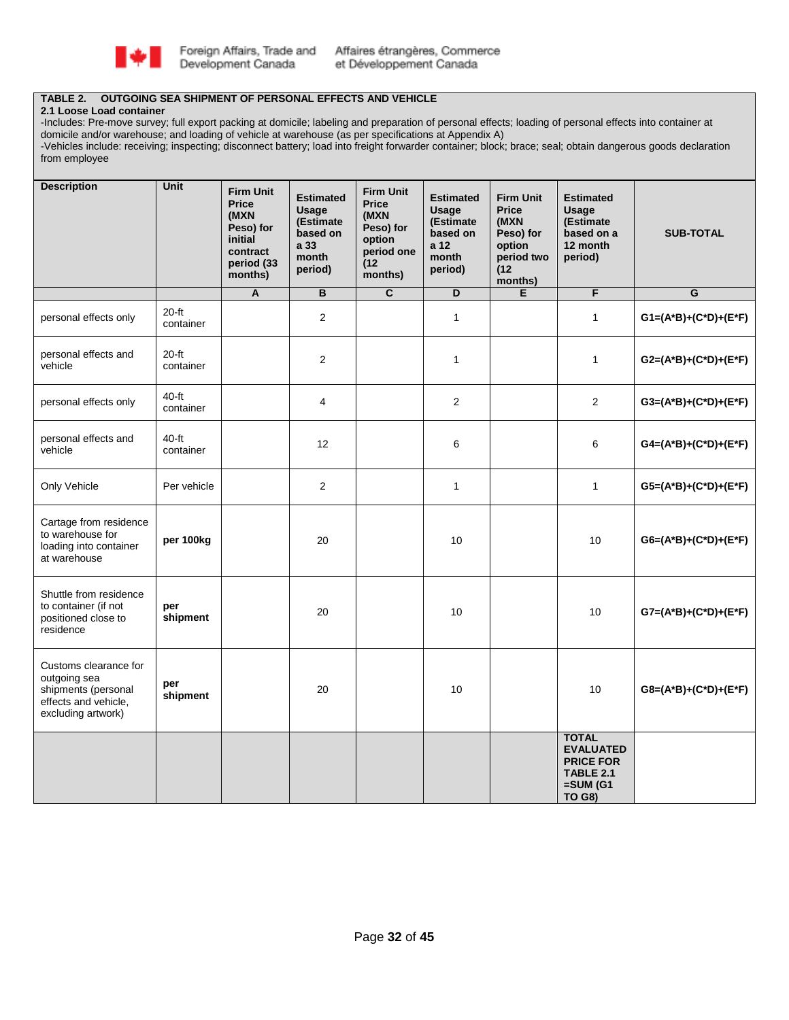

### **TABLE 2. OUTGOING SEA SHIPMENT OF PERSONAL EFFECTS AND VEHICLE**

#### **2.1 Loose Load container**

-Includes: Pre-move survey; full export packing at domicile; labeling and preparation of personal effects; loading of personal effects into container at domicile and/or warehouse; and loading of vehicle at warehouse (as per specifications at Appendix A)

-Vehicles include: receiving; inspecting; disconnect battery; load into freight forwarder container; block; brace; seal; obtain dangerous goods declaration from employee

| <b>Description</b>                                                                                         | <b>Unit</b>          | <b>Firm Unit</b><br><b>Price</b><br>(MXN<br>Peso) for<br>initial<br>contract<br>period (33<br>months) | <b>Estimated</b><br>Usage<br>(Estimate<br>based on<br>a 33<br>month<br>period) | <b>Firm Unit</b><br><b>Price</b><br>(MXN<br>Peso) for<br>option<br>period one<br>(12)<br>months) | <b>Estimated</b><br>Usage<br>(Estimate<br>based on<br>a 12<br>month<br>period) | <b>Firm Unit</b><br><b>Price</b><br>(MXN<br>Peso) for<br>option<br>period two<br>(12)<br>months) | <b>Estimated</b><br>Usage<br>(Estimate<br>based on a<br>12 month<br>period)                                 | <b>SUB-TOTAL</b>          |
|------------------------------------------------------------------------------------------------------------|----------------------|-------------------------------------------------------------------------------------------------------|--------------------------------------------------------------------------------|--------------------------------------------------------------------------------------------------|--------------------------------------------------------------------------------|--------------------------------------------------------------------------------------------------|-------------------------------------------------------------------------------------------------------------|---------------------------|
|                                                                                                            |                      | A                                                                                                     | В                                                                              | $\overline{c}$                                                                                   | D                                                                              | E                                                                                                | F                                                                                                           | $\overline{G}$            |
| personal effects only                                                                                      | $20-ft$<br>container |                                                                                                       | 2                                                                              |                                                                                                  | $\mathbf{1}$                                                                   |                                                                                                  | $\mathbf{1}$                                                                                                | $G1=(A*B)+(C*D)+(E*F)$    |
| personal effects and<br>vehicle                                                                            | $20-ft$<br>container |                                                                                                       | $\overline{2}$                                                                 |                                                                                                  | $\mathbf{1}$                                                                   |                                                                                                  | $\mathbf{1}$                                                                                                | G2=(A*B)+(C*D)+(E*F)      |
| personal effects only                                                                                      | $40-ft$<br>container |                                                                                                       | 4                                                                              |                                                                                                  | $\overline{2}$                                                                 |                                                                                                  | $\overline{2}$                                                                                              | $G3=(A^*B)+(C^*D)+(E^*F)$ |
| personal effects and<br>vehicle                                                                            | $40-ft$<br>container |                                                                                                       | 12                                                                             |                                                                                                  | 6                                                                              |                                                                                                  | 6                                                                                                           | $G4=(A*B)+(C*D)+(E*F)$    |
| Only Vehicle                                                                                               | Per vehicle          |                                                                                                       | $\overline{2}$                                                                 |                                                                                                  | $\mathbf{1}$                                                                   |                                                                                                  | $\mathbf{1}$                                                                                                | G5=(A*B)+(C*D)+(E*F)      |
| Cartage from residence<br>to warehouse for<br>loading into container<br>at warehouse                       | per 100kg            |                                                                                                       | 20                                                                             |                                                                                                  | 10                                                                             |                                                                                                  | 10                                                                                                          | G6=(A*B)+(C*D)+(E*F)      |
| Shuttle from residence<br>to container (if not<br>positioned close to<br>residence                         | per<br>shipment      |                                                                                                       | 20                                                                             |                                                                                                  | 10                                                                             |                                                                                                  | 10                                                                                                          | $G7=(A*B)+(C*D)+(E*F)$    |
| Customs clearance for<br>outgoing sea<br>shipments (personal<br>effects and vehicle,<br>excluding artwork) | per<br>shipment      |                                                                                                       | 20                                                                             |                                                                                                  | 10                                                                             |                                                                                                  | 10                                                                                                          | $G8=(A^*B)+(C^*D)+(E^*F)$ |
|                                                                                                            |                      |                                                                                                       |                                                                                |                                                                                                  |                                                                                |                                                                                                  | <b>TOTAL</b><br><b>EVALUATED</b><br><b>PRICE FOR</b><br><b>TABLE 2.1</b><br>$=$ SUM $(G1)$<br><b>TO G8)</b> |                           |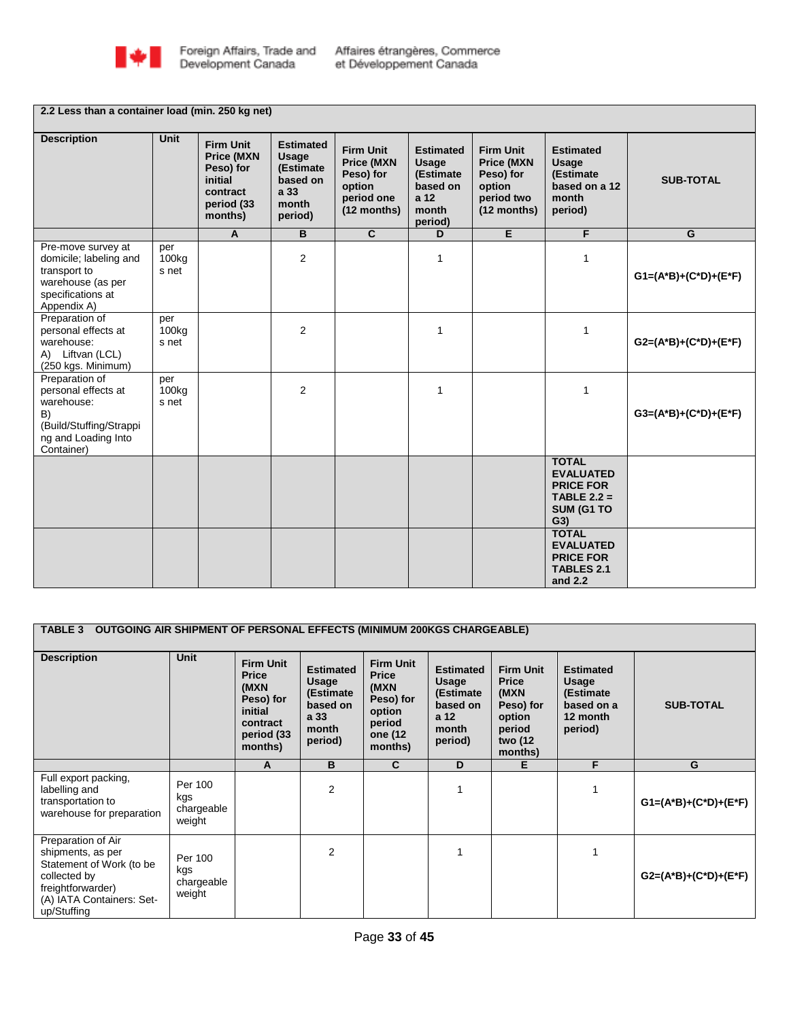

# **2.2 Less than a container load (min. 250 kg net)**

| <b>Description</b>                                                                                                        | <b>Unit</b>                       | <b>Firm Unit</b><br><b>Price (MXN</b><br>Peso) for<br>initial<br>contract<br>period (33<br>months) | <b>Estimated</b><br><b>Usage</b><br>(Estimate<br>based on<br>a 33<br>month<br>period) | <b>Firm Unit</b><br><b>Price (MXN)</b><br>Peso) for<br>option<br>period one<br>$(12$ months) | <b>Estimated</b><br>Usage<br>(Estimate<br>based on<br>a 12<br>month<br>period) | <b>Firm Unit</b><br><b>Price (MXN</b><br>Peso) for<br>option<br>period two<br>$(12$ months) | <b>Estimated</b><br><b>Usage</b><br>(Estimate<br>based on a 12<br>month<br>period)         | <b>SUB-TOTAL</b>          |
|---------------------------------------------------------------------------------------------------------------------------|-----------------------------------|----------------------------------------------------------------------------------------------------|---------------------------------------------------------------------------------------|----------------------------------------------------------------------------------------------|--------------------------------------------------------------------------------|---------------------------------------------------------------------------------------------|--------------------------------------------------------------------------------------------|---------------------------|
|                                                                                                                           |                                   | $\mathsf{A}$                                                                                       | B.                                                                                    | C.                                                                                           | D                                                                              | E                                                                                           | F                                                                                          | G                         |
| Pre-move survey at<br>domicile; labeling and<br>transport to<br>warehouse (as per<br>specifications at<br>Appendix A)     | per<br>100 <sub>kg</sub><br>s net |                                                                                                    | $\overline{2}$                                                                        |                                                                                              | $\mathbf{1}$                                                                   |                                                                                             | $\mathbf{1}$                                                                               | $G1=(A^*B)+(C^*D)+(E^*F)$ |
| Preparation of<br>personal effects at<br>warehouse:<br>A) Liftvan (LCL)<br>(250 kgs. Minimum)                             | per<br>100 <sub>kg</sub><br>s net |                                                                                                    | $\overline{2}$                                                                        |                                                                                              | 1                                                                              |                                                                                             | $\mathbf{1}$                                                                               | $G2=(A^*B)+(C^*D)+(E^*F)$ |
| Preparation of<br>personal effects at<br>warehouse:<br>B)<br>(Build/Stuffing/Strappi<br>ng and Loading Into<br>Container) | per<br>100 <sub>kg</sub><br>s net |                                                                                                    | $\overline{2}$                                                                        |                                                                                              | $\mathbf{1}$                                                                   |                                                                                             | $\mathbf{1}$                                                                               | $G3=(A^*B)+(C^*D)+(E^*F)$ |
|                                                                                                                           |                                   |                                                                                                    |                                                                                       |                                                                                              |                                                                                |                                                                                             | <b>TOTAL</b><br><b>EVALUATED</b><br><b>PRICE FOR</b><br>TABLE $2.2 =$<br>SUM (G1 TO<br>G3) |                           |
|                                                                                                                           |                                   |                                                                                                    |                                                                                       |                                                                                              |                                                                                |                                                                                             | <b>TOTAL</b><br><b>EVALUATED</b><br><b>PRICE FOR</b><br><b>TABLES 2.1</b><br>and $2.2$     |                           |

| TABLE 3 OUTGOING AIR SHIPMENT OF PERSONAL EFFECTS (MINIMUM 200KGS CHARGEABLE)                                                                        |                                        |                                                                                                        |                                                                                |                                                                                                 |                                                                                |                                                                                                  |                                                                             |                           |  |  |  |
|------------------------------------------------------------------------------------------------------------------------------------------------------|----------------------------------------|--------------------------------------------------------------------------------------------------------|--------------------------------------------------------------------------------|-------------------------------------------------------------------------------------------------|--------------------------------------------------------------------------------|--------------------------------------------------------------------------------------------------|-----------------------------------------------------------------------------|---------------------------|--|--|--|
| <b>Description</b>                                                                                                                                   | Unit                                   | <b>Firm Unit</b><br><b>Price</b><br>(MXN)<br>Peso) for<br>initial<br>contract<br>period (33<br>months) | <b>Estimated</b><br>Usage<br>(Estimate<br>based on<br>a 33<br>month<br>period) | <b>Firm Unit</b><br><b>Price</b><br>(MXN<br>Peso) for<br>option<br>period<br>one (12<br>months) | <b>Estimated</b><br>Usage<br>(Estimate<br>based on<br>a 12<br>month<br>period) | <b>Firm Unit</b><br><b>Price</b><br>(MXN<br>Peso) for<br>option<br>period<br>two (12)<br>months) | <b>Estimated</b><br>Usage<br>(Estimate<br>based on a<br>12 month<br>period) | <b>SUB-TOTAL</b>          |  |  |  |
|                                                                                                                                                      |                                        | A                                                                                                      | B                                                                              | C                                                                                               | D                                                                              | Е                                                                                                | F                                                                           | G                         |  |  |  |
| Full export packing,<br>labelling and<br>transportation to<br>warehouse for preparation                                                              | Per 100<br>kgs<br>chargeable<br>weight |                                                                                                        | $\overline{2}$                                                                 |                                                                                                 | 1                                                                              |                                                                                                  |                                                                             | $G1=(A^*B)+(C^*D)+(E^*F)$ |  |  |  |
| Preparation of Air<br>shipments, as per<br>Statement of Work (to be<br>collected by<br>freightforwarder)<br>(A) IATA Containers: Set-<br>up/Stuffing | Per 100<br>kgs<br>chargeable<br>weight |                                                                                                        | $\overline{2}$                                                                 |                                                                                                 |                                                                                |                                                                                                  |                                                                             | $G2=(A^*B)+(C^*D)+(E^*F)$ |  |  |  |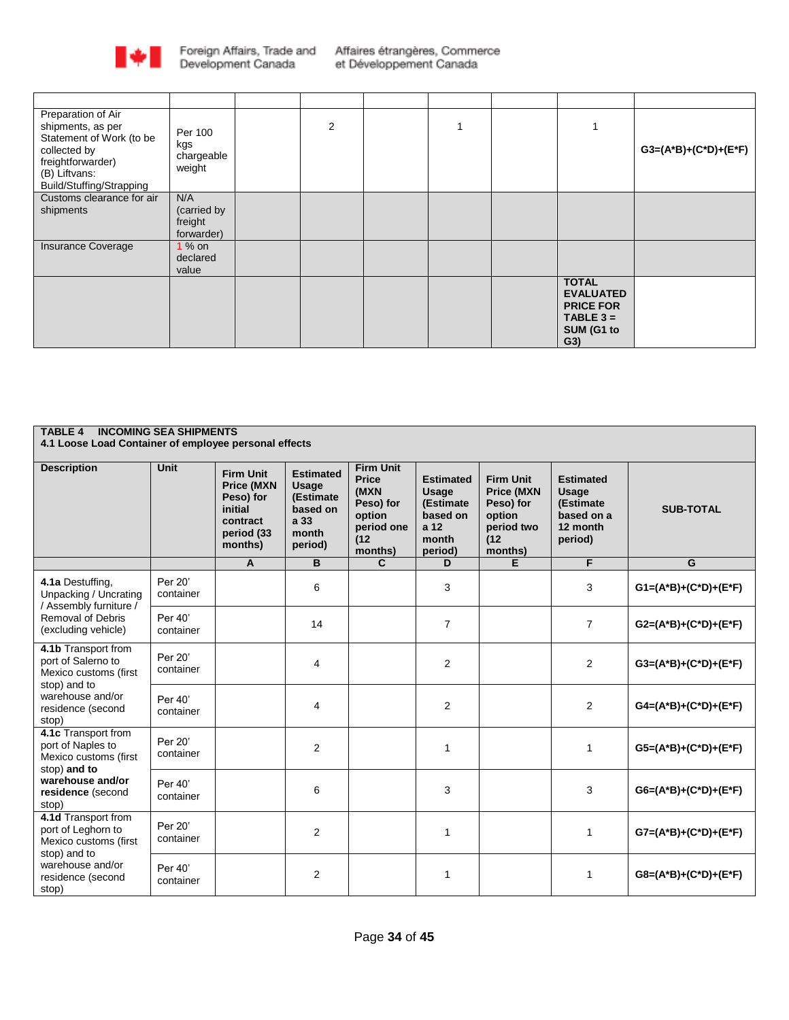

| Preparation of Air<br>shipments, as per<br>Statement of Work (to be<br>collected by<br>freightforwarder)<br>(B) Liftvans:<br>Build/Stuffing/Strapping | Per 100<br>kgs<br>chargeable<br>weight      | 2 |  |                                                                                          | $G3=(A^*B)+(C^*D)+(E^*F)$ |
|-------------------------------------------------------------------------------------------------------------------------------------------------------|---------------------------------------------|---|--|------------------------------------------------------------------------------------------|---------------------------|
| Customs clearance for air<br>shipments                                                                                                                | N/A<br>(carried by<br>freight<br>forwarder) |   |  |                                                                                          |                           |
| Insurance Coverage                                                                                                                                    | 1 % on<br>declared<br>value                 |   |  |                                                                                          |                           |
|                                                                                                                                                       |                                             |   |  | <b>TOTAL</b><br><b>EVALUATED</b><br><b>PRICE FOR</b><br>TABLE $3 =$<br>SUM (G1 to<br>G3) |                           |

| <b>INCOMING SEA SHIPMENTS</b><br><b>TABLE 4</b><br>4.1 Loose Load Container of employee personal effects                             |                      |                                                                                                    |                                                                                |                                                                                                  |                                                                                |                                                                                               |                                                                             |                           |  |  |  |  |
|--------------------------------------------------------------------------------------------------------------------------------------|----------------------|----------------------------------------------------------------------------------------------------|--------------------------------------------------------------------------------|--------------------------------------------------------------------------------------------------|--------------------------------------------------------------------------------|-----------------------------------------------------------------------------------------------|-----------------------------------------------------------------------------|---------------------------|--|--|--|--|
| <b>Description</b>                                                                                                                   | Unit                 | <b>Firm Unit</b><br><b>Price (MXN</b><br>Peso) for<br>initial<br>contract<br>period (33<br>months) | <b>Estimated</b><br>Usage<br>(Estimate<br>based on<br>a 33<br>month<br>period) | <b>Firm Unit</b><br><b>Price</b><br>(MXN<br>Peso) for<br>option<br>period one<br>(12)<br>months) | <b>Estimated</b><br>Usage<br>(Estimate<br>based on<br>a 12<br>month<br>period) | <b>Firm Unit</b><br><b>Price (MXN</b><br>Peso) for<br>option<br>period two<br>(12)<br>months) | <b>Estimated</b><br>Usage<br>(Estimate<br>based on a<br>12 month<br>period) | <b>SUB-TOTAL</b>          |  |  |  |  |
|                                                                                                                                      |                      | A                                                                                                  | B                                                                              | $\mathbf{C}$                                                                                     | D                                                                              | F.                                                                                            | F                                                                           | G                         |  |  |  |  |
| 4.1a Destuffing,<br>Unpacking / Uncrating<br>/ Assembly furniture /                                                                  | Per 20'<br>container |                                                                                                    | 6                                                                              |                                                                                                  | 3                                                                              |                                                                                               | 3                                                                           | $G1=(A^*B)+(C^*D)+(E^*F)$ |  |  |  |  |
| Removal of Debris<br>(excluding vehicle)                                                                                             | Per 40'<br>container |                                                                                                    | 14                                                                             |                                                                                                  | $\overline{7}$                                                                 |                                                                                               | $\overline{7}$                                                              | G2=(A*B)+(C*D)+(E*F)      |  |  |  |  |
| 4.1b Transport from<br>port of Salerno to<br>Mexico customs (first<br>stop) and to                                                   | Per 20'<br>container |                                                                                                    | 4                                                                              |                                                                                                  | 2                                                                              |                                                                                               | $\overline{2}$                                                              | $G3=(A^*B)+(C^*D)+(E^*F)$ |  |  |  |  |
| warehouse and/or<br>residence (second<br>stop)                                                                                       | Per 40'<br>container |                                                                                                    | $\overline{4}$                                                                 |                                                                                                  | $\overline{2}$                                                                 |                                                                                               | 2                                                                           | $G4=(A^*B)+(C^*D)+(E^*F)$ |  |  |  |  |
| 4.1c Transport from<br>port of Naples to<br>Mexico customs (first<br>stop) and to                                                    | Per 20'<br>container |                                                                                                    | $\overline{2}$                                                                 |                                                                                                  | $\mathbf{1}$                                                                   |                                                                                               | 1                                                                           | $G5=(A^*B)+(C^*D)+(E^*F)$ |  |  |  |  |
| warehouse and/or<br>residence (second<br>stop)                                                                                       | Per 40'<br>container |                                                                                                    | 6                                                                              |                                                                                                  | 3                                                                              |                                                                                               | 3                                                                           | $G6=(A*B)+(C*D)+(E*F)$    |  |  |  |  |
| 4.1d Transport from<br>port of Leghorn to<br>Mexico customs (first<br>stop) and to<br>warehouse and/or<br>residence (second<br>stop) | Per 20'<br>container |                                                                                                    | $\overline{2}$                                                                 |                                                                                                  | 1                                                                              |                                                                                               | 1                                                                           | $G7=(A^*B)+(C^*D)+(E^*F)$ |  |  |  |  |
|                                                                                                                                      | Per 40<br>container  |                                                                                                    | $\overline{2}$                                                                 |                                                                                                  | $\mathbf 1$                                                                    |                                                                                               | 1                                                                           | G8=(A*B)+(C*D)+(E*F)      |  |  |  |  |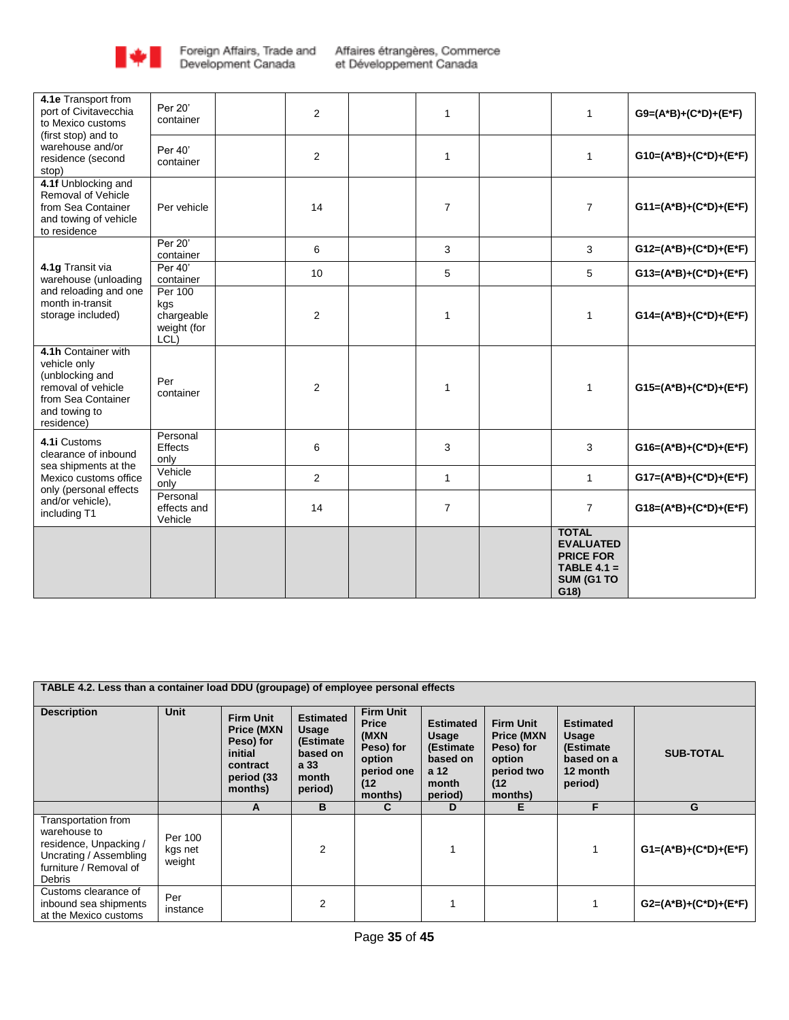

| 4.1e Transport from<br>port of Civitavecchia<br>to Mexico customs                                                                 | Per 20'<br>container                                       | $\overline{2}$ | 1              | $\mathbf{1}$                                                                                | $G9=(A^*B)+(C^*D)+(E^*F)$ |
|-----------------------------------------------------------------------------------------------------------------------------------|------------------------------------------------------------|----------------|----------------|---------------------------------------------------------------------------------------------|---------------------------|
| (first stop) and to<br>warehouse and/or<br>residence (second<br>stop)                                                             | Per 40'<br>container                                       | $\overline{2}$ | $\mathbf{1}$   | $\mathbf{1}$                                                                                | $G10=(A*B)+(C*D)+(E*F)$   |
| 4.1f Unblocking and<br>Removal of Vehicle<br>from Sea Container<br>and towing of vehicle<br>to residence                          | Per vehicle                                                | 14             | $\overline{7}$ | $\overline{7}$                                                                              | $G11=(A*B)+(C*D)+(E*F)$   |
|                                                                                                                                   | Per 20'<br>container                                       | 6              | 3              | 3                                                                                           | $G12=(A*B)+(C*D)+(E*F)$   |
| 4.1g Transit via<br>warehouse (unloading                                                                                          | Per 40'<br>container                                       | 10             | 5              | 5                                                                                           | $G13=(A*B)+(C*D)+(E*F)$   |
| and reloading and one<br>month in-transit<br>storage included)                                                                    | <b>Per 100</b><br>kgs<br>chargeable<br>weight (for<br>LCL) | $\overline{2}$ | 1              | 1                                                                                           | $G14=(A*B)+(C*D)+(E*F)$   |
| 4.1h Container with<br>vehicle only<br>(unblocking and<br>removal of vehicle<br>from Sea Container<br>and towing to<br>residence) | Per<br>container                                           | $\overline{2}$ | $\mathbf{1}$   | $\mathbf{1}$                                                                                | G15=(A*B)+(C*D)+(E*F)     |
| 4.1i Customs<br>clearance of inbound<br>sea shipments at the                                                                      | Personal<br>Effects<br>only                                | 6              | 3              | 3                                                                                           | $G16=(A*B)+(C*D)+(E*F)$   |
| Mexico customs office<br>only (personal effects                                                                                   | Vehicle<br>only                                            | $\overline{c}$ | $\mathbf{1}$   | $\mathbf{1}$                                                                                | $G17=(A*B)+(C*D)+(E*F)$   |
| and/or vehicle),<br>including T1                                                                                                  | Personal<br>effects and<br>Vehicle                         | 14             | $\overline{7}$ | $\overline{7}$                                                                              | $G18=(A*B)+(C*D)+(E*F)$   |
|                                                                                                                                   |                                                            |                |                | <b>TOTAL</b><br><b>EVALUATED</b><br><b>PRICE FOR</b><br>TABLE $4.1 =$<br>SUM (G1 TO<br>G18) |                           |

| TABLE 4.2. Less than a container load DDU (groupage) of employee personal effects                                           |                              |                                                                                                    |                                                                                |                                                                                                  |                                                                                 |                                                                                                |                                                                              |                           |
|-----------------------------------------------------------------------------------------------------------------------------|------------------------------|----------------------------------------------------------------------------------------------------|--------------------------------------------------------------------------------|--------------------------------------------------------------------------------------------------|---------------------------------------------------------------------------------|------------------------------------------------------------------------------------------------|------------------------------------------------------------------------------|---------------------------|
| <b>Description</b>                                                                                                          | <b>Unit</b>                  | <b>Firm Unit</b><br><b>Price (MXN</b><br>Peso) for<br>initial<br>contract<br>period (33<br>months) | <b>Estimated</b><br>Usage<br>(Estimate<br>based on<br>a 33<br>month<br>period) | <b>Firm Unit</b><br><b>Price</b><br>(MXN<br>Peso) for<br>option<br>period one<br>(12)<br>months) | <b>Estimated</b><br>Usage<br>(Estimate)<br>based on<br>a 12<br>month<br>period) | <b>Firm Unit</b><br><b>Price (MXN)</b><br>Peso) for<br>option<br>period two<br>(12)<br>months) | <b>Estimated</b><br>Usage<br>(Estimate)<br>based on a<br>12 month<br>period) | <b>SUB-TOTAL</b>          |
|                                                                                                                             |                              | A                                                                                                  | B                                                                              | C                                                                                                | D                                                                               | Е                                                                                              | F                                                                            | G                         |
| Transportation from<br>warehouse to<br>residence, Unpacking /<br>Uncrating / Assembling<br>furniture / Removal of<br>Debris | Per 100<br>kgs net<br>weight |                                                                                                    | 2                                                                              |                                                                                                  |                                                                                 |                                                                                                |                                                                              | $G1=(A^*B)+(C^*D)+(E^*F)$ |
| Customs clearance of<br>inbound sea shipments<br>at the Mexico customs                                                      | Per<br>instance              |                                                                                                    | 2                                                                              |                                                                                                  |                                                                                 |                                                                                                |                                                                              | $G2=(A^*B)+(C^*D)+(E^*F)$ |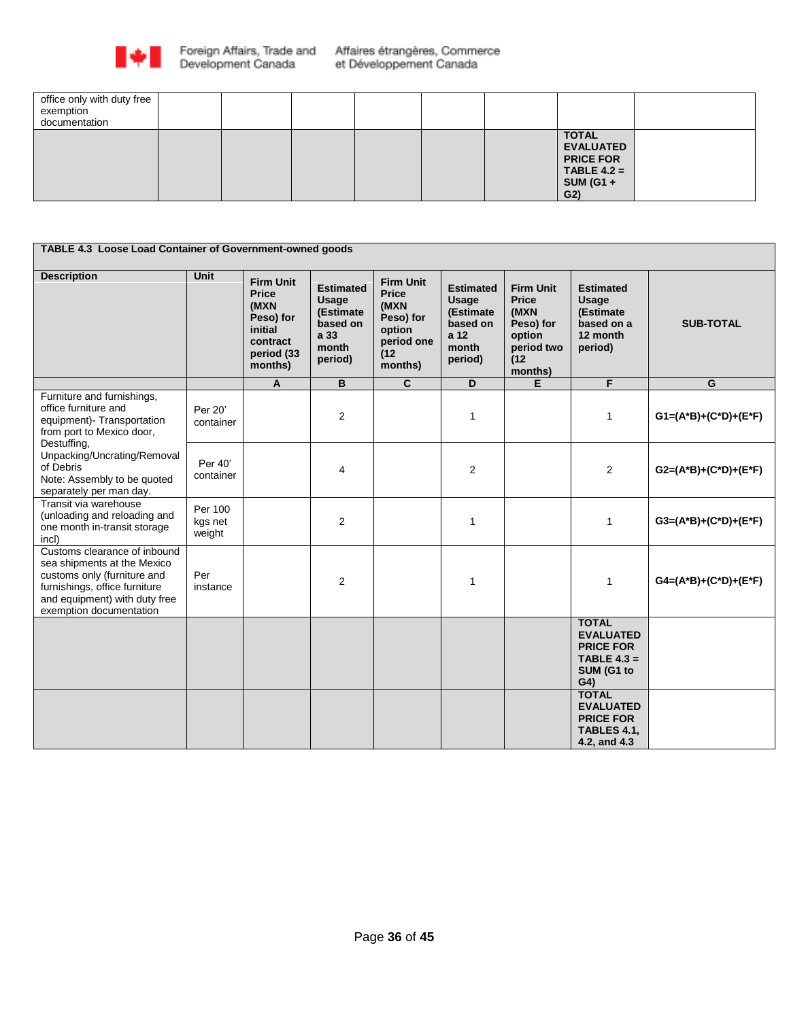

| office only with duty free<br>exemption<br>documentation |  |  |  |                                                                                                             |  |
|----------------------------------------------------------|--|--|--|-------------------------------------------------------------------------------------------------------------|--|
|                                                          |  |  |  | <b>TOTAL</b><br><b>EVALUATED</b><br><b>PRICE FOR</b><br>$TABLE 4.2 =$<br><b>SUM (G1 +</b><br>G <sub>2</sub> |  |

| TABLE 4.3 Loose Load Container of Government-owned goods                                                                                                                                |                              |                                                                                                       |                                                                                |                                                                                                  |                                                                                |                                                                                                  |                                                                                                       |                           |
|-----------------------------------------------------------------------------------------------------------------------------------------------------------------------------------------|------------------------------|-------------------------------------------------------------------------------------------------------|--------------------------------------------------------------------------------|--------------------------------------------------------------------------------------------------|--------------------------------------------------------------------------------|--------------------------------------------------------------------------------------------------|-------------------------------------------------------------------------------------------------------|---------------------------|
| <b>Description</b>                                                                                                                                                                      | <b>Unit</b>                  | <b>Firm Unit</b><br><b>Price</b><br>(MXN<br>Peso) for<br>initial<br>contract<br>period (33<br>months) | <b>Estimated</b><br>Usage<br>(Estimate<br>based on<br>a 33<br>month<br>period) | <b>Firm Unit</b><br><b>Price</b><br>(MXN<br>Peso) for<br>option<br>period one<br>(12)<br>months) | <b>Estimated</b><br>Usage<br>(Estimate<br>based on<br>a 12<br>month<br>period) | <b>Firm Unit</b><br><b>Price</b><br>(MXN<br>Peso) for<br>option<br>period two<br>(12)<br>months) | <b>Estimated</b><br>Usage<br>(Estimate<br>based on a<br>12 month<br>period)                           | <b>SUB-TOTAL</b>          |
|                                                                                                                                                                                         |                              | A                                                                                                     | B                                                                              | $\overline{c}$                                                                                   | D                                                                              | Е                                                                                                | F                                                                                                     | $\overline{G}$            |
| Furniture and furnishings,<br>office furniture and<br>equipment)- Transportation<br>from port to Mexico door,<br>Destuffing,                                                            | Per 20'<br>container         |                                                                                                       | $\overline{2}$                                                                 |                                                                                                  | $\mathbf{1}$                                                                   |                                                                                                  | 1                                                                                                     | $G1=(A^*B)+(C^*D)+(E^*F)$ |
| Unpacking/Uncrating/Removal<br>of Debris<br>Note: Assembly to be quoted<br>separately per man day.                                                                                      | Per 40'<br>container         |                                                                                                       | 4                                                                              |                                                                                                  | $\overline{2}$                                                                 |                                                                                                  | $\overline{2}$                                                                                        | $G2=(A^*B)+(C^*D)+(E^*F)$ |
| Transit via warehouse<br>(unloading and reloading and<br>one month in-transit storage<br>incl)                                                                                          | Per 100<br>kgs net<br>weight |                                                                                                       | $\overline{2}$                                                                 |                                                                                                  | $\mathbf{1}$                                                                   |                                                                                                  | 1                                                                                                     | $G3=(A^*B)+(C^*D)+(E^*F)$ |
| Customs clearance of inbound<br>sea shipments at the Mexico<br>customs only (furniture and<br>furnishings, office furniture<br>and equipment) with duty free<br>exemption documentation | Per<br>instance              |                                                                                                       | $\overline{2}$                                                                 |                                                                                                  | 1                                                                              |                                                                                                  | 1                                                                                                     | $G4=(A^*B)+(C^*D)+(E^*F)$ |
|                                                                                                                                                                                         |                              |                                                                                                       |                                                                                |                                                                                                  |                                                                                |                                                                                                  | <b>TOTAL</b><br><b>EVALUATED</b><br><b>PRICE FOR</b><br>TABLE $4.3 =$<br>SUM (G1 to<br>G <sub>4</sub> |                           |
|                                                                                                                                                                                         |                              |                                                                                                       |                                                                                |                                                                                                  |                                                                                |                                                                                                  | <b>TOTAL</b><br><b>EVALUATED</b><br><b>PRICE FOR</b><br>TABLES 4.1,<br>4.2, and 4.3                   |                           |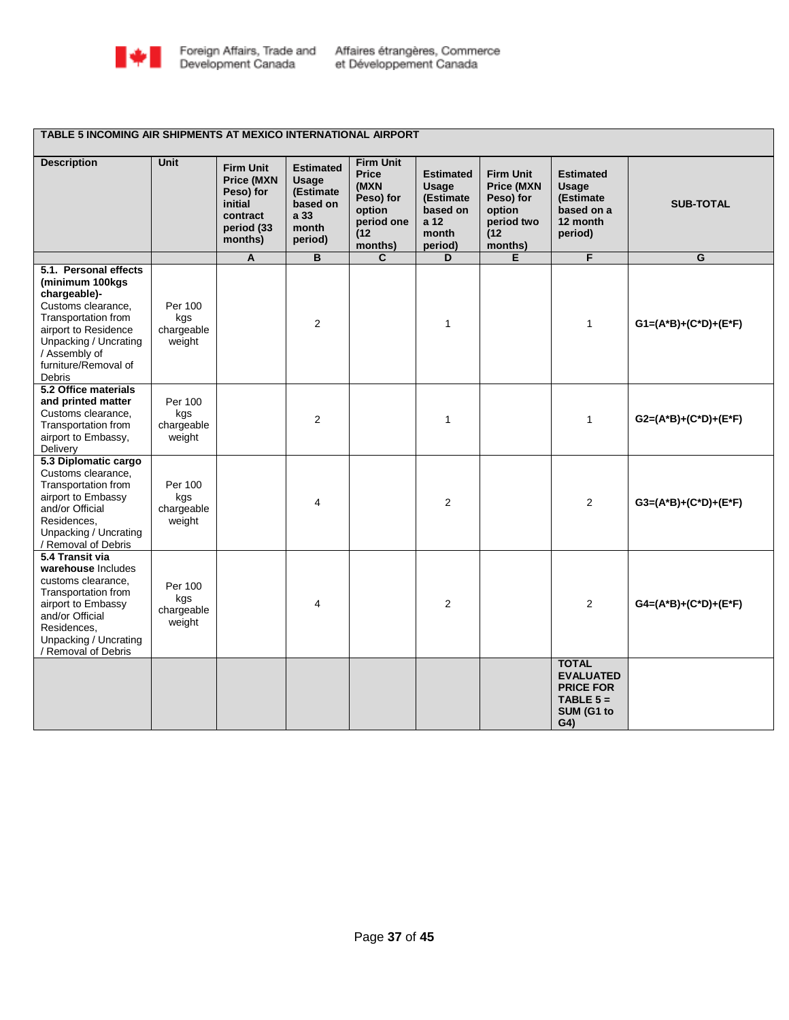

### **TABLE 5 INCOMING AIR SHIPMENTS AT MEXICO INTERNATIONAL AIRPORT**

| <b>Description</b>                                                                                                                                                                                               | <b>Unit</b>                            | <b>Firm Unit</b><br><b>Price (MXN</b><br>Peso) for<br>initial<br>contract<br>period (33<br>months) | <b>Estimated</b><br><b>Usage</b><br>(Estimate<br>based on<br>a 33<br>month<br>period) | <b>Firm Unit</b><br>Price<br>(MXN<br>Peso) for<br>option<br>period one<br>(12)<br>months) | <b>Estimated</b><br><b>Usage</b><br>(Estimate<br>based on<br>a 12<br>month<br>period) | <b>Firm Unit</b><br><b>Price (MXN</b><br>Peso) for<br>option<br>period two<br>(12)<br>months) | <b>Estimated</b><br><b>Usage</b><br>(Estimate<br>based on a<br>12 month<br>period)                  | <b>SUB-TOTAL</b>          |
|------------------------------------------------------------------------------------------------------------------------------------------------------------------------------------------------------------------|----------------------------------------|----------------------------------------------------------------------------------------------------|---------------------------------------------------------------------------------------|-------------------------------------------------------------------------------------------|---------------------------------------------------------------------------------------|-----------------------------------------------------------------------------------------------|-----------------------------------------------------------------------------------------------------|---------------------------|
|                                                                                                                                                                                                                  |                                        | A                                                                                                  | $\overline{\mathsf{B}}$                                                               | $\overline{\mathbf{c}}$                                                                   | D                                                                                     | Ε                                                                                             | F                                                                                                   | G                         |
| 5.1. Personal effects<br>(minimum 100kgs<br>chargeable)-<br>Customs clearance,<br>Transportation from<br>airport to Residence<br>Unpacking / Uncrating<br>/ Assembly of<br>furniture/Removal of<br><b>Debris</b> | Per 100<br>kgs<br>chargeable<br>weight |                                                                                                    | 2                                                                                     |                                                                                           | 1                                                                                     |                                                                                               | $\mathbf{1}$                                                                                        | $G1=(A^*B)+(C^*D)+(E^*F)$ |
| 5.2 Office materials<br>and printed matter<br>Customs clearance,<br>Transportation from<br>airport to Embassy,<br>Delivery                                                                                       | Per 100<br>kgs<br>chargeable<br>weight |                                                                                                    | 2                                                                                     |                                                                                           | $\mathbf{1}$                                                                          |                                                                                               | $\mathbf{1}$                                                                                        | $G2=(A^*B)+(C^*D)+(E^*F)$ |
| 5.3 Diplomatic cargo<br>Customs clearance.<br>Transportation from<br>airport to Embassy<br>and/or Official<br>Residences.<br>Unpacking / Uncrating<br>/ Removal of Debris                                        | Per 100<br>kgs<br>chargeable<br>weight |                                                                                                    | 4                                                                                     |                                                                                           | 2                                                                                     |                                                                                               | 2                                                                                                   | $G3=(A^*B)+(C^*D)+(E^*F)$ |
| 5.4 Transit via<br>warehouse Includes<br>customs clearance.<br>Transportation from<br>airport to Embassy<br>and/or Official<br>Residences,<br>Unpacking / Uncrating<br>/ Removal of Debris                       | Per 100<br>kgs<br>chargeable<br>weight |                                                                                                    | 4                                                                                     |                                                                                           | 2                                                                                     |                                                                                               | 2                                                                                                   | $G4=(A*B)+(C*D)+(E*F)$    |
|                                                                                                                                                                                                                  |                                        |                                                                                                    |                                                                                       |                                                                                           |                                                                                       |                                                                                               | <b>TOTAL</b><br><b>EVALUATED</b><br><b>PRICE FOR</b><br>TABLE $5 =$<br>SUM (G1 to<br>G <sub>4</sub> |                           |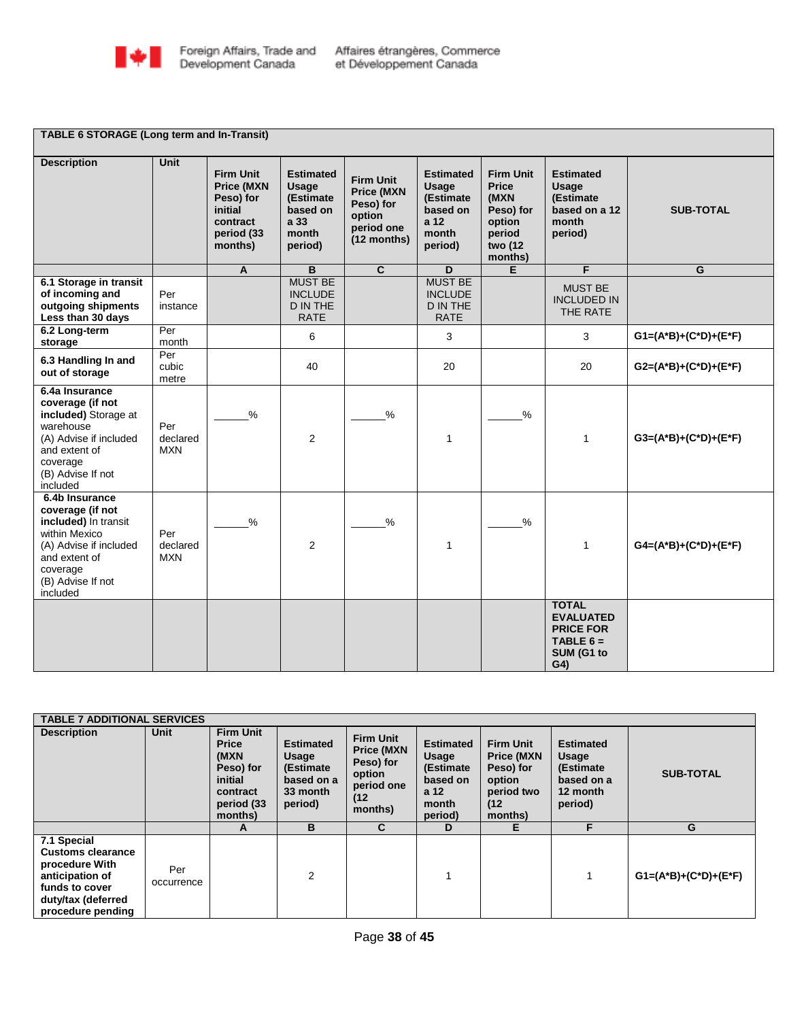

**TABLE 6 STORAGE (Long term and In-Transit)**

| <b>Description</b>                                                                                                                                                  | <b>Unit</b>                        | <b>Firm Unit</b><br><b>Price (MXN</b><br>Peso) for<br>initial<br>contract<br>period (33<br>months) | <b>Estimated</b><br>Usage<br>(Estimate<br>based on<br>a 33<br>month<br>period) | <b>Firm Unit</b><br><b>Price (MXN</b><br>Peso) for<br>option<br>period one<br>(12 months) | <b>Estimated</b><br>Usage<br>(Estimate<br>based on<br>a 12<br>month<br>period) | <b>Firm Unit</b><br><b>Price</b><br>(MXN<br>Peso) for<br>option<br>period<br>two (12<br>months) | <b>Estimated</b><br><b>Usage</b><br>(Estimate<br>based on a 12<br>month<br>period)                  | <b>SUB-TOTAL</b>          |
|---------------------------------------------------------------------------------------------------------------------------------------------------------------------|------------------------------------|----------------------------------------------------------------------------------------------------|--------------------------------------------------------------------------------|-------------------------------------------------------------------------------------------|--------------------------------------------------------------------------------|-------------------------------------------------------------------------------------------------|-----------------------------------------------------------------------------------------------------|---------------------------|
|                                                                                                                                                                     |                                    | $\mathsf{A}$                                                                                       | B                                                                              | $\overline{c}$                                                                            | D                                                                              | E                                                                                               | F                                                                                                   | G                         |
| 6.1 Storage in transit<br>of incoming and<br>outgoing shipments<br>Less than 30 days                                                                                | Per<br>instance                    |                                                                                                    | <b>MUST BE</b><br><b>INCLUDE</b><br><b>D IN THE</b><br><b>RATE</b>             |                                                                                           | <b>MUST BE</b><br><b>INCLUDE</b><br><b>D IN THE</b><br><b>RATE</b>             |                                                                                                 | <b>MUST BE</b><br><b>INCLUDED IN</b><br>THE RATE                                                    |                           |
| 6.2 Long-term<br>storage                                                                                                                                            | Per<br>month                       |                                                                                                    | 6                                                                              |                                                                                           | 3                                                                              |                                                                                                 | 3                                                                                                   | $G1=(A^*B)+(C^*D)+(E^*F)$ |
| 6.3 Handling In and<br>out of storage                                                                                                                               | $\overline{Per}$<br>cubic<br>metre |                                                                                                    | 40                                                                             |                                                                                           | 20                                                                             |                                                                                                 | 20                                                                                                  | $G2=(A^*B)+(C^*D)+(E^*F)$ |
| 6.4a Insurance<br>coverage (if not<br>included) Storage at<br>warehouse<br>(A) Advise if included<br>and extent of<br>coverage<br>(B) Advise If not<br>included     | Per<br>declared<br><b>MXN</b>      | $\%$                                                                                               | 2                                                                              | $\frac{9}{6}$                                                                             | 1                                                                              | $\%$                                                                                            | 1                                                                                                   | G3=(A*B)+(C*D)+(E*F)      |
| 6.4b Insurance<br>coverage (if not<br>included) In transit<br>within Mexico<br>(A) Advise if included<br>and extent of<br>coverage<br>(B) Advise If not<br>included | Per<br>declared<br><b>MXN</b>      | $\%$                                                                                               | 2                                                                              | $\frac{1}{2}$                                                                             | 1                                                                              | $\%$                                                                                            | 1                                                                                                   | $G4=(A*B)+(C*D)+(E*F)$    |
|                                                                                                                                                                     |                                    |                                                                                                    |                                                                                |                                                                                           |                                                                                |                                                                                                 | <b>TOTAL</b><br><b>EVALUATED</b><br><b>PRICE FOR</b><br>TABLE $6 =$<br>SUM (G1 to<br>G <sub>4</sub> |                           |

| <b>TABLE 7 ADDITIONAL SERVICES</b>                                                                                                        |                   |                                                                                                       |                                                                              |                                                                                               |                                                                                 |                                                                                               |                                                                             |                           |
|-------------------------------------------------------------------------------------------------------------------------------------------|-------------------|-------------------------------------------------------------------------------------------------------|------------------------------------------------------------------------------|-----------------------------------------------------------------------------------------------|---------------------------------------------------------------------------------|-----------------------------------------------------------------------------------------------|-----------------------------------------------------------------------------|---------------------------|
| <b>Description</b>                                                                                                                        | Unit              | <b>Firm Unit</b><br><b>Price</b><br>(MXN<br>Peso) for<br>initial<br>contract<br>period (33<br>months) | <b>Estimated</b><br>Usage<br>(Estimate)<br>based on a<br>33 month<br>period) | <b>Firm Unit</b><br><b>Price (MXN</b><br>Peso) for<br>option<br>period one<br>(12)<br>months) | <b>Estimated</b><br>Usage<br>(Estimate)<br>based on<br>a 12<br>month<br>period) | <b>Firm Unit</b><br><b>Price (MXN</b><br>Peso) for<br>option<br>period two<br>(12)<br>months) | <b>Estimated</b><br>Usage<br>(Estimate<br>based on a<br>12 month<br>period) | <b>SUB-TOTAL</b>          |
|                                                                                                                                           |                   | A                                                                                                     | B                                                                            | C                                                                                             | D                                                                               | Е                                                                                             | F                                                                           | G                         |
| 7.1 Special<br><b>Customs clearance</b><br>procedure With<br>anticipation of<br>funds to cover<br>duty/tax (deferred<br>procedure pending | Per<br>occurrence |                                                                                                       | $\overline{2}$                                                               |                                                                                               |                                                                                 |                                                                                               |                                                                             | $G1=(A^*B)+(C^*D)+(E^*F)$ |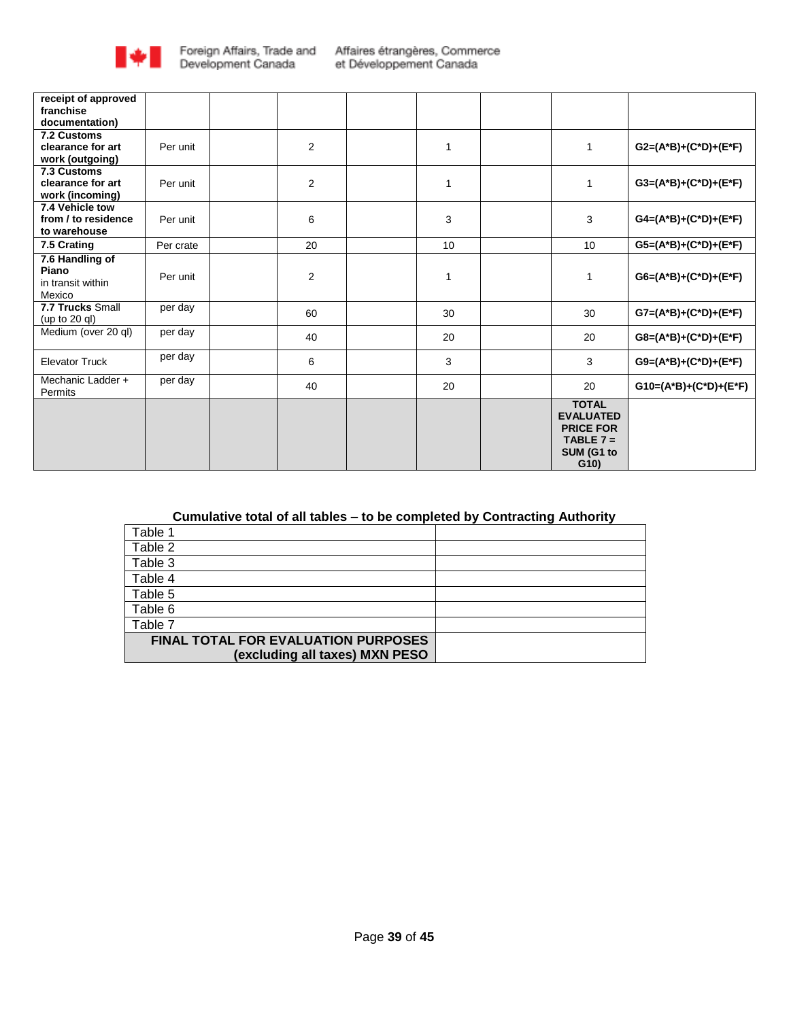

| receipt of approved                  |           |                |    |                  |                            |
|--------------------------------------|-----------|----------------|----|------------------|----------------------------|
| franchise<br>documentation)          |           |                |    |                  |                            |
| 7.2 Customs                          |           |                |    |                  |                            |
| clearance for art                    | Per unit  | $\overline{2}$ | 1  | $\overline{1}$   | $G2=(A^*B)+(C^*D)+(E^*F)$  |
| work (outgoing)                      |           |                |    |                  |                            |
| 7.3 Customs                          |           |                |    |                  |                            |
| clearance for art<br>work (incoming) | Per unit  | $\overline{2}$ | 1  | $\overline{1}$   | $G3=(A^*B)+(C^*D)+(E^*F)$  |
| 7.4 Vehicle tow                      |           |                |    |                  |                            |
| from / to residence                  | Per unit  | 6              | 3  | 3                | $G4=(A^*B)+(C^*D)+(E^*F)$  |
| to warehouse                         |           |                |    |                  |                            |
| 7.5 Crating                          | Per crate | 20             | 10 | 10               | $G5=(A^*B)+(C^*D)+(E^*F)$  |
| 7.6 Handling of                      |           |                |    |                  |                            |
| Piano                                | Per unit  | $\overline{2}$ | 1  | $\mathbf{1}$     | $G6=(A^*B)+(C^*D)+(E^*F)$  |
| in transit within<br>Mexico          |           |                |    |                  |                            |
| 7.7 Trucks Small                     | per day   |                |    |                  |                            |
| (up to 20 ql)                        |           | 60             | 30 | 30               | $G7=(A*B)+(C*D)+(E*F)$     |
| Medium (over 20 ql)                  | per day   | 40             | 20 | 20               | $G8=(A^*B)+(C^*D)+(E^*F)$  |
|                                      |           |                |    |                  |                            |
| <b>Elevator Truck</b>                | per day   | 6              | 3  | 3                | $G9=(A^*B)+(C^*D)+(E^*F)$  |
| Mechanic Ladder +                    | per day   | 40             | 20 | 20               | $G10=(A^*B)+(C^*D)+(E^*F)$ |
| Permits                              |           |                |    | <b>TOTAL</b>     |                            |
|                                      |           |                |    | <b>EVALUATED</b> |                            |
|                                      |           |                |    | <b>PRICE FOR</b> |                            |
|                                      |           |                |    | TABLE $7 =$      |                            |
|                                      |           |                |    | SUM (G1 to       |                            |
|                                      |           |                |    | G(10)            |                            |

# **Cumulative total of all tables – to be completed by Contracting Authority**

| Table 1                                    |  |
|--------------------------------------------|--|
| Table 2                                    |  |
| Table 3                                    |  |
| Table 4                                    |  |
| Table 5                                    |  |
| Table 6                                    |  |
| Table 7                                    |  |
| <b>FINAL TOTAL FOR EVALUATION PURPOSES</b> |  |
| (excluding all taxes) MXN PESO             |  |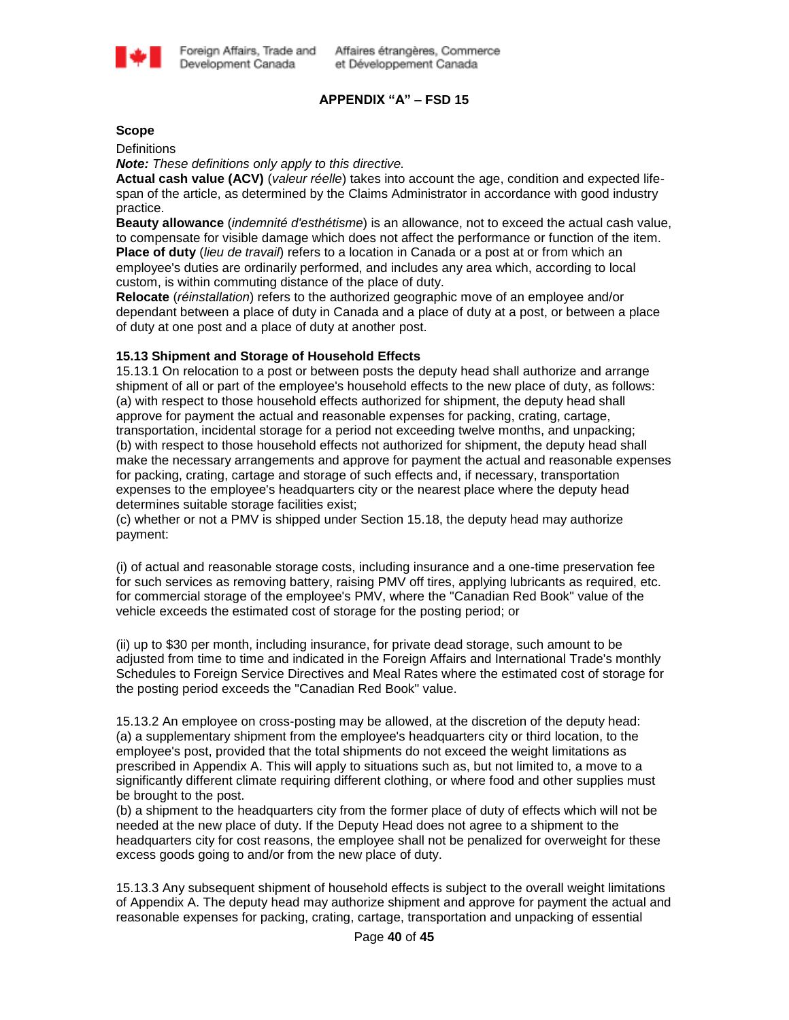

# **APPENDIX "A" – FSD 15**

#### **Scope**

**Definitions** 

*Note: These definitions only apply to this directive.*

**Actual cash value (ACV)** (*valeur réelle*) takes into account the age, condition and expected lifespan of the article, as determined by the Claims Administrator in accordance with good industry practice.

**Beauty allowance** (*indemnité d'esthétisme*) is an allowance, not to exceed the actual cash value, to compensate for visible damage which does not affect the performance or function of the item. **Place of duty** (*lieu de travail*) refers to a location in Canada or a post at or from which an employee's duties are ordinarily performed, and includes any area which, according to local custom, is within commuting distance of the place of duty.

**Relocate** (*réinstallation*) refers to the authorized geographic move of an employee and/or dependant between a place of duty in Canada and a place of duty at a post, or between a place of duty at one post and a place of duty at another post.

### **15.13 Shipment and Storage of Household Effects**

15.13.1 On relocation to a post or between posts the deputy head shall authorize and arrange shipment of all or part of the employee's household effects to the new place of duty, as follows: (a) with respect to those household effects authorized for shipment, the deputy head shall approve for payment the actual and reasonable expenses for packing, crating, cartage, transportation, incidental storage for a period not exceeding twelve months, and unpacking; (b) with respect to those household effects not authorized for shipment, the deputy head shall make the necessary arrangements and approve for payment the actual and reasonable expenses for packing, crating, cartage and storage of such effects and, if necessary, transportation expenses to the employee's headquarters city or the nearest place where the deputy head determines suitable storage facilities exist;

(c) whether or not a PMV is shipped under Section 15.18, the deputy head may authorize payment:

(i) of actual and reasonable storage costs, including insurance and a one-time preservation fee for such services as removing battery, raising PMV off tires, applying lubricants as required, etc. for commercial storage of the employee's PMV, where the "Canadian Red Book" value of the vehicle exceeds the estimated cost of storage for the posting period; or

(ii) up to \$30 per month, including insurance, for private dead storage, such amount to be adjusted from time to time and indicated in the Foreign Affairs and International Trade's monthly Schedules to Foreign Service Directives and Meal Rates where the estimated cost of storage for the posting period exceeds the "Canadian Red Book" value.

15.13.2 An employee on cross-posting may be allowed, at the discretion of the deputy head: (a) a supplementary shipment from the employee's headquarters city or third location, to the employee's post, provided that the total shipments do not exceed the weight limitations as prescribed in Appendix A. This will apply to situations such as, but not limited to, a move to a significantly different climate requiring different clothing, or where food and other supplies must be brought to the post.

(b) a shipment to the headquarters city from the former place of duty of effects which will not be needed at the new place of duty. If the Deputy Head does not agree to a shipment to the headquarters city for cost reasons, the employee shall not be penalized for overweight for these excess goods going to and/or from the new place of duty.

15.13.3 Any subsequent shipment of household effects is subject to the overall weight limitations of Appendix A. The deputy head may authorize shipment and approve for payment the actual and reasonable expenses for packing, crating, cartage, transportation and unpacking of essential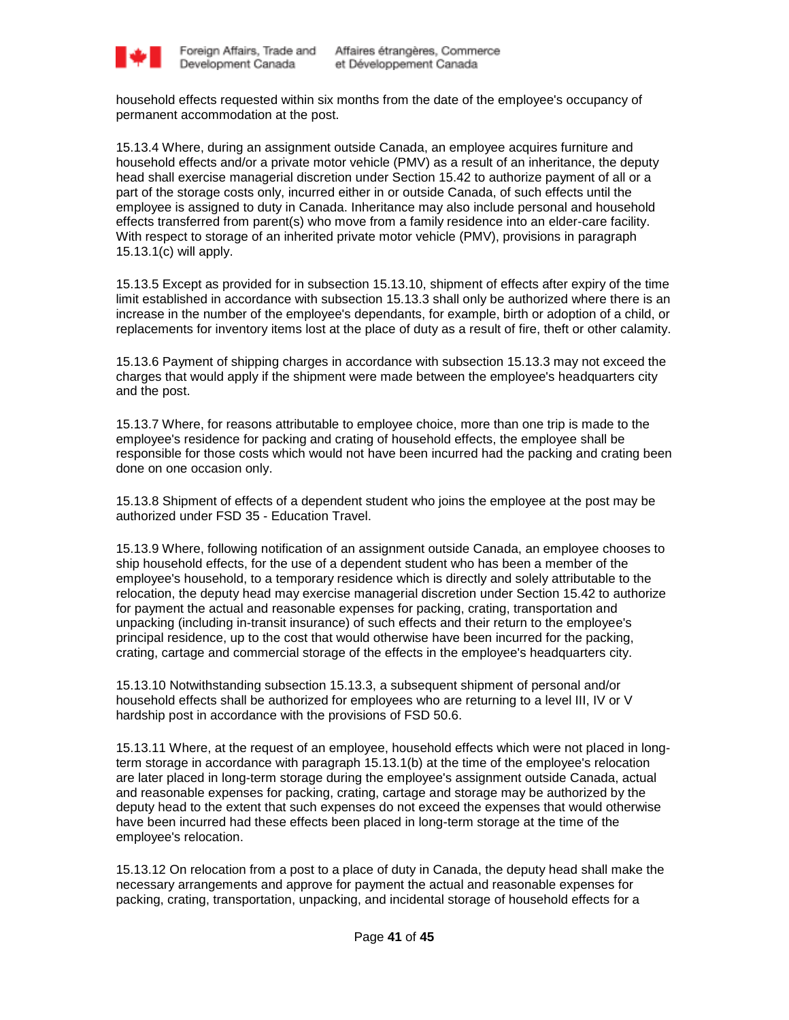

household effects requested within six months from the date of the employee's occupancy of permanent accommodation at the post.

15.13.4 Where, during an assignment outside Canada, an employee acquires furniture and household effects and/or a private motor vehicle (PMV) as a result of an inheritance, the deputy head shall exercise managerial discretion under Section 15.42 to authorize payment of all or a part of the storage costs only, incurred either in or outside Canada, of such effects until the employee is assigned to duty in Canada. Inheritance may also include personal and household effects transferred from parent(s) who move from a family residence into an elder-care facility. With respect to storage of an inherited private motor vehicle (PMV), provisions in paragraph 15.13.1(c) will apply.

15.13.5 Except as provided for in subsection 15.13.10, shipment of effects after expiry of the time limit established in accordance with subsection 15.13.3 shall only be authorized where there is an increase in the number of the employee's dependants, for example, birth or adoption of a child, or replacements for inventory items lost at the place of duty as a result of fire, theft or other calamity.

15.13.6 Payment of shipping charges in accordance with subsection 15.13.3 may not exceed the charges that would apply if the shipment were made between the employee's headquarters city and the post.

15.13.7 Where, for reasons attributable to employee choice, more than one trip is made to the employee's residence for packing and crating of household effects, the employee shall be responsible for those costs which would not have been incurred had the packing and crating been done on one occasion only.

15.13.8 Shipment of effects of a dependent student who joins the employee at the post may be authorized under FSD 35 - Education Travel.

15.13.9 Where, following notification of an assignment outside Canada, an employee chooses to ship household effects, for the use of a dependent student who has been a member of the employee's household, to a temporary residence which is directly and solely attributable to the relocation, the deputy head may exercise managerial discretion under Section 15.42 to authorize for payment the actual and reasonable expenses for packing, crating, transportation and unpacking (including in-transit insurance) of such effects and their return to the employee's principal residence, up to the cost that would otherwise have been incurred for the packing, crating, cartage and commercial storage of the effects in the employee's headquarters city.

15.13.10 Notwithstanding subsection 15.13.3, a subsequent shipment of personal and/or household effects shall be authorized for employees who are returning to a level III, IV or V hardship post in accordance with the provisions of FSD 50.6.

15.13.11 Where, at the request of an employee, household effects which were not placed in longterm storage in accordance with paragraph 15.13.1(b) at the time of the employee's relocation are later placed in long-term storage during the employee's assignment outside Canada, actual and reasonable expenses for packing, crating, cartage and storage may be authorized by the deputy head to the extent that such expenses do not exceed the expenses that would otherwise have been incurred had these effects been placed in long-term storage at the time of the employee's relocation.

15.13.12 On relocation from a post to a place of duty in Canada, the deputy head shall make the necessary arrangements and approve for payment the actual and reasonable expenses for packing, crating, transportation, unpacking, and incidental storage of household effects for a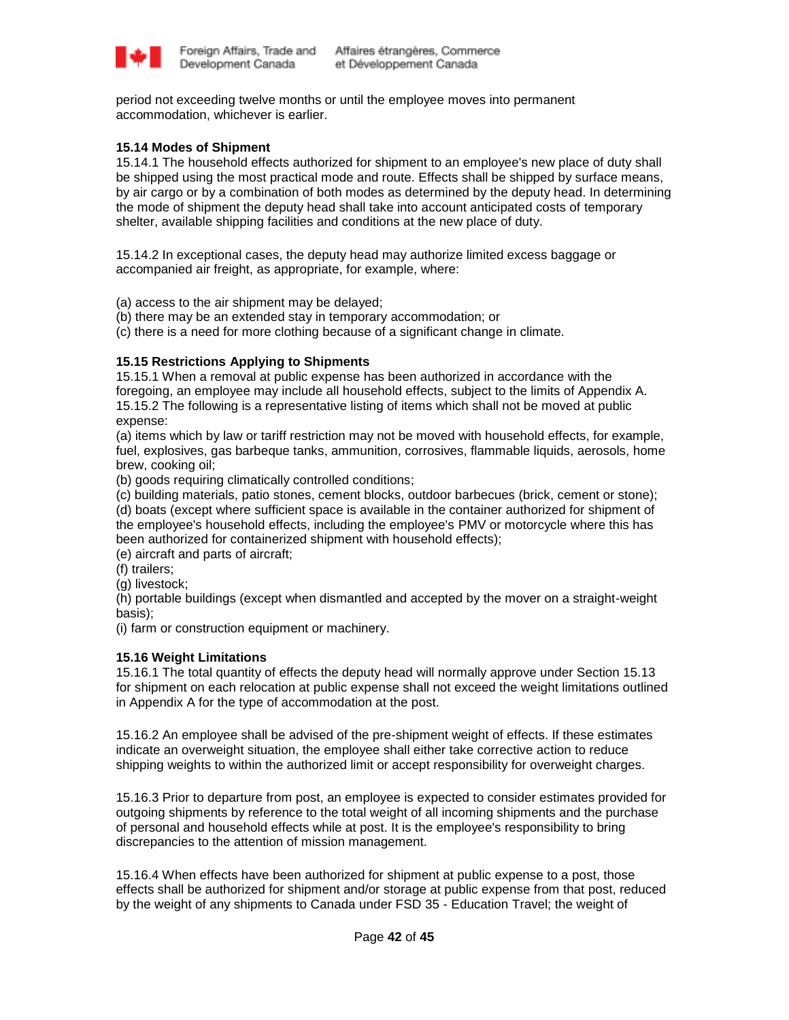

period not exceeding twelve months or until the employee moves into permanent accommodation, whichever is earlier.

# **15.14 Modes of Shipment**

15.14.1 The household effects authorized for shipment to an employee's new place of duty shall be shipped using the most practical mode and route. Effects shall be shipped by surface means, by air cargo or by a combination of both modes as determined by the deputy head. In determining the mode of shipment the deputy head shall take into account anticipated costs of temporary shelter, available shipping facilities and conditions at the new place of duty.

15.14.2 In exceptional cases, the deputy head may authorize limited excess baggage or accompanied air freight, as appropriate, for example, where:

(a) access to the air shipment may be delayed;

- (b) there may be an extended stay in temporary accommodation; or
- (c) there is a need for more clothing because of a significant change in climate.

### **15.15 Restrictions Applying to Shipments**

15.15.1 When a removal at public expense has been authorized in accordance with the foregoing, an employee may include all household effects, subject to the limits of Appendix A. 15.15.2 The following is a representative listing of items which shall not be moved at public expense:

(a) items which by law or tariff restriction may not be moved with household effects, for example, fuel, explosives, gas barbeque tanks, ammunition, corrosives, flammable liquids, aerosols, home brew, cooking oil;

(b) goods requiring climatically controlled conditions;

(c) building materials, patio stones, cement blocks, outdoor barbecues (brick, cement or stone); (d) boats (except where sufficient space is available in the container authorized for shipment of the employee's household effects, including the employee's PMV or motorcycle where this has been authorized for containerized shipment with household effects);

(e) aircraft and parts of aircraft;

(f) trailers;

(g) livestock;

(h) portable buildings (except when dismantled and accepted by the mover on a straight-weight basis);

(i) farm or construction equipment or machinery.

### **15.16 Weight Limitations**

15.16.1 The total quantity of effects the deputy head will normally approve under Section 15.13 for shipment on each relocation at public expense shall not exceed the weight limitations outlined in Appendix A for the type of accommodation at the post.

15.16.2 An employee shall be advised of the pre-shipment weight of effects. If these estimates indicate an overweight situation, the employee shall either take corrective action to reduce shipping weights to within the authorized limit or accept responsibility for overweight charges.

15.16.3 Prior to departure from post, an employee is expected to consider estimates provided for outgoing shipments by reference to the total weight of all incoming shipments and the purchase of personal and household effects while at post. It is the employee's responsibility to bring discrepancies to the attention of mission management.

15.16.4 When effects have been authorized for shipment at public expense to a post, those effects shall be authorized for shipment and/or storage at public expense from that post, reduced by the weight of any shipments to Canada under FSD 35 - Education Travel; the weight of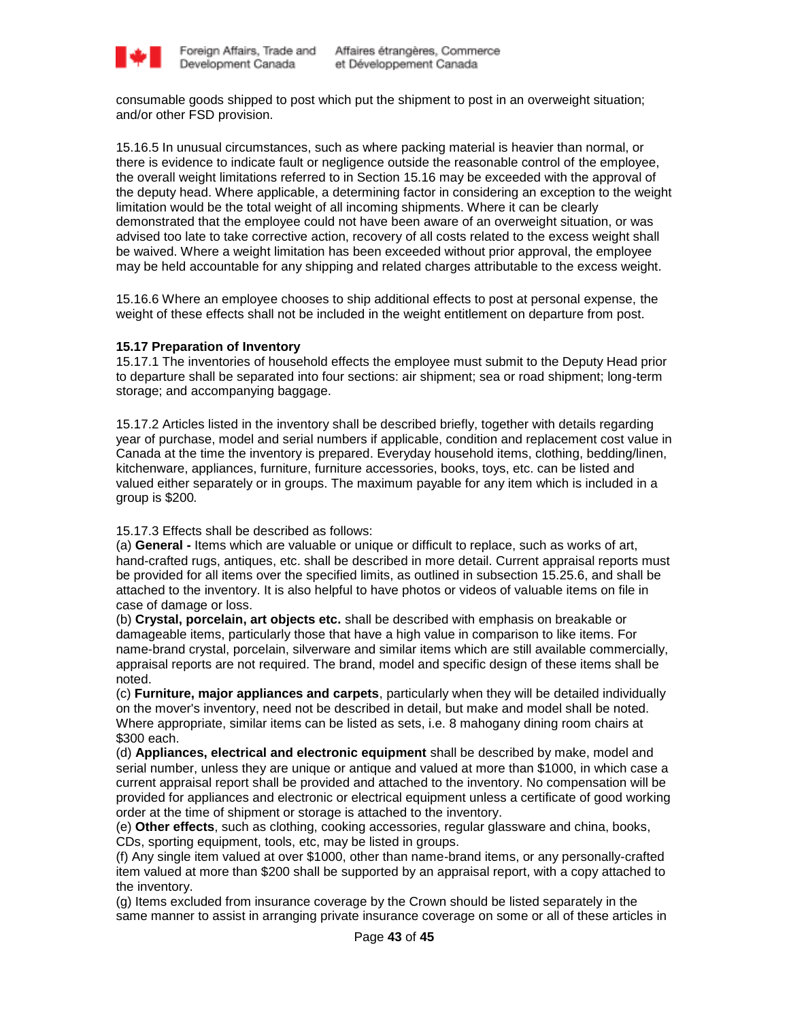

consumable goods shipped to post which put the shipment to post in an overweight situation; and/or other FSD provision.

15.16.5 In unusual circumstances, such as where packing material is heavier than normal, or there is evidence to indicate fault or negligence outside the reasonable control of the employee, the overall weight limitations referred to in Section 15.16 may be exceeded with the approval of the deputy head. Where applicable, a determining factor in considering an exception to the weight limitation would be the total weight of all incoming shipments. Where it can be clearly demonstrated that the employee could not have been aware of an overweight situation, or was advised too late to take corrective action, recovery of all costs related to the excess weight shall be waived. Where a weight limitation has been exceeded without prior approval, the employee may be held accountable for any shipping and related charges attributable to the excess weight.

15.16.6 Where an employee chooses to ship additional effects to post at personal expense, the weight of these effects shall not be included in the weight entitlement on departure from post.

### **15.17 Preparation of Inventory**

15.17.1 The inventories of household effects the employee must submit to the Deputy Head prior to departure shall be separated into four sections: air shipment; sea or road shipment; long-term storage; and accompanying baggage.

15.17.2 Articles listed in the inventory shall be described briefly, together with details regarding year of purchase, model and serial numbers if applicable, condition and replacement cost value in Canada at the time the inventory is prepared. Everyday household items, clothing, bedding/linen, kitchenware, appliances, furniture, furniture accessories, books, toys, etc. can be listed and valued either separately or in groups. The maximum payable for any item which is included in a group is \$200*.*

15.17.3 Effects shall be described as follows:

(a) **General -** Items which are valuable or unique or difficult to replace, such as works of art, hand-crafted rugs, antiques, etc. shall be described in more detail. Current appraisal reports must be provided for all items over the specified limits, as outlined in subsection 15.25.6, and shall be attached to the inventory. It is also helpful to have photos or videos of valuable items on file in case of damage or loss.

(b) **Crystal, porcelain, art objects etc.** shall be described with emphasis on breakable or damageable items, particularly those that have a high value in comparison to like items. For name-brand crystal, porcelain, silverware and similar items which are still available commercially, appraisal reports are not required. The brand, model and specific design of these items shall be noted.

(c) **Furniture, major appliances and carpets**, particularly when they will be detailed individually on the mover's inventory, need not be described in detail, but make and model shall be noted. Where appropriate, similar items can be listed as sets, i.e. 8 mahogany dining room chairs at \$300 each.

(d) **Appliances, electrical and electronic equipment** shall be described by make, model and serial number, unless they are unique or antique and valued at more than \$1000, in which case a current appraisal report shall be provided and attached to the inventory. No compensation will be provided for appliances and electronic or electrical equipment unless a certificate of good working order at the time of shipment or storage is attached to the inventory.

(e) **Other effects**, such as clothing, cooking accessories, regular glassware and china, books, CDs, sporting equipment, tools, etc, may be listed in groups.

(f) Any single item valued at over \$1000, other than name-brand items, or any personally-crafted item valued at more than \$200 shall be supported by an appraisal report, with a copy attached to the inventory.

(g) Items excluded from insurance coverage by the Crown should be listed separately in the same manner to assist in arranging private insurance coverage on some or all of these articles in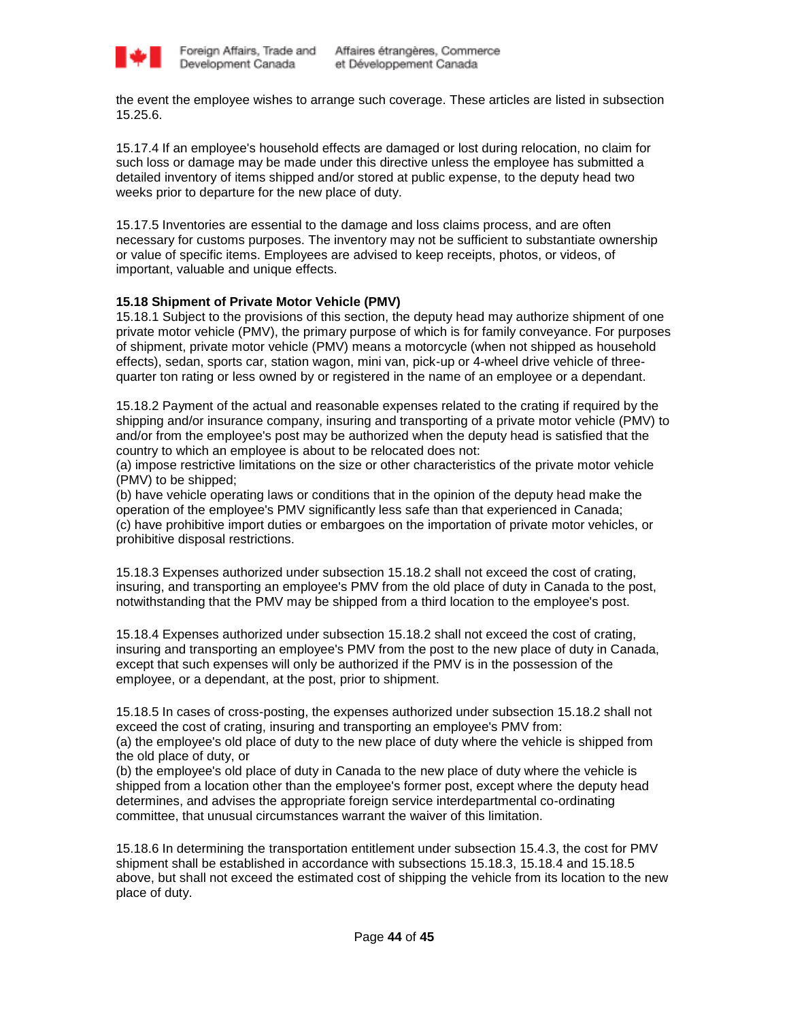

the event the employee wishes to arrange such coverage. These articles are listed in subsection 15.25.6.

15.17.4 If an employee's household effects are damaged or lost during relocation, no claim for such loss or damage may be made under this directive unless the employee has submitted a detailed inventory of items shipped and/or stored at public expense, to the deputy head two weeks prior to departure for the new place of duty.

15.17.5 Inventories are essential to the damage and loss claims process, and are often necessary for customs purposes. The inventory may not be sufficient to substantiate ownership or value of specific items. Employees are advised to keep receipts, photos, or videos, of important, valuable and unique effects.

# **15.18 Shipment of Private Motor Vehicle (PMV)**

15.18.1 Subject to the provisions of this section, the deputy head may authorize shipment of one private motor vehicle (PMV), the primary purpose of which is for family conveyance. For purposes of shipment, private motor vehicle (PMV) means a motorcycle (when not shipped as household effects), sedan, sports car, station wagon, mini van, pick-up or 4-wheel drive vehicle of threequarter ton rating or less owned by or registered in the name of an employee or a dependant.

15.18.2 Payment of the actual and reasonable expenses related to the crating if required by the shipping and/or insurance company, insuring and transporting of a private motor vehicle (PMV) to and/or from the employee's post may be authorized when the deputy head is satisfied that the country to which an employee is about to be relocated does not:

(a) impose restrictive limitations on the size or other characteristics of the private motor vehicle (PMV) to be shipped;

(b) have vehicle operating laws or conditions that in the opinion of the deputy head make the operation of the employee's PMV significantly less safe than that experienced in Canada; (c) have prohibitive import duties or embargoes on the importation of private motor vehicles, or prohibitive disposal restrictions.

15.18.3 Expenses authorized under subsection 15.18.2 shall not exceed the cost of crating, insuring, and transporting an employee's PMV from the old place of duty in Canada to the post, notwithstanding that the PMV may be shipped from a third location to the employee's post.

15.18.4 Expenses authorized under subsection 15.18.2 shall not exceed the cost of crating, insuring and transporting an employee's PMV from the post to the new place of duty in Canada, except that such expenses will only be authorized if the PMV is in the possession of the employee, or a dependant, at the post, prior to shipment.

15.18.5 In cases of cross-posting, the expenses authorized under subsection 15.18.2 shall not exceed the cost of crating, insuring and transporting an employee's PMV from: (a) the employee's old place of duty to the new place of duty where the vehicle is shipped from the old place of duty, or

(b) the employee's old place of duty in Canada to the new place of duty where the vehicle is shipped from a location other than the employee's former post, except where the deputy head determines, and advises the appropriate foreign service interdepartmental co-ordinating committee, that unusual circumstances warrant the waiver of this limitation.

15.18.6 In determining the transportation entitlement under subsection 15.4.3, the cost for PMV shipment shall be established in accordance with subsections 15.18.3, 15.18.4 and 15.18.5 above, but shall not exceed the estimated cost of shipping the vehicle from its location to the new place of duty.